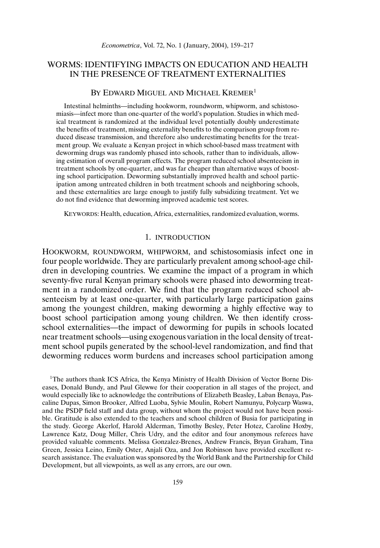# WORMS: IDENTIFYING IMPACTS ON EDUCATION AND HEALTH IN THE PRESENCE OF TREATMENT EXTERNALITIES

# BY EDWARD MIGUEL AND MICHAEL KREMER<sup>1</sup>

Intestinal helminths—including hookworm, roundworm, whipworm, and schistosomiasis—infect more than one-quarter of the world's population. Studies in which medical treatment is randomized at the individual level potentially doubly underestimate the benefits of treatment, missing externality benefits to the comparison group from reduced disease transmission, and therefore also underestimating benefits for the treatment group. We evaluate a Kenyan project in which school-based mass treatment with deworming drugs was randomly phased into schools, rather than to individuals, allowing estimation of overall program effects. The program reduced school absenteeism in treatment schools by one-quarter, and was far cheaper than alternative ways of boosting school participation. Deworming substantially improved health and school participation among untreated children in both treatment schools and neighboring schools, and these externalities are large enough to justify fully subsidizing treatment. Yet we do not find evidence that deworming improved academic test scores.

KEYWORDS: Health, education, Africa, externalities, randomized evaluation, worms.

## 1. INTRODUCTION

HOOKWORM, ROUNDWORM, WHIPWORM, and schistosomiasis infect one in four people worldwide. They are particularly prevalent among school-age children in developing countries. We examine the impact of a program in which seventy-five rural Kenyan primary schools were phased into deworming treatment in a randomized order. We find that the program reduced school absenteeism by at least one-quarter, with particularly large participation gains among the youngest children, making deworming a highly effective way to boost school participation among young children. We then identify crossschool externalities—the impact of deworming for pupils in schools located near treatment schools—using exogenous variation in the local density of treatment school pupils generated by the school-level randomization, and find that deworming reduces worm burdens and increases school participation among

<sup>1</sup>The authors thank ICS Africa, the Kenya Ministry of Health Division of Vector Borne Diseases, Donald Bundy, and Paul Glewwe for their cooperation in all stages of the project, and would especially like to acknowledge the contributions of Elizabeth Beasley, Laban Benaya, Pascaline Dupas, Simon Brooker, Alfred Luoba, Sylvie Moulin, Robert Namunyu, Polycarp Waswa, and the PSDP field staff and data group, without whom the project would not have been possible. Gratitude is also extended to the teachers and school children of Busia for participating in the study. George Akerlof, Harold Alderman, Timothy Besley, Peter Hotez, Caroline Hoxby, Lawrence Katz, Doug Miller, Chris Udry, and the editor and four anonymous referees have provided valuable comments. Melissa Gonzalez-Brenes, Andrew Francis, Bryan Graham, Tina Green, Jessica Leino, Emily Oster, Anjali Oza, and Jon Robinson have provided excellent research assistance. The evaluation was sponsored by the World Bank and the Partnership for Child Development, but all viewpoints, as well as any errors, are our own.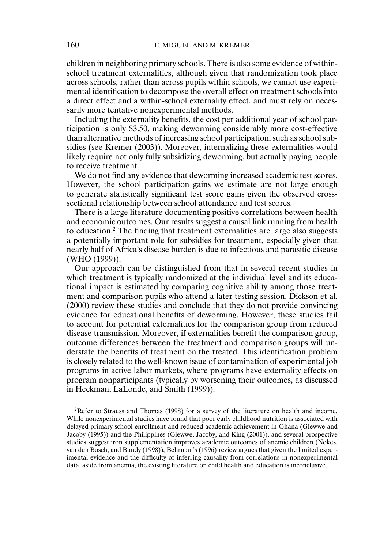children in neighboring primary schools. There is also some evidence of withinschool treatment externalities, although given that randomization took place across schools, rather than across pupils within schools, we cannot use experimental identification to decompose the overall effect on treatment schools into a direct effect and a within-school externality effect, and must rely on necessarily more tentative nonexperimental methods.

Including the externality benefits, the cost per additional year of school participation is only \$3.50, making deworming considerably more cost-effective than alternative methods of increasing school participation, such as school subsidies (see Kremer (2003)). Moreover, internalizing these externalities would likely require not only fully subsidizing deworming, but actually paying people to receive treatment.

We do not find any evidence that deworming increased academic test scores. However, the school participation gains we estimate are not large enough to generate statistically significant test score gains given the observed crosssectional relationship between school attendance and test scores.

There is a large literature documenting positive correlations between health and economic outcomes. Our results suggest a causal link running from health to education.2 The finding that treatment externalities are large also suggests a potentially important role for subsidies for treatment, especially given that nearly half of Africa's disease burden is due to infectious and parasitic disease (WHO (1999)).

Our approach can be distinguished from that in several recent studies in which treatment is typically randomized at the individual level and its educational impact is estimated by comparing cognitive ability among those treatment and comparison pupils who attend a later testing session. Dickson et al. (2000) review these studies and conclude that they do not provide convincing evidence for educational benefits of deworming. However, these studies fail to account for potential externalities for the comparison group from reduced disease transmission. Moreover, if externalities benefit the comparison group, outcome differences between the treatment and comparison groups will understate the benefits of treatment on the treated. This identification problem is closely related to the well-known issue of contamination of experimental job programs in active labor markets, where programs have externality effects on program nonparticipants (typically by worsening their outcomes, as discussed in Heckman, LaLonde, and Smith (1999)).

2Refer to Strauss and Thomas (1998) for a survey of the literature on health and income. While nonexperimental studies have found that poor early childhood nutrition is associated with delayed primary school enrollment and reduced academic achievement in Ghana (Glewwe and Jacoby (1995)) and the Philippines (Glewwe, Jacoby, and King (2001)), and several prospective studies suggest iron supplementation improves academic outcomes of anemic children (Nokes, van den Bosch, and Bundy (1998)), Behrman's (1996) review argues that given the limited experimental evidence and the difficulty of inferring causality from correlations in nonexperimental data, aside from anemia, the existing literature on child health and education is inconclusive.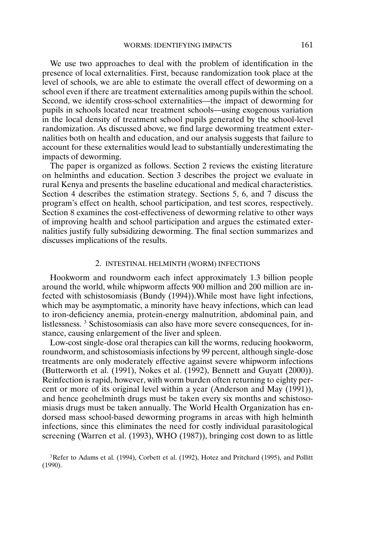We use two approaches to deal with the problem of identification in the presence of local externalities. First, because randomization took place at the level of schools, we are able to estimate the overall effect of deworming on a school even if there are treatment externalities among pupils within the school. Second, we identify cross-school externalities—the impact of deworming for pupils in schools located near treatment schools—using exogenous variation in the local density of treatment school pupils generated by the school-level randomization. As discussed above, we find large deworming treatment externalities both on health and education, and our analysis suggests that failure to account for these externalities would lead to substantially underestimating the impacts of deworming.

The paper is organized as follows. Section 2 reviews the existing literature on helminths and education. Section 3 describes the project we evaluate in rural Kenya and presents the baseline educational and medical characteristics. Section 4 describes the estimation strategy. Sections 5, 6, and 7 discuss the program's effect on health, school participation, and test scores, respectively. Section 8 examines the cost-effectiveness of deworming relative to other ways of improving health and school participation and argues the estimated externalities justify fully subsidizing deworming. The final section summarizes and discusses implications of the results.

## 2. INTESTINAL HELMINTH (WORM) INFECTIONS

Hookworm and roundworm each infect approximately 1.3 billion people around the world, while whipworm affects 900 million and 200 million are infected with schistosomiasis (Bundy (1994)).While most have light infections, which may be asymptomatic, a minority have heavy infections, which can lead to iron-deficiency anemia, protein-energy malnutrition, abdominal pain, and listlessness. <sup>3</sup> Schistosomiasis can also have more severe consequences, for instance, causing enlargement of the liver and spleen.

Low-cost single-dose oral therapies can kill the worms, reducing hookworm, roundworm, and schistosomiasis infections by 99 percent, although single-dose treatments are only moderately effective against severe whipworm infections (Butterworth et al. (1991), Nokes et al. (1992), Bennett and Guyatt (2000)). Reinfection is rapid, however, with worm burden often returning to eighty percent or more of its original level within a year (Anderson and May (1991)), and hence geohelminth drugs must be taken every six months and schistosomiasis drugs must be taken annually. The World Health Organization has endorsed mass school-based deworming programs in areas with high helminth infections, since this eliminates the need for costly individual parasitological screening (Warren et al. (1993), WHO (1987)), bringing cost down to as little

<sup>3</sup>Refer to Adams et al. (1994), Corbett et al. (1992), Hotez and Pritchard (1995), and Pollitt (1990).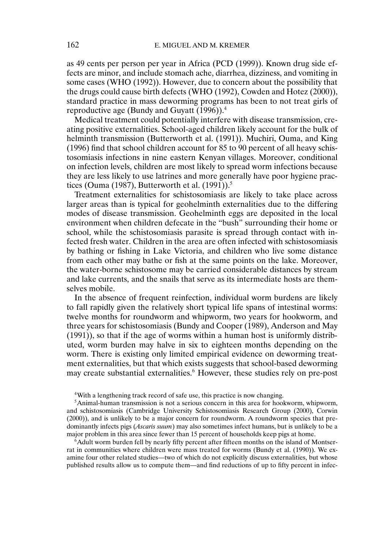as 49 cents per person per year in Africa (PCD (1999)). Known drug side effects are minor, and include stomach ache, diarrhea, dizziness, and vomiting in some cases (WHO (1992)). However, due to concern about the possibility that the drugs could cause birth defects (WHO (1992), Cowden and Hotez (2000)), standard practice in mass deworming programs has been to not treat girls of reproductive age (Bundy and Guyatt (1996)).4

Medical treatment could potentially interfere with disease transmission, creating positive externalities. School-aged children likely account for the bulk of helminth transmission (Butterworth et al. (1991)). Muchiri, Ouma, and King (1996) find that school children account for 85 to 90 percent of all heavy schistosomiasis infections in nine eastern Kenyan villages. Moreover, conditional on infection levels, children are most likely to spread worm infections because they are less likely to use latrines and more generally have poor hygiene practices (Ouma (1987), Butterworth et al.  $(1991)$ .<sup>5</sup>

Treatment externalities for schistosomiasis are likely to take place across larger areas than is typical for geohelminth externalities due to the differing modes of disease transmission. Geohelminth eggs are deposited in the local environment when children defecate in the "bush" surrounding their home or school, while the schistosomiasis parasite is spread through contact with infected fresh water. Children in the area are often infected with schistosomiasis by bathing or fishing in Lake Victoria, and children who live some distance from each other may bathe or fish at the same points on the lake. Moreover, the water-borne schistosome may be carried considerable distances by stream and lake currents, and the snails that serve as its intermediate hosts are themselves mobile.

In the absence of frequent reinfection, individual worm burdens are likely to fall rapidly given the relatively short typical life spans of intestinal worms: twelve months for roundworm and whipworm, two years for hookworm, and three years for schistosomiasis (Bundy and Cooper (1989), Anderson and May (1991)), so that if the age of worms within a human host is uniformly distributed, worm burden may halve in six to eighteen months depending on the worm. There is existing only limited empirical evidence on deworming treatment externalities, but that which exists suggests that school-based deworming may create substantial externalities.6 However, these studies rely on pre-post

4With a lengthening track record of safe use, this practice is now changing.

 $<sup>5</sup>$ Animal-human transmission is not a serious concern in this area for hookworm, whipworm,</sup> and schistosomiasis (Cambridge University Schistosomiasis Research Group (2000), Corwin (2000)), and is unlikely to be a major concern for roundworm. A roundworm species that predominantly infects pigs (*Ascaris suum*) may also sometimes infect humans, but is unlikely to be a major problem in this area since fewer than 15 percent of households keep pigs at home.

<sup>6</sup>Adult worm burden fell by nearly fifty percent after fifteen months on the island of Montserrat in communities where children were mass treated for worms (Bundy et al. (1990)). We examine four other related studies—two of which do not explicitly discuss externalities, but whose published results allow us to compute them—and find reductions of up to fifty percent in infec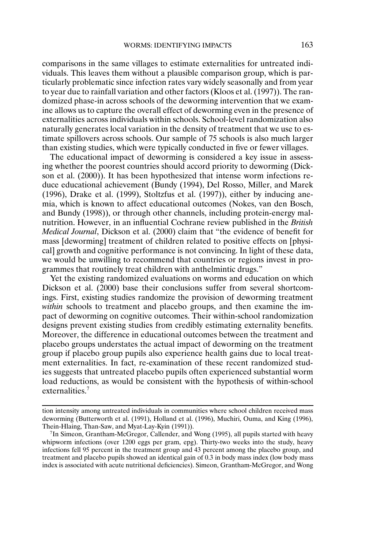comparisons in the same villages to estimate externalities for untreated individuals. This leaves them without a plausible comparison group, which is particularly problematic since infection rates vary widely seasonally and from year to year due to rainfall variation and other factors (Kloos et al. (1997)). The randomized phase-in across schools of the deworming intervention that we examine allows us to capture the overall effect of deworming even in the presence of externalities across individuals within schools. School-level randomization also naturally generates local variation in the density of treatment that we use to estimate spillovers across schools. Our sample of 75 schools is also much larger than existing studies, which were typically conducted in five or fewer villages.

The educational impact of deworming is considered a key issue in assessing whether the poorest countries should accord priority to deworming (Dickson et al. (2000)). It has been hypothesized that intense worm infections reduce educational achievement (Bundy (1994), Del Rosso, Miller, and Marek (1996), Drake et al. (1999), Stoltzfus et al. (1997)), either by inducing anemia, which is known to affect educational outcomes (Nokes, van den Bosch, and Bundy (1998)), or through other channels, including protein-energy malnutrition. However, in an influential Cochrane review published in the *British Medical Journal*, Dickson et al. (2000) claim that "the evidence of benefit for mass [deworming] treatment of children related to positive effects on [physical] growth and cognitive performance is not convincing. In light of these data, we would be unwilling to recommend that countries or regions invest in programmes that routinely treat children with anthelmintic drugs."

Yet the existing randomized evaluations on worms and education on which Dickson et al. (2000) base their conclusions suffer from several shortcomings. First, existing studies randomize the provision of deworming treatment *within* schools to treatment and placebo groups, and then examine the impact of deworming on cognitive outcomes. Their within-school randomization designs prevent existing studies from credibly estimating externality benefits. Moreover, the difference in educational outcomes between the treatment and placebo groups understates the actual impact of deworming on the treatment group if placebo group pupils also experience health gains due to local treatment externalities. In fact, re-examination of these recent randomized studies suggests that untreated placebo pupils often experienced substantial worm load reductions, as would be consistent with the hypothesis of within-school externalities.7

tion intensity among untreated individuals in communities where school children received mass deworming (Butterworth et al. (1991), Holland et al. (1996), Muchiri, Ouma, and King (1996), Thein-Hlaing, Than-Saw, and Myat-Lay-Kyin (1991)).

<sup>7</sup>In Simeon, Grantham-McGregor, Callender, and Wong (1995), all pupils started with heavy whipworm infections (over 1200 eggs per gram, epg). Thirty-two weeks into the study, heavy infections fell 95 percent in the treatment group and 43 percent among the placebo group, and treatment and placebo pupils showed an identical gain of 0.3 in body mass index (low body mass index is associated with acute nutritional deficiencies). Simeon, Grantham-McGregor, and Wong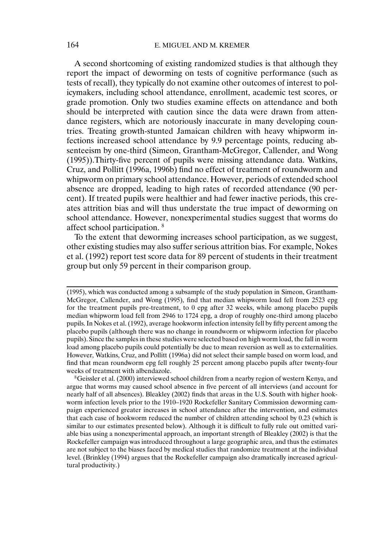# 164 E. MIGUEL AND M. KREMER

A second shortcoming of existing randomized studies is that although they report the impact of deworming on tests of cognitive performance (such as tests of recall), they typically do not examine other outcomes of interest to policymakers, including school attendance, enrollment, academic test scores, or grade promotion. Only two studies examine effects on attendance and both should be interpreted with caution since the data were drawn from attendance registers, which are notoriously inaccurate in many developing countries. Treating growth-stunted Jamaican children with heavy whipworm infections increased school attendance by 9.9 percentage points, reducing absenteeism by one-third (Simeon, Grantham-McGregor, Callender, and Wong (1995)).Thirty-five percent of pupils were missing attendance data. Watkins, Cruz, and Pollitt (1996a, 1996b) find no effect of treatment of roundworm and whipworm on primary school attendance. However, periods of extended school absence are dropped, leading to high rates of recorded attendance (90 percent). If treated pupils were healthier and had fewer inactive periods, this creates attrition bias and will thus understate the true impact of deworming on school attendance. However, nonexperimental studies suggest that worms do affect school participation. <sup>8</sup>

To the extent that deworming increases school participation, as we suggest, other existing studies may also suffer serious attrition bias. For example, Nokes et al. (1992) report test score data for 89 percent of students in their treatment group but only 59 percent in their comparison group.

8Geissler et al. (2000) interviewed school children from a nearby region of western Kenya, and argue that worms may caused school absence in five percent of all interviews (and account for nearly half of all absences). Bleakley (2002) finds that areas in the U.S. South with higher hookworm infection levels prior to the 1910–1920 Rockefeller Sanitary Commission deworming campaign experienced greater increases in school attendance after the intervention, and estimates that each case of hookworm reduced the number of children attending school by 0.23 (which is similar to our estimates presented below). Although it is difficult to fully rule out omitted variable bias using a nonexperimental approach, an important strength of Bleakley (2002) is that the Rockefeller campaign was introduced throughout a large geographic area, and thus the estimates are not subject to the biases faced by medical studies that randomize treatment at the individual level. (Brinkley (1994) argues that the Rockefeller campaign also dramatically increased agricultural productivity.)

<sup>(1995),</sup> which was conducted among a subsample of the study population in Simeon, Grantham-McGregor, Callender, and Wong (1995), find that median whipworm load fell from 2523 epg for the treatment pupils pre-treatment, to 0 epg after 32 weeks, while among placebo pupils median whipworm load fell from 2946 to 1724 epg, a drop of roughly one-third among placebo pupils. In Nokes et al. (1992), average hookworm infection intensity fell by fifty percent among the placebo pupils (although there was no change in roundworm or whipworm infection for placebo pupils). Since the samples in these studies were selected based on high worm load, the fall in worm load among placebo pupils could potentially be due to mean reversion as well as to externalities. However, Watkins, Cruz, and Pollitt (1996a) did not select their sample based on worm load, and find that mean roundworm epg fell roughly 25 percent among placebo pupils after twenty-four weeks of treatment with albendazole.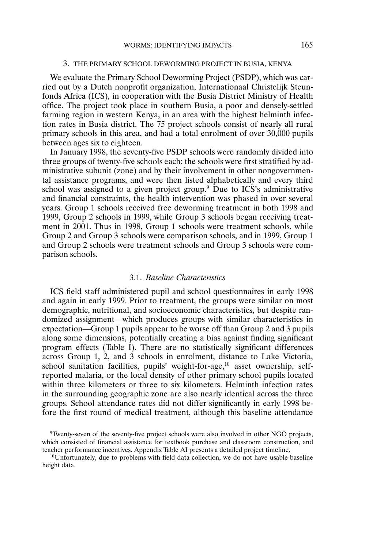### 3. THE PRIMARY SCHOOL DEWORMING PROJECT IN BUSIA, KENYA

We evaluate the Primary School Deworming Project (PSDP), which was carried out by a Dutch nonprofit organization, Internationaal Christelijk Steunfonds Africa (ICS), in cooperation with the Busia District Ministry of Health office. The project took place in southern Busia, a poor and densely-settled farming region in western Kenya, in an area with the highest helminth infection rates in Busia district. The 75 project schools consist of nearly all rural primary schools in this area, and had a total enrolment of over 30,000 pupils between ages six to eighteen.

In January 1998, the seventy-five PSDP schools were randomly divided into three groups of twenty-five schools each: the schools were first stratified by administrative subunit (zone) and by their involvement in other nongovernmental assistance programs, and were then listed alphabetically and every third school was assigned to a given project group.9 Due to ICS's administrative and financial constraints, the health intervention was phased in over several years. Group 1 schools received free deworming treatment in both 1998 and 1999, Group 2 schools in 1999, while Group 3 schools began receiving treatment in 2001. Thus in 1998, Group 1 schools were treatment schools, while Group 2 and Group 3 schools were comparison schools, and in 1999, Group 1 and Group 2 schools were treatment schools and Group 3 schools were comparison schools.

#### 3.1. *Baseline Characteristics*

ICS field staff administered pupil and school questionnaires in early 1998 and again in early 1999. Prior to treatment, the groups were similar on most demographic, nutritional, and socioeconomic characteristics, but despite randomized assignment—which produces groups with similar characteristics in expectation—Group 1 pupils appear to be worse off than Group 2 and 3 pupils along some dimensions, potentially creating a bias against finding significant program effects (Table I). There are no statistically significant differences across Group 1, 2, and 3 schools in enrolment, distance to Lake Victoria, school sanitation facilities, pupils' weight-for-age,<sup>10</sup> asset ownership, selfreported malaria, or the local density of other primary school pupils located within three kilometers or three to six kilometers. Helminth infection rates in the surrounding geographic zone are also nearly identical across the three groups. School attendance rates did not differ significantly in early 1998 before the first round of medical treatment, although this baseline attendance

<sup>9</sup>Twenty-seven of the seventy-five project schools were also involved in other NGO projects, which consisted of financial assistance for textbook purchase and classroom construction, and teacher performance incentives. Appendix Table AI presents a detailed project timeline.

 $10$ Unfortunately, due to problems with field data collection, we do not have usable baseline height data.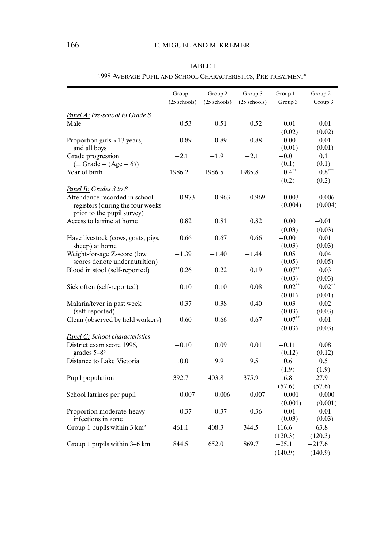# 166 E. MIGUEL AND M. KREMER

# TABLE I

# 1998 AVERAGE PUPIL AND SCHOOL CHARACTERISTICS, PRE-TREATMENTa

|                                                                                                 | Group 1<br>$(25$ schools) | Group 2<br>$(25$ schools) | Group 3<br>$(25$ schools) | Group $1 -$<br>Group 3 | Group $2-$<br>Group 3 |
|-------------------------------------------------------------------------------------------------|---------------------------|---------------------------|---------------------------|------------------------|-----------------------|
| Panel A: Pre-school to Grade 8                                                                  |                           |                           |                           |                        |                       |
| Male                                                                                            | 0.53                      | 0.51                      | 0.52                      | 0.01<br>(0.02)         | $-0.01$<br>(0.02)     |
| Proportion girls $<$ 13 years,<br>and all boys                                                  | 0.89                      | 0.89                      | 0.88                      | 0.00<br>(0.01)         | 0.01<br>(0.01)        |
| Grade progression<br>$(=\text{Grade} - (\text{Age} - 6))$                                       | $-2.1$                    | $-1.9$                    | $-2.1$                    | $-0.0$<br>(0.1)        | 0.1<br>(0.1)          |
| Year of birth                                                                                   | 1986.2                    | 1986.5                    | 1985.8                    | $0.4^{**}$             | $0.8***$              |
| Panel B: Grades 3 to 8                                                                          |                           |                           |                           | (0.2)                  | (0.2)                 |
| Attendance recorded in school<br>registers (during the four weeks<br>prior to the pupil survey) | 0.973                     | 0.963                     | 0.969                     | 0.003<br>(0.004)       | $-0.006$<br>(0.004)   |
| Access to latrine at home                                                                       | 0.82                      | 0.81                      | 0.82                      | 0.00                   | $-0.01$               |
|                                                                                                 |                           |                           |                           | (0.03)                 | (0.03)                |
| Have livestock (cows, goats, pigs,                                                              | 0.66                      | 0.67                      | 0.66                      | $-0.00$                | 0.01                  |
| sheep) at home                                                                                  |                           |                           |                           | (0.03)                 | (0.03)                |
| Weight-for-age Z-score (low<br>scores denote undernutrition)                                    | $-1.39$                   | $-1.40$                   | $-1.44$                   | 0.05<br>(0.05)         | 0.04<br>(0.05)        |
| Blood in stool (self-reported)                                                                  | 0.26                      | 0.22                      | 0.19                      | $0.07**$               | 0.03                  |
|                                                                                                 |                           |                           |                           | (0.03)                 | (0.03)                |
| Sick often (self-reported)                                                                      | 0.10                      | 0.10                      | 0.08                      | $0.02$ **              | $0.02$ **             |
| Malaria/fever in past week                                                                      | 0.37                      | 0.38                      | 0.40                      | (0.01)<br>$-0.03$      | (0.01)<br>$-0.02$     |
| (self-reported)                                                                                 |                           |                           |                           | (0.03)                 | (0.03)                |
| Clean (observed by field workers)                                                               | 0.60                      | 0.66                      | 0.67                      | $-0.07$ **<br>(0.03)   | $-0.01$<br>(0.03)     |
| Panel C: School characteristics                                                                 |                           |                           |                           |                        |                       |
| District exam score 1996,<br>grades 5-8 <sup>b</sup>                                            | $-0.10$                   | 0.09                      | 0.01                      | $-0.11$<br>(0.12)      | 0.08                  |
| Distance to Lake Victoria                                                                       | 10.0                      | 9.9                       | 9.5                       | 0.6                    | (0.12)<br>0.5         |
|                                                                                                 |                           |                           |                           | (1.9)                  | (1.9)                 |
| Pupil population                                                                                | 392.7                     | 403.8                     | 375.9                     | 16.8                   | 27.9                  |
|                                                                                                 |                           |                           |                           | (57.6)                 | (57.6)                |
| School latrines per pupil                                                                       | 0.007                     | 0.006                     | 0.007                     | 0.001                  | $-0.000$              |
|                                                                                                 |                           |                           |                           | (0.001)                | (0.001)               |
| Proportion moderate-heavy<br>infections in zone                                                 | 0.37                      | 0.37                      | 0.36                      | 0.01<br>(0.03)         | 0.01<br>(0.03)        |
| Group 1 pupils within 3 km <sup>c</sup>                                                         | 461.1                     | 408.3                     | 344.5                     | 116.6                  | 63.8                  |
|                                                                                                 |                           |                           |                           | (120.3)                | (120.3)               |
| Group 1 pupils within 3–6 km                                                                    | 844.5                     | 652.0                     | 869.7                     | $-25.1$                | $-217.6$              |
|                                                                                                 |                           |                           |                           | (140.9)                | (140.9)               |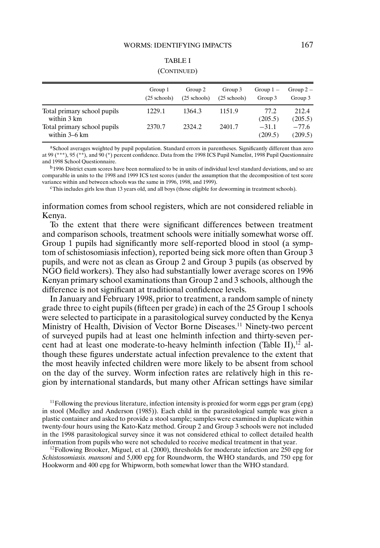#### TABLE I

#### (CONTINUED)

|                                              | Group 1<br>$(25$ schools) | Group 2<br>$(25$ schools) | Group 3<br>$(25$ schools) | Group $1 -$<br>Group 3 | Group $2-$<br>Group 3 |
|----------------------------------------------|---------------------------|---------------------------|---------------------------|------------------------|-----------------------|
| Total primary school pupils<br>within 3 km   | 1229.1                    | 1364.3                    | 1151.9                    | 77.2<br>(205.5)        | 212.4<br>(205.5)      |
| Total primary school pupils<br>within 3–6 km | 2370.7                    | 2324.2                    | 2401.7                    | $-31.1$<br>(209.5)     | $-77.6$<br>(209.5)    |

aSchool averages weighted by pupil population. Standard errors in parentheses. Significantly different than zero at 99 (\*\*\*), 95 (\*\*), and 90 (\*) percent confidence. Data from the 1998 ICS Pupil Namelist, 1998 Pupil Questionnaire and 1998 School Questionnaire.

b1996 District exam scores have been normalized to be in units of individual level standard deviations, and so are comparable in units to the 1998 and 1999 ICS test scores (under the assumption that the decomposition of test score variance within and between schools was the same in 1996, 1998, and 1999).

cThis includes girls less than 13 years old, and all boys (those eligible for deworming in treatment schools).

information comes from school registers, which are not considered reliable in Kenya.

To the extent that there were significant differences between treatment and comparison schools, treatment schools were initially somewhat worse off. Group 1 pupils had significantly more self-reported blood in stool (a symptom of schistosomiasis infection), reported being sick more often than Group 3 pupils, and were not as clean as Group 2 and Group 3 pupils (as observed by NGO field workers). They also had substantially lower average scores on 1996 Kenyan primary school examinations than Group 2 and 3 schools, although the difference is not significant at traditional confidence levels.

In January and February 1998, prior to treatment, a random sample of ninety grade three to eight pupils (fifteen per grade) in each of the 25 Group 1 schools were selected to participate in a parasitological survey conducted by the Kenya Ministry of Health, Division of Vector Borne Diseases.<sup>11</sup> Ninety-two percent of surveyed pupils had at least one helminth infection and thirty-seven percent had at least one moderate-to-heavy helminth infection (Table II), $^{12}$  although these figures understate actual infection prevalence to the extent that the most heavily infected children were more likely to be absent from school on the day of the survey. Worm infection rates are relatively high in this region by international standards, but many other African settings have similar

 $11$ Following the previous literature, infection intensity is proxied for worm eggs per gram (epg) in stool (Medley and Anderson (1985)). Each child in the parasitological sample was given a plastic container and asked to provide a stool sample; samples were examined in duplicate within twenty-four hours using the Kato-Katz method. Group 2 and Group 3 schools were not included in the 1998 parasitological survey since it was not considered ethical to collect detailed health information from pupils who were not scheduled to receive medical treatment in that year.

 $12$ Following Brooker, Miguel, et al. (2000), thresholds for moderate infection are 250 epg for *Schistosomiasis. mansoni* and 5,000 epg for Roundworm, the WHO standards, and 750 epg for Hookworm and 400 epg for Whipworm, both somewhat lower than the WHO standard.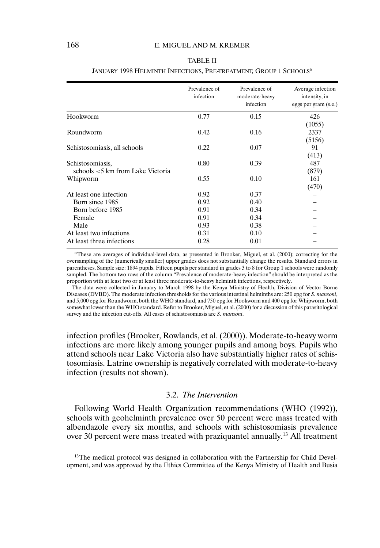#### TABLE II

|                                                                  | Prevalence of<br>infection | Prevalence of<br>moderate-heavy<br>infection | Average infection<br>intensity, in<br>eggs per gram (s.e.) |
|------------------------------------------------------------------|----------------------------|----------------------------------------------|------------------------------------------------------------|
| Hookworm                                                         | 0.77                       | 0.15                                         | 426                                                        |
| Roundworm                                                        | 0.42                       | 0.16                                         | (1055)<br>2337<br>(5156)                                   |
| Schistosomiasis, all schools                                     | 0.22                       | 0.07                                         | 91                                                         |
| Schistosomiasis,<br>schools <5 km from Lake Victoria<br>Whipworm | 0.80<br>0.55               | 0.39<br>0.10                                 | (413)<br>487<br>(879)<br>161                               |
| At least one infection<br>Born since 1985                        | 0.92<br>0.92               | 0.37<br>0.40                                 | (470)                                                      |
| Born before 1985<br>Female<br>Male                               | 0.91<br>0.91<br>0.93       | 0.34<br>0.34<br>0.38                         |                                                            |
| At least two infections                                          | 0.31                       | 0.10                                         |                                                            |
| At least three infections                                        | 0.28                       | 0.01                                         |                                                            |

#### JANUARY 1998 HELMINTH INFECTIONS, PRE-TREATMENT, GROUP 1 SCHOOLS<sup>a</sup>

aThese are averages of individual-level data, as presented in Brooker, Miguel, et al. (2000); correcting for the oversampling of the (numerically smaller) upper grades does not substantially change the results. Standard errors in parentheses. Sample size: 1894 pupils. Fifteen pupils per standard in grades 3 to 8 for Group 1 schools were randomly sampled. The bottom two rows of the column "Prevalence of moderate-heavy infection" should be interpreted as the proportion with at least two or at least three moderate-to-heavy helminth infections, respectively.

The data were collected in January to March 1998 by the Kenya Ministry of Health, Division of Vector Borne Diseases (DVBD). The moderate infection thresholds for the various intestinal helminths are: 250 epg for *S. mansoni*, and 5,000 epg for Roundworm, both the WHO standard, and 750 epg for Hookworm and 400 epg for Whipworm, both somewhat lower than the WHO standard. Refer to Brooker, Miguel, et al. (2000) for a discussion of this parasitological survey and the infection cut-offs. All cases of schistosomiasis are *S. mansoni*.

infection profiles (Brooker, Rowlands, et al. (2000)). Moderate-to-heavy worm infections are more likely among younger pupils and among boys. Pupils who attend schools near Lake Victoria also have substantially higher rates of schistosomiasis. Latrine ownership is negatively correlated with moderate-to-heavy infection (results not shown).

# 3.2. *The Intervention*

Following World Health Organization recommendations (WHO (1992)), schools with geohelminth prevalence over 50 percent were mass treated with albendazole every six months, and schools with schistosomiasis prevalence over 30 percent were mass treated with praziquantel annually.13 All treatment

<sup>13</sup>The medical protocol was designed in collaboration with the Partnership for Child Development, and was approved by the Ethics Committee of the Kenya Ministry of Health and Busia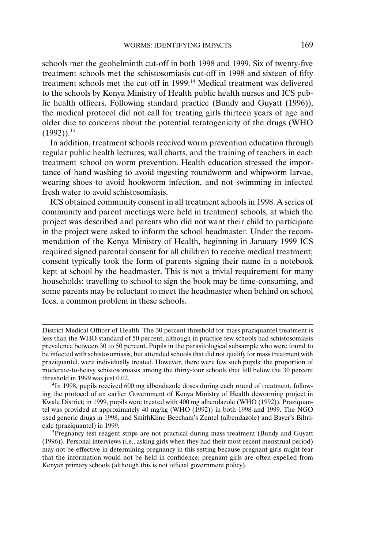schools met the geohelminth cut-off in both 1998 and 1999. Six of twenty-five treatment schools met the schistosomiasis cut-off in 1998 and sixteen of fifty treatment schools met the cut-off in 1999.14 Medical treatment was delivered to the schools by Kenya Ministry of Health public health nurses and ICS public health officers. Following standard practice (Bundy and Guyatt (1996)), the medical protocol did not call for treating girls thirteen years of age and older due to concerns about the potential teratogenicity of the drugs (WHO  $(1992)$ ).<sup>15</sup>

In addition, treatment schools received worm prevention education through regular public health lectures, wall charts, and the training of teachers in each treatment school on worm prevention. Health education stressed the importance of hand washing to avoid ingesting roundworm and whipworm larvae, wearing shoes to avoid hookworm infection, and not swimming in infected fresh water to avoid schistosomiasis.

ICS obtained community consent in all treatment schools in 1998. A series of community and parent meetings were held in treatment schools, at which the project was described and parents who did not want their child to participate in the project were asked to inform the school headmaster. Under the recommendation of the Kenya Ministry of Health, beginning in January 1999 ICS required signed parental consent for all children to receive medical treatment; consent typically took the form of parents signing their name in a notebook kept at school by the headmaster. This is not a trivial requirement for many households: travelling to school to sign the book may be time-consuming, and some parents may be reluctant to meet the headmaster when behind on school fees, a common problem in these schools.

District Medical Officer of Health. The 30 percent threshold for mass praziquantel treatment is less than the WHO standard of 50 percent, although in practice few schools had schistosomiasis prevalence between 30 to 50 percent. Pupils in the parasitological subsample who were found to be infected with schistosomiasis, but attended schools that did not qualify for mass treatment with praziquantel, were individually treated. However, there were few such pupils: the proportion of moderate-to-heavy schistosomiasis among the thirty-four schools that fell below the 30 percent threshold in 1999 was just 0.02.

<sup>&</sup>lt;sup>14</sup>In 1998, pupils received 600 mg albendazole doses during each round of treatment, following the protocol of an earlier Government of Kenya Ministry of Health deworming project in Kwale District; in 1999, pupils were treated with 400 mg albendazole (WHO (1992)). Praziquantel was provided at approximately 40 mg/kg (WHO (1992)) in both 1998 and 1999. The NGO used generic drugs in 1998, and SmithKline Beecham's Zentel (albendazole) and Bayer's Biltricide (praziquantel) in 1999.

<sup>&</sup>lt;sup>15</sup>Pregnancy test reagent strips are not practical during mass treatment (Bundy and Guvatt (1996)). Personal interviews (i.e., asking girls when they had their most recent menstrual period) may not be effective in determining pregnancy in this setting because pregnant girls might fear that the information would not be held in confidence; pregnant girls are often expelled from Kenyan primary schools (although this is not official government policy).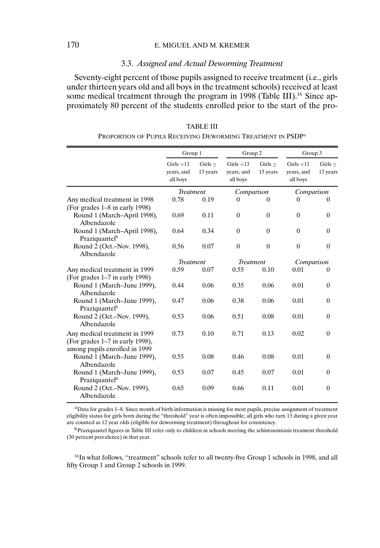# 170 E. MIGUEL AND M. KREMER

# 3.3. *Assigned and Actual Deworming Treatment*

Seventy-eight percent of those pupils assigned to receive treatment (i.e., girls under thirteen years old and all boys in the treatment schools) received at least some medical treatment through the program in 1998 (Table III).<sup>16</sup> Since approximately 80 percent of the students enrolled prior to the start of the pro-

|                                                                                                   | Group 1                                |                   | Group 2                                |                   |                                        | Group 3           |  |
|---------------------------------------------------------------------------------------------------|----------------------------------------|-------------------|----------------------------------------|-------------------|----------------------------------------|-------------------|--|
|                                                                                                   | Girls $<$ 13<br>years, and<br>all boys | Girls<br>13 years | Girls $<$ 13<br>years, and<br>all boys | Girls<br>13 years | Girls $<$ 13<br>years, and<br>all boys | Girls<br>13 years |  |
|                                                                                                   | <b>Treatment</b>                       |                   | Comparison                             |                   | Comparison                             |                   |  |
| Any medical treatment in 1998<br>(For grades 1–8 in early 1998)                                   | 0.78                                   | 0.19              | 0                                      | $\Omega$          | $\theta$                               | $\theta$          |  |
| Round 1 (March-April 1998),<br>Albendazole                                                        | 0.69                                   | 0.11              | $\theta$                               | $\theta$          | $\theta$                               | $\Omega$          |  |
| Round 1 (March-April 1998),<br>Praziquantel <sup>b</sup>                                          | 0.64                                   | 0.34              | $\theta$                               | $\Omega$          | $\Omega$                               | $\Omega$          |  |
| Round 2 (Oct.-Nov. 1998),<br>Albendazole                                                          | 0.56                                   | 0.07              | $\theta$                               | $\theta$          | $\theta$                               | $\theta$          |  |
|                                                                                                   | <b>Treatment</b>                       |                   | <b>Treatment</b>                       |                   | Comparison                             |                   |  |
| Any medical treatment in 1999                                                                     | 0.59                                   | 0.07              | 0.55                                   | 0.10              | 0.01                                   | $\theta$          |  |
| (For grades 1–7 in early 1998)                                                                    |                                        |                   |                                        |                   |                                        |                   |  |
| Round 1 (March-June 1999),<br>Albendazole                                                         | 0.44                                   | 0.06              | 0.35                                   | 0.06              | 0.01                                   | $\Omega$          |  |
| Round 1 (March-June 1999),<br>Praziquantel <sup>b</sup>                                           | 0.47                                   | 0.06              | 0.38                                   | 0.06              | 0.01                                   | $\theta$          |  |
| Round 2 (Oct.-Nov. 1999),<br>Albendazole                                                          | 0.53                                   | 0.06              | 0.51                                   | 0.08              | 0.01                                   | $\Omega$          |  |
| Any medical treatment in 1999<br>(For grades 1–7 in early 1998),<br>among pupils enrolled in 1999 | 0.73                                   | 0.10              | 0.71                                   | 0.13              | 0.02                                   | $\theta$          |  |
| Round 1 (March–June 1999),<br>Albendazole                                                         | 0.55                                   | 0.08              | 0.46                                   | 0.08              | 0.01                                   | $\Omega$          |  |
| Round 1 (March–June 1999),<br>Praziquantel <sup>b</sup>                                           | 0.53                                   | 0.07              | 0.45                                   | 0.07              | 0.01                                   | $\Omega$          |  |
| Round 2 (Oct.-Nov. 1999),<br>Albendazole                                                          | 0.65                                   | 0.09              | 0.66                                   | 0.11              | 0.01                                   | $\theta$          |  |

TABLE III PROPORTION OF PUPILS RECEIVING DEWORMING TREATMENT IN PSDPa

aData for grades 1–8. Since month of birth information is missing for most pupils, precise assignment of treatment eligibility status for girls born during the "threshold" year is often impossible; all girls who turn 13 during a given year are counted as 12 year olds (eligible for deworming treatment) throughout for consistency.

<sup>b</sup>Praziquantel figures in Table III refer only to children in schools meeting the schistosomiasis treament threshold (30 percent prevalence) in that year.

<sup>16</sup>In what follows, "treatment" schools refer to all twenty-five Group 1 schools in 1998, and all fifty Group 1 and Group 2 schools in 1999.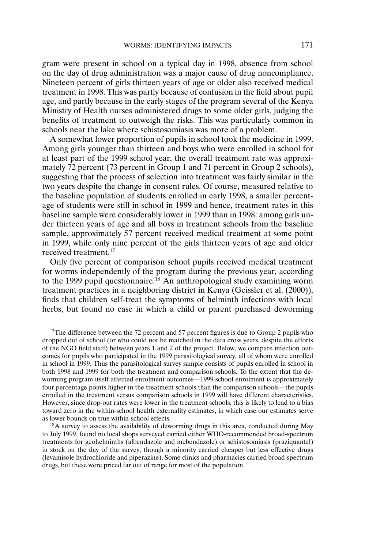gram were present in school on a typical day in 1998, absence from school on the day of drug administration was a major cause of drug noncompliance. Nineteen percent of girls thirteen years of age or older also received medical treatment in 1998. This was partly because of confusion in the field about pupil age, and partly because in the early stages of the program several of the Kenya Ministry of Health nurses administered drugs to some older girls, judging the benefits of treatment to outweigh the risks. This was particularly common in schools near the lake where schistosomiasis was more of a problem.

A somewhat lower proportion of pupils in school took the medicine in 1999. Among girls younger than thirteen and boys who were enrolled in school for at least part of the 1999 school year, the overall treatment rate was approximately 72 percent (73 percent in Group 1 and 71 percent in Group 2 schools), suggesting that the process of selection into treatment was fairly similar in the two years despite the change in consent rules. Of course, measured relative to the baseline population of students enrolled in early 1998, a smaller percentage of students were still in school in 1999 and hence, treatment rates in this baseline sample were considerably lower in 1999 than in 1998: among girls under thirteen years of age and all boys in treatment schools from the baseline sample, approximately 57 percent received medical treatment at some point in 1999, while only nine percent of the girls thirteen years of age and older received treatment.17

Only five percent of comparison school pupils received medical treatment for worms independently of the program during the previous year, according to the 1999 pupil questionnaire.<sup>18</sup> An anthropological study examining worm treatment practices in a neighboring district in Kenya (Geissler et al. (2000)), finds that children self-treat the symptoms of helminth infections with local herbs, but found no case in which a child or parent purchased deworming

<sup>17</sup>The difference between the 72 percent and 57 percent figures is due to Group 2 pupils who dropped out of school (or who could not be matched in the data cross years, despite the efforts of the NGO field staff) between years 1 and 2 of the project. Below, we compare infection outcomes for pupils who participated in the 1999 parasitological survey, all of whom were enrolled in school in 1999. Thus the parasitological survey sample consists of pupils enrolled in school in both 1998 and 1999 for both the treatment and comparison schools. To the extent that the deworming program itself affected enrolment outcomes—1999 school enrolment is approximately four percentage points higher in the treatment schools than the comparison schools—the pupils enrolled in the treatment versus comparison schools in 1999 will have different characteristics. However, since drop-out rates were lower in the treatment schools, this is likely to lead to a bias toward zero in the within-school health externality estimates, in which case our estimates serve as lower bounds on true within-school effects.

<sup>18</sup>A survey to assess the availability of deworming drugs in this area, conducted during May to July 1999, found no local shops surveyed carried either WHO-recommended broad-spectrum treatments for geohelminths (albendazole and mebendazole) or schistosomiasis (praziquantel) in stock on the day of the survey, though a minority carried cheaper but less effective drugs (levamisole hydrochloride and piperazine). Some clinics and pharmacies carried broad-spectrum drugs, but these were priced far out of range for most of the population.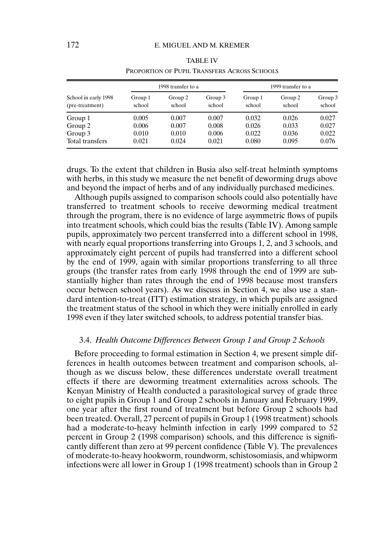# 1998 transfer to a 1999 transfer to a School in early 1998 Group 1 Group 2 Group 2 Group 2 Group 3 Group 2 Group 3 (pre-treatment) school school school school school school Group 1 0.005 0.007 0.007 0.032 0.026 0.027 Group 2 0.006 0.007 0.008 0.026 0.033 0.027 Group 3 0.010 0.010 0.006 0.022 0.036 0.022 Total transfers 0.021 0.024 0.021 0.080 0.095 0.076

## TABLE IV PROPORTION OF PUPIL TRANSFERS ACROSS SCHOOLS

drugs. To the extent that children in Busia also self-treat helminth symptoms with herbs, in this study we measure the net benefit of deworming drugs above and beyond the impact of herbs and of any individually purchased medicines.

Although pupils assigned to comparison schools could also potentially have transferred to treatment schools to receive deworming medical treatment through the program, there is no evidence of large asymmetric flows of pupils into treatment schools, which could bias the results (Table IV). Among sample pupils, approximately two percent transferred into a different school in 1998, with nearly equal proportions transferring into Groups 1, 2, and 3 schools, and approximately eight percent of pupils had transferred into a different school by the end of 1999, again with similar proportions transferring to all three groups (the transfer rates from early 1998 through the end of 1999 are substantially higher than rates through the end of 1998 because most transfers occur between school years). As we discuss in Section 4, we also use a standard intention-to-treat (ITT) estimation strategy, in which pupils are assigned the treatment status of the school in which they were initially enrolled in early 1998 even if they later switched schools, to address potential transfer bias.

# 3.4. *Health Outcome Differences Between Group 1 and Group 2 Schools*

Before proceeding to formal estimation in Section 4, we present simple differences in health outcomes between treatment and comparison schools, although as we discuss below, these differences understate overall treatment effects if there are deworming treatment externalities across schools. The Kenyan Ministry of Health conducted a parasitological survey of grade three to eight pupils in Group 1 and Group 2 schools in January and February 1999, one year after the first round of treatment but before Group 2 schools had been treated. Overall, 27 percent of pupils in Group 1 (1998 treatment) schools had a moderate-to-heavy helminth infection in early 1999 compared to 52 percent in Group 2 (1998 comparison) schools, and this difference is significantly different than zero at 99 percent confidence (Table V). The prevalences of moderate-to-heavy hookworm, roundworm, schistosomiasis, and whipworm infections were all lower in Group 1 (1998 treatment) schools than in Group 2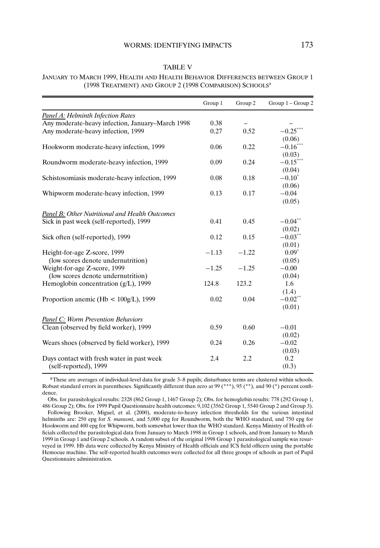#### TABLE V

## JANUARY TO MARCH 1999, HEALTH AND HEALTH BEHAVIOR DIFFERENCES BETWEEN GROUP 1 (1998 TREATMENT) AND GROUP 2 (1998 COMPARISON) SCHOOLS<sup>a</sup>

|                                                  | Group 1 | Group 2 | Group 1 - Group 2 |
|--------------------------------------------------|---------|---------|-------------------|
| Panel A: Helminth Infection Rates                |         |         |                   |
| Any moderate-heavy infection, January-March 1998 | 0.38    |         |                   |
| Any moderate-heavy infection, 1999               | 0.27    | 0.52    | $-0.25***$        |
|                                                  |         |         | (0.06)            |
| Hookworm moderate-heavy infection, 1999          | 0.06    | 0.22    | $-0.16^*$         |
|                                                  |         |         | (0.03)            |
| Roundworm moderate-heavy infection, 1999         | 0.09    | 0.24    | $-0.15^*$         |
|                                                  |         |         | (0.04)            |
| Schistosomiasis moderate-heavy infection, 1999   | 0.08    | 0.18    | $-0.10^*$         |
|                                                  |         |         | (0.06)            |
| Whipworm moderate-heavy infection, 1999          | 0.13    | 0.17    | $-0.04$           |
|                                                  |         |         | (0.05)            |
| Panel B: Other Nutritional and Health Outcomes   |         |         |                   |
| Sick in past week (self-reported), 1999          | 0.41    | 0.45    | $-0.04***$        |
|                                                  |         |         | (0.02)            |
| Sick often (self-reported), 1999                 | 0.12    | 0.15    | $-0.03***$        |
|                                                  |         |         | (0.01)            |
| Height-for-age Z-score, 1999                     | $-1.13$ | $-1.22$ | $0.09*$           |
| (low scores denote undernutrition)               |         |         | (0.05)            |
| Weight-for-age Z-score, 1999                     | $-1.25$ | $-1.25$ | $-0.00$           |
| (low scores denote undernutrition)               |         |         | (0.04)            |
| Hemoglobin concentration (g/L), 1999             | 124.8   | 123.2   | 1.6               |
|                                                  |         |         | (1.4)             |
| Proportion anemic (Hb < $100g/L$ ), 1999         | 0.02    | 0.04    | $-0.02$ **        |
|                                                  |         |         | (0.01)            |
| Panel C: Worm Prevention Behaviors               |         |         |                   |
| Clean (observed by field worker), 1999           | 0.59    | 0.60    | $-0.01$           |
|                                                  |         |         | (0.02)            |
| Wears shoes (observed by field worker), 1999     | 0.24    | 0.26    | $-0.02$           |
|                                                  |         |         | (0.03)            |
| Days contact with fresh water in past week       | 2.4     | 2.2     | 0.2               |
| (self-reported), 1999                            |         |         | (0.3)             |
|                                                  |         |         |                   |

aThese are averages of individual-level data for grade 3–8 pupils; disturbance terms are clustered within schools. Robust standard errors in parentheses. Significantly different than zero at 99 (\*\*\*), 95 (\*\*), and 90 (\*) percent confidence.

Obs. for parasitological results: 2328 (862 Group 1, 1467 Group 2); Obs. for hemoglobin results: 778 (292 Group 1, 486 Group 2); Obs. for 1999 Pupil Questionnaire health outcomes: 9,102 (3562 Group 1, 5540 Group 2 and Group 3).

Following Brooker, Miguel, et al. (2000), moderate-to-heavy infection thresholds for the various intestinal helminths are: 250 epg for *S. mansoni*, and 5,000 epg for Roundworm, both the WHO standard, and 750 epg for Hookworm and 400 epg for Whipworm, both somewhat lower than the WHO standard. Kenya Ministry of Health officials collected the parasitological data from January to March 1998 in Group 1 schools, and from January to March 1999 in Group 1 and Group 2 schools. A random subset of the original 1998 Group 1 parasitological sample was resurveyed in 1999. Hb data were collected by Kenya Ministry of Health officials and ICS field officers using the portable Hemocue machine. The self-reported health outcomes were collected for all three groups of schools as part of Pupil Questionnaire administration.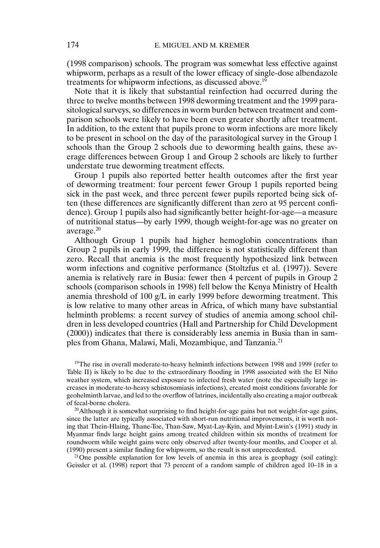(1998 comparison) schools. The program was somewhat less effective against whipworm, perhaps as a result of the lower efficacy of single-dose albendazole treatments for whipworm infections, as discussed above.<sup>19</sup>

Note that it is likely that substantial reinfection had occurred during the three to twelve months between 1998 deworming treatment and the 1999 parasitological surveys, so differences in worm burden between treatment and comparison schools were likely to have been even greater shortly after treatment. In addition, to the extent that pupils prone to worm infections are more likely to be present in school on the day of the parasitological survey in the Group 1 schools than the Group 2 schools due to deworming health gains, these average differences between Group 1 and Group 2 schools are likely to further understate true deworming treatment effects.

Group 1 pupils also reported better health outcomes after the first year of deworming treatment: four percent fewer Group 1 pupils reported being sick in the past week, and three percent fewer pupils reported being sick often (these differences are significantly different than zero at 95 percent confidence). Group 1 pupils also had significantly better height-for-age—a measure of nutritional status—by early 1999, though weight-for-age was no greater on average.20

Although Group 1 pupils had higher hemoglobin concentrations than Group 2 pupils in early 1999, the difference is not statistically different than zero. Recall that anemia is the most frequently hypothesized link between worm infections and cognitive performance (Stoltzfus et al. (1997)). Severe anemia is relatively rare in Busia: fewer then 4 percent of pupils in Group 2 schools (comparison schools in 1998) fell below the Kenya Ministry of Health anemia threshold of 100 g/L in early 1999 before deworming treatment. This is low relative to many other areas in Africa, of which many have substantial helminth problems: a recent survey of studies of anemia among school children in less developed countries (Hall and Partnership for Child Development (2000)) indicates that there is considerably less anemia in Busia than in samples from Ghana, Malawi, Mali, Mozambique, and Tanzania.21

<sup>19</sup>The rise in overall moderate-to-heavy helminth infections between 1998 and 1999 (refer to Table II) is likely to be due to the extraordinary flooding in 1998 associated with the El Niño weather system, which increased exposure to infected fresh water (note the especially large increases in moderate-to-heavy schistosomiasis infections), created moist conditions favorable for geohelminth larvae, and led to the overflow of latrines, incidentally also creating a major outbreak of fecal-borne cholera.

 $20$ Although it is somewhat surprising to find height-for-age gains but not weight-for-age gains, since the latter are typically associated with short-run nutritional improvements, it is worth noting that Thein-Hlaing, Thane-Toe, Than-Saw, Myat-Lay-Kyin, and Myint-Lwin's (1991) study in Myanmar finds large height gains among treated children within six months of treatment for roundworm while weight gains were only observed after twenty-four months, and Cooper et al. (1990) present a similar finding for whipworm, so the result is not unprecedented.

<sup>21</sup>One possible explanation for low levels of anemia in this area is geophagy (soil eating): Geissler et al. (1998) report that 73 percent of a random sample of children aged 10–18 in a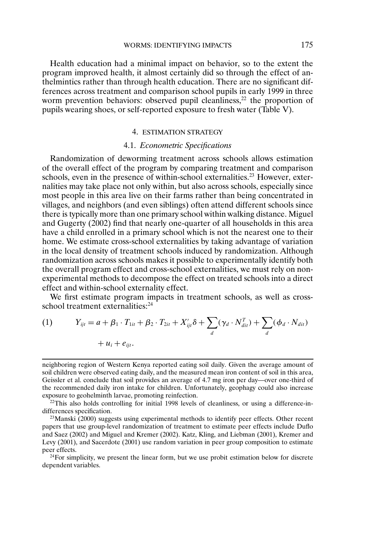Health education had a minimal impact on behavior, so to the extent the program improved health, it almost certainly did so through the effect of anthelmintics rather than through health education. There are no significant differences across treatment and comparison school pupils in early 1999 in three worm prevention behaviors: observed pupil cleanliness, $^{22}$  the proportion of pupils wearing shoes, or self-reported exposure to fresh water (Table V).

## 4. ESTIMATION STRATEGY

# 4.1. *Econometric Specifications*

Randomization of deworming treatment across schools allows estimation of the overall effect of the program by comparing treatment and comparison schools, even in the presence of within-school externalities.<sup>23</sup> However, externalities may take place not only within, but also across schools, especially since most people in this area live on their farms rather than being concentrated in villages, and neighbors (and even siblings) often attend different schools since there is typically more than one primary school within walking distance. Miguel and Gugerty (2002) find that nearly one-quarter of all households in this area have a child enrolled in a primary school which is not the nearest one to their home. We estimate cross-school externalities by taking advantage of variation in the local density of treatment schools induced by randomization. Although randomization across schools makes it possible to experimentally identify both the overall program effect and cross-school externalities, we must rely on nonexperimental methods to decompose the effect on treated schools into a direct effect and within-school externality effect.

We first estimate program impacts in treatment schools, as well as crossschool treatment externalities:<sup>24</sup>

(1) 
$$
Y_{ijt} = a + \beta_1 \cdot T_{1it} + \beta_2 \cdot T_{2it} + X'_{ijt} \delta + \sum_d (\gamma_d \cdot N_{dit}^T) + \sum_d (\phi_d \cdot N_{dit}) + u_i + e_{ijt}.
$$

neighboring region of Western Kenya reported eating soil daily. Given the average amount of soil children were observed eating daily, and the measured mean iron content of soil in this area, Geissler et al. conclude that soil provides an average of 4.7 mg iron per day—over one-third of the recommended daily iron intake for children. Unfortunately, geophagy could also increase exposure to geohelminth larvae, promoting reinfection.

 $22$ This also holds controlling for initial 1998 levels of cleanliness, or using a difference-indifferences specification.

<sup>23</sup>Manski (2000) suggests using experimental methods to identify peer effects. Other recent papers that use group-level randomization of treatment to estimate peer effects include Duflo and Saez (2002) and Miguel and Kremer (2002). Katz, Kling, and Liebman (2001), Kremer and Levy (2001), and Sacerdote (2001) use random variation in peer group composition to estimate peer effects.

 $24$ For simplicity, we present the linear form, but we use probit estimation below for discrete dependent variables.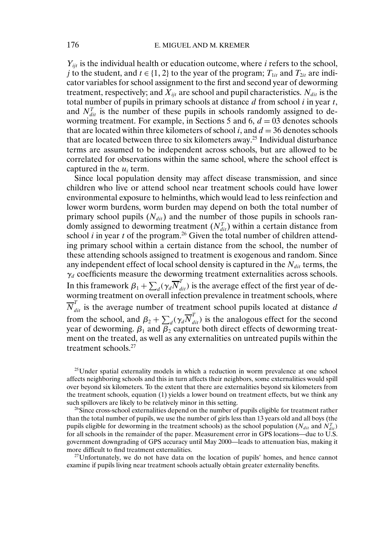$Y_{ijt}$  is the individual health or education outcome, where *i* refers to the school, j to the student, and  $t \in \{1, 2\}$  to the year of the program;  $T_{1it}$  and  $T_{2it}$  are indicator variables for school assignment to the first and second year of deworming treatment, respectively; and  $\overline{X}_{iit}$  are school and pupil characteristics.  $N_{di}$  is the total number of pupils in primary schools at distance  $d$  from school  $i$  in year  $t$ , and  $N_{di}^T$  is the number of these pupils in schools randomly assigned to deworming treatment. For example, in Sections 5 and 6,  $d = 03$  denotes schools that are located within three kilometers of school i, and  $d = 36$  denotes schools that are located between three to six kilometers away.25 Individual disturbance terms are assumed to be independent across schools, but are allowed to be correlated for observations within the same school, where the school effect is captured in the  $u_i$  term.

Since local population density may affect disease transmission, and since children who live or attend school near treatment schools could have lower environmental exposure to helminths, which would lead to less reinfection and lower worm burdens, worm burden may depend on both the total number of primary school pupils  $(N_{\text{dif}})$  and the number of those pupils in schools randomly assigned to deworming treatment  $(N_{di}^T)$  within a certain distance from school i in year t of the program.<sup>26</sup> Given the total number of children attending primary school within a certain distance from the school, the number of these attending schools assigned to treatment is exogenous and random. Since any independent effect of local school density is captured in the  $N_{dit}$  terms, the  $\gamma_d$  coefficients measure the deworming treatment externalities across schools. In this framework  $\beta_1 + \sum_d (\gamma_d \overline{N}_{di}^T)$  is the average effect of the first year of deworming treatment on overall infection prevalence in treatment schools, where  $\overline{N}_{di}^T$  is the average number of treatment school pupils located at distance d from the school, and  $\beta_2 + \sum_d (\gamma_d \overline{N}_{di}^T)$  is the analogous effect for the second year of deworming.  $\beta_1$  and  $\beta_2$  capture both direct effects of deworming treatment on the treated, as well as any externalities on untreated pupils within the treatment schools.27

25Under spatial externality models in which a reduction in worm prevalence at one school affects neighboring schools and this in turn affects their neighbors, some externalities would spill over beyond six kilometers. To the extent that there are externalities beyond six kilometers from the treatment schools, equation (1) yields a lower bound on treatment effects, but we think any such spillovers are likely to be relatively minor in this setting.

<sup>26</sup>Since cross-school externalities depend on the number of pupils eligible for treatment rather than the total number of pupils, we use the number of girls less than 13 years old and all boys (the pupils eligible for deworming in the treatment schools) as the school population ( $N_{di}$  and  $N_{di}^T$ ) for all schools in the remainder of the paper. Measurement error in GPS locations—due to U.S. government downgrading of GPS accuracy until May 2000—leads to attenuation bias, making it more difficult to find treatment externalities.

 $27$ Unfortunately, we do not have data on the location of pupils' homes, and hence cannot examine if pupils living near treatment schools actually obtain greater externality benefits.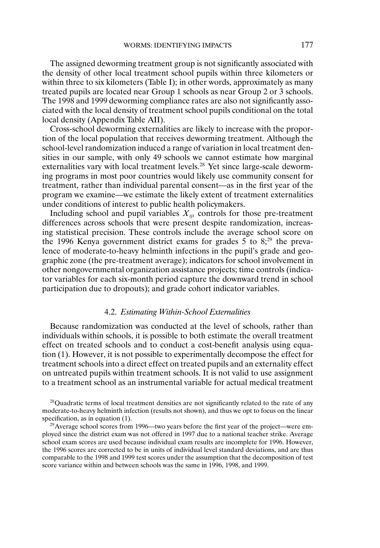The assigned deworming treatment group is not significantly associated with the density of other local treatment school pupils within three kilometers or within three to six kilometers (Table I); in other words, approximately as many treated pupils are located near Group 1 schools as near Group 2 or 3 schools. The 1998 and 1999 deworming compliance rates are also not significantly associated with the local density of treatment school pupils conditional on the total local density (Appendix Table AII).

Cross-school deworming externalities are likely to increase with the proportion of the local population that receives deworming treatment. Although the school-level randomization induced a range of variation in local treatment densities in our sample, with only 49 schools we cannot estimate how marginal externalities vary with local treatment levels.<sup>28</sup> Yet since large-scale deworming programs in most poor countries would likely use community consent for treatment, rather than individual parental consent—as in the first year of the program we examine—we estimate the likely extent of treatment externalities under conditions of interest to public health policymakers.

Including school and pupil variables  $X_{ijt}$  controls for those pre-treatment differences across schools that were present despite randomization, increasing statistical precision. These controls include the average school score on the 1996 Kenya government district exams for grades  $5$  to  $8;^{29}$  the prevalence of moderate-to-heavy helminth infections in the pupil's grade and geographic zone (the pre-treatment average); indicators for school involvement in other nongovernmental organization assistance projects; time controls (indicator variables for each six-month period capture the downward trend in school participation due to dropouts); and grade cohort indicator variables.

## 4.2. *Estimating Within-School Externalities*

Because randomization was conducted at the level of schools, rather than individuals within schools, it is possible to both estimate the overall treatment effect on treated schools and to conduct a cost-benefit analysis using equation (1). However, it is not possible to experimentally decompose the effect for treatment schools into a direct effect on treated pupils and an externality effect on untreated pupils within treatment schools. It is not valid to use assignment to a treatment school as an instrumental variable for actual medical treatment

<sup>28</sup>Quadratic terms of local treatment densities are not significantly related to the rate of any moderate-to-heavy helminth infection (results not shown), and thus we opt to focus on the linear specification, as in equation  $(1)$ .

<sup>29</sup>Average school scores from 1996—two years before the first year of the project—were employed since the district exam was not offered in 1997 due to a national teacher strike. Average school exam scores are used because individual exam results are incomplete for 1996. However, the 1996 scores are corrected to be in units of individual level standard deviations, and are thus comparable to the 1998 and 1999 test scores under the assumption that the decomposition of test score variance within and between schools was the same in 1996, 1998, and 1999.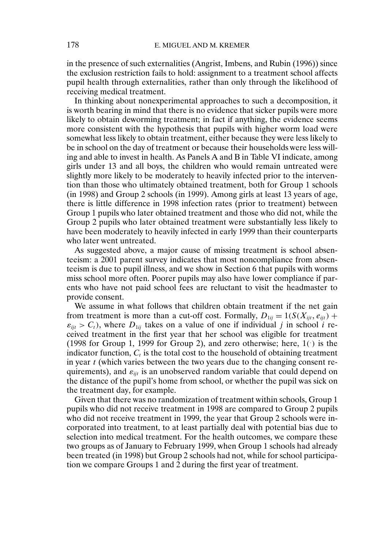in the presence of such externalities (Angrist, Imbens, and Rubin (1996)) since the exclusion restriction fails to hold: assignment to a treatment school affects pupil health through externalities, rather than only through the likelihood of receiving medical treatment.

In thinking about nonexperimental approaches to such a decomposition, it is worth bearing in mind that there is no evidence that sicker pupils were more likely to obtain deworming treatment; in fact if anything, the evidence seems more consistent with the hypothesis that pupils with higher worm load were somewhat less likely to obtain treatment, either because they were less likely to be in school on the day of treatment or because their households were less willing and able to invest in health. As Panels A and B in Table VI indicate, among girls under 13 and all boys, the children who would remain untreated were slightly more likely to be moderately to heavily infected prior to the intervention than those who ultimately obtained treatment, both for Group 1 schools (in 1998) and Group 2 schools (in 1999). Among girls at least 13 years of age, there is little difference in 1998 infection rates (prior to treatment) between Group 1 pupils who later obtained treatment and those who did not, while the Group 2 pupils who later obtained treatment were substantially less likely to have been moderately to heavily infected in early 1999 than their counterparts who later went untreated.

As suggested above, a major cause of missing treatment is school absenteeism: a 2001 parent survey indicates that most noncompliance from absenteeism is due to pupil illness, and we show in Section 6 that pupils with worms miss school more often. Poorer pupils may also have lower compliance if parents who have not paid school fees are reluctant to visit the headmaster to provide consent.

We assume in what follows that children obtain treatment if the net gain from treatment is more than a cut-off cost. Formally,  $D_{1ii} = 1(S(X_{ii}, e_{ii}) +$  $\varepsilon_{ii} > C_t$ ), where  $D_{1ii}$  takes on a value of one if individual j in school i received treatment in the first year that her school was eligible for treatment (1998 for Group 1, 1999 for Group 2), and zero otherwise; here, 1( ) is the indicator function,  $C_t$  is the total cost to the household of obtaining treatment in year  $t$  (which varies between the two years due to the changing consent requirements), and  $\varepsilon_{ii}$  is an unobserved random variable that could depend on the distance of the pupil's home from school, or whether the pupil was sick on the treatment day, for example.

Given that there was no randomization of treatment within schools, Group 1 pupils who did not receive treatment in 1998 are compared to Group 2 pupils who did not receive treatment in 1999, the year that Group 2 schools were incorporated into treatment, to at least partially deal with potential bias due to selection into medical treatment. For the health outcomes, we compare these two groups as of January to February 1999, when Group 1 schools had already been treated (in 1998) but Group 2 schools had not, while for school participation we compare Groups 1 and 2 during the first year of treatment.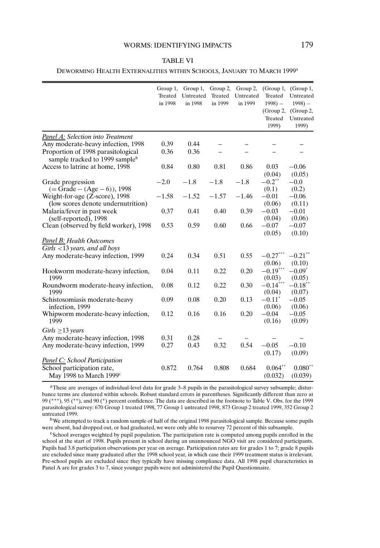#### TABLE VI

DEWORMING HEALTH EXTERNALITIES WITHIN SCHOOLS, JANUARY TO MARCH 1999<sup>a</sup>

|                                                                                                                                                             | Group 1,<br>Treated<br>in 1998 | Group 1,<br>Untreated<br>in 1998 | Group 2,<br>Treated<br>in 1999 | Group 2,<br>Untreated<br>in 1999 | (Group 1,<br>Treated<br>$1998$ ) –      | (Group 1,<br>Untreated<br>$1998$ ) – |
|-------------------------------------------------------------------------------------------------------------------------------------------------------------|--------------------------------|----------------------------------|--------------------------------|----------------------------------|-----------------------------------------|--------------------------------------|
|                                                                                                                                                             |                                |                                  |                                |                                  | (Group 2,<br>Treated<br>1999)           | (Group 2,<br>Untreated<br>1999)      |
| Panel A: Selection into Treatment<br>Any moderate-heavy infection, 1998<br>Proportion of 1998 parasitological<br>sample tracked to 1999 sample <sup>b</sup> | 0.39<br>0.36                   | 0.44<br>0.36                     |                                |                                  |                                         |                                      |
| Access to latrine at home, 1998                                                                                                                             | 0.84                           | 0.80                             | 0.81                           | 0.86                             | 0.03                                    | $-0.06$                              |
| Grade progression<br>$(= Grade - (Age - 6))$ , 1998                                                                                                         | $-2.0$                         | $-1.8$                           | $-1.8$                         | $-1.8$                           | (0.04)<br>$-0.2$ <sup>**</sup><br>(0.1) | (0.05)<br>$-0.0$<br>(0.2)            |
| Weight-for-age (Z-score), 1998                                                                                                                              | $-1.58$                        | $-1.52$                          | $-1.57$                        | $-1.46$                          | $-0.01$                                 | $-0.06$                              |
| (low scores denote undernutrition)<br>Malaria/fever in past week<br>(self-reported), 1998                                                                   | 0.37                           | 0.41                             | 0.40                           | 0.39                             | (0.06)<br>$-0.03$<br>(0.04)             | (0.11)<br>$-0.01$<br>(0.06)          |
| Clean (observed by field worker), 1998                                                                                                                      | 0.53                           | 0.59                             | 0.60                           | 0.66                             | $-0.07$                                 | $-0.07$                              |
| Panel B: Health Outcomes<br>$Girls < 13$ years, and all boys                                                                                                |                                |                                  |                                |                                  | (0.05)                                  | (0.10)                               |
| Any moderate-heavy infection, 1999                                                                                                                          | 0.24                           | 0.34                             | 0.51                           | 0.55                             | $-0.27$ **<br>(0.06)                    | $-0.21$ **<br>(0.10)                 |
| Hookworm moderate-heavy infection,<br>1999                                                                                                                  | 0.04                           | 0.11                             | 0.22                           | 0.20                             | $-0.19***$<br>(0.03)                    | $-0.09*$<br>(0.05)                   |
| Roundworm moderate-heavy infection,<br>1999                                                                                                                 | 0.08                           | 0.12                             | 0.22                           | 0.30                             | $-0.14***$<br>(0.04)                    | $-0.18***$<br>(0.07)                 |
| Schistosomiasis moderate-heavy<br>infection, 1999                                                                                                           | 0.09                           | 0.08                             | 0.20                           | 0.13                             | $-0.11$ <sup>*</sup><br>(0.06)          | $-0.05$<br>(0.06)                    |
| Whipworm moderate-heavy infection,<br>1999                                                                                                                  | 0.12                           | 0.16                             | 0.16                           | 0.20                             | $-0.04$<br>(0.16)                       | $-0.05$<br>(0.09)                    |
| Girls $\geq$ 13 years                                                                                                                                       |                                |                                  |                                |                                  |                                         |                                      |
| Any moderate-heavy infection, 1998<br>Any moderate-heavy infection, 1999                                                                                    | 0.31<br>0.27                   | 0.28<br>0.43                     | 0.32                           | 0.54                             | $-0.05$<br>(0.17)                       | $-0.10$<br>(0.09)                    |
| <b>Panel C: School Participation</b><br>School participation rate,<br>May 1998 to March 1999 <sup>c</sup>                                                   | 0.872                          | 0.764                            | 0.808                          | 0.684                            | $0.064**$<br>(0.032)                    | $0.080*$<br>(0.039)                  |

aThese are averages of individual-level data for grade 3–8 pupils in the parasitological survey subsample; disturbance terms are clustered within schools. Robust standard errors in parentheses. Significantly different than zero at 99 (\*\*\*), 95 (\*\*), and 90 (\*) percent confidence. The data are described in the footnote to Table V. Obs. for the 1999 parasitological survey: 670 Group 1 treated 1998, 77 Group 1 untreated 1998, 873 Group 2 treated 1999, 352 Group 2 untreated 1999.

bWe attempted to track a random sample of half of the original 1998 parasitological sample. Because some pupils were absent, had dropped out, or had graduated, we were only able to resurvey 72 percent of this subsample.

<sup>c</sup>School averages weighted by pupil population. The participation rate is computed among pupils enrolled in the school at the start of 1998. Pupils present in school during an unannounced NGO visit are considered participants. Pupils had 3.8 participation observations per year on average. Participation rates are for grades 1 to 7; grade 8 pupils are excluded since many graduated after the 1998 school year, in which case their 1999 treatment status is irrelevant. Pre-school pupils are excluded since they typically have missing compliance data. All 1998 pupil characteristics in Panel A are for grades 3 to 7, since younger pupils were not administered the Pupil Questionnaire.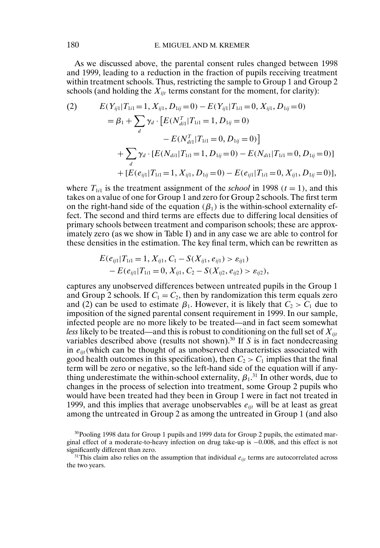As we discussed above, the parental consent rules changed between 1998 and 1999, leading to a reduction in the fraction of pupils receiving treatment within treatment schools. Thus, restricting the sample to Group 1 and Group 2 schools (and holding the  $X_{ijt}$  terms constant for the moment, for clarity):

(2) 
$$
E(Y_{ij1}|T_{1i1} = 1, X_{ij1}, D_{1ij} = 0) - E(Y_{ij1}|T_{1i1} = 0, X_{ij1}, D_{1ij} = 0)
$$

$$
= \beta_1 + \sum_d \gamma_d \cdot [E(N_{di1}^T | T_{1i1} = 1, D_{1ij} = 0)]
$$

$$
- E(N_{di1}^T | T_{1i1} = 0, D_{1ij} = 0)]
$$

$$
+ \sum_d \gamma_d \cdot [E(N_{di1}|T_{1i1} = 1, D_{1ij} = 0) - E(N_{di1}|T_{1i1} = 0, D_{1ij} = 0)]
$$

$$
+ [E(e_{ij1}|T_{1i1} = 1, X_{ij1}, D_{1ij} = 0) - E(e_{ij1}|T_{1i1} = 0, X_{ij1}, D_{1ij} = 0)],
$$

where  $T_{1i}$  is the treatment assignment of the *school* in 1998 ( $t = 1$ ), and this takes on a value of one for Group 1 and zero for Group 2 schools. The first term on the right-hand side of the equation  $(\beta_1)$  is the within-school externality effect. The second and third terms are effects due to differing local densities of primary schools between treatment and comparison schools; these are approximately zero (as we show in Table I) and in any case we are able to control for these densities in the estimation. The key final term, which can be rewritten as

$$
E(e_{ij1}|T_{1i1}=1, X_{ij1}, C_1 - S(X_{ij1}, e_{ij1}) > \varepsilon_{ij1})
$$
  
- E(e\_{ij1}|T\_{1i1}=0, X\_{ij1}, C\_2 - S(X\_{ij2}, e\_{ij2}) > \varepsilon\_{ij2}),

captures any unobserved differences between untreated pupils in the Group 1 and Group 2 schools. If  $C_1 = C_2$ , then by randomization this term equals zero and (2) can be used to estimate  $\beta_1$ . However, it is likely that  $C_2 > C_1$  due to imposition of the signed parental consent requirement in 1999. In our sample, infected people are no more likely to be treated—and in fact seem somewhat *less* likely to be treated—and this is robust to conditioning on the full set of  $X_{ijt}$ variables described above (results not shown).<sup>30</sup> If S is in fact nondecreasing in  $e_{ii}$ (which can be thought of as unobserved characteristics associated with good health outcomes in this specification), then  $C_2 > C_1$  implies that the final term will be zero or negative, so the left-hand side of the equation will if anything underestimate the within-school externality,  $\beta_1$ .<sup>31</sup> In other words, due to changes in the process of selection into treatment, some Group 2 pupils who would have been treated had they been in Group 1 were in fact not treated in 1999, and this implies that average unobservables  $e_{ijt}$  will be at least as great among the untreated in Group 2 as among the untreated in Group 1 (and also

<sup>&</sup>lt;sup>30</sup>Pooling 1998 data for Group 1 pupils and 1999 data for Group 2 pupils, the estimated marginal effect of a moderate-to-heavy infection on drug take-up is −0008, and this effect is not significantly different than zero.

<sup>&</sup>lt;sup>31</sup>This claim also relies on the assumption that individual  $e_{ii}$  terms are autocorrelated across the two years.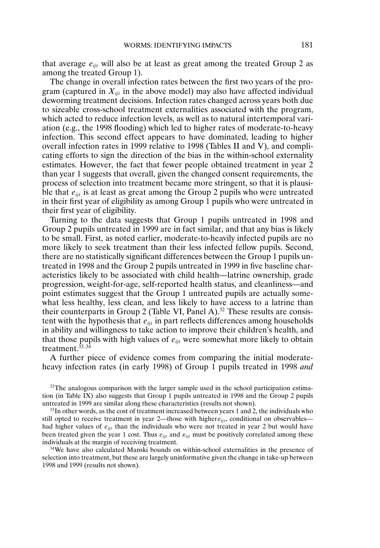that average  $e_{ijt}$  will also be at least as great among the treated Group 2 as among the treated Group 1).

The change in overall infection rates between the first two years of the program (captured in  $X_{iit}$  in the above model) may also have affected individual deworming treatment decisions. Infection rates changed across years both due to sizeable cross-school treatment externalities associated with the program, which acted to reduce infection levels, as well as to natural intertemporal variation (e.g., the 1998 flooding) which led to higher rates of moderate-to-heavy infection. This second effect appears to have dominated, leading to higher overall infection rates in 1999 relative to 1998 (Tables II and V), and complicating efforts to sign the direction of the bias in the within-school externality estimates. However, the fact that fewer people obtained treatment in year 2 than year 1 suggests that overall, given the changed consent requirements, the process of selection into treatment became more stringent, so that it is plausible that  $e_{ii}$  is at least as great among the Group 2 pupils who were untreated in their first year of eligibility as among Group 1 pupils who were untreated in their first year of eligibility.

Turning to the data suggests that Group 1 pupils untreated in 1998 and Group 2 pupils untreated in 1999 are in fact similar, and that any bias is likely to be small. First, as noted earlier, moderate-to-heavily infected pupils are no more likely to seek treatment than their less infected fellow pupils. Second, there are no statistically significant differences between the Group 1 pupils untreated in 1998 and the Group 2 pupils untreated in 1999 in five baseline characteristics likely to be associated with child health—latrine ownership, grade progression, weight-for-age, self-reported health status, and cleanliness—and point estimates suggest that the Group 1 untreated pupils are actually somewhat less healthy, less clean, and less likely to have access to a latrine than their counterparts in Group 2 (Table VI, Panel A).<sup>32</sup> These results are consistent with the hypothesis that  $e_{ii}$  in part reflects differences among households in ability and willingness to take action to improve their children's health, and that those pupils with high values of  $e_{ii}$  were somewhat more likely to obtain treatment. $33,34$ 

A further piece of evidence comes from comparing the initial moderateheavy infection rates (in early 1998) of Group 1 pupils treated in 1998 *and*

<sup>32</sup>The analogous comparison with the larger sample used in the school participation estimation (in Table IX) also suggests that Group 1 pupils untreated in 1998 and the Group 2 pupils untreated in 1999 are similar along these characteristics (results not shown).

 $33$ In other words, as the cost of treatment increased between years 1 and 2, the individuals who still opted to receive treatment in year 2—those with higher $\varepsilon_{ii}$ , conditional on observables had higher values of  $e_{ijt}$  than the individuals who were not treated in year 2 but would have been treated given the year 1 cost. Thus  $e_{ii}$  and  $\varepsilon_{ii}$  must be positively correlated among these individuals at the margin of receiving treatment.

34We have also calculated Manski bounds on within-school externalities in the presence of selection into treatment, but these are largely uninformative given the change in take-up between 1998 and 1999 (results not shown).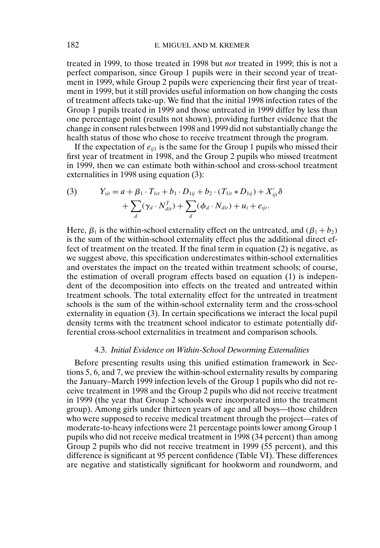treated in 1999, to those treated in 1998 but *not* treated in 1999; this is not a perfect comparison, since Group 1 pupils were in their second year of treatment in 1999, while Group 2 pupils were experiencing their first year of treatment in 1999, but it still provides useful information on how changing the costs of treatment affects take-up. We find that the initial 1998 infection rates of the Group 1 pupils treated in 1999 and those untreated in 1999 differ by less than one percentage point (results not shown), providing further evidence that the change in consent rules between 1998 and 1999 did not substantially change the health status of those who chose to receive treatment through the program.

If the expectation of  $e_{ii1}$  is the same for the Group 1 pupils who missed their first year of treatment in 1998, and the Group 2 pupils who missed treatment in 1999, then we can estimate both within-school and cross-school treatment externalities in 1998 using equation (3):

(3) 
$$
Y_{ijt} = a + \beta_1 \cdot T_{1it} + b_1 \cdot D_{1ij} + b_2 \cdot (T_{1it} * D_{1ij}) + X'_{ijt} \delta + \sum_{d} (\gamma_d \cdot N_{dit}^T) + \sum_{d} (\phi_d \cdot N_{dit}) + u_i + e_{ijt}.
$$

Here,  $\beta_1$  is the within-school externality effect on the untreated, and  $(\beta_1 + b_2)$ is the sum of the within-school externality effect plus the additional direct effect of treatment on the treated. If the final term in equation (2) is negative, as we suggest above, this specification underestimates within-school externalities and overstates the impact on the treated within treatment schools; of course, the estimation of overall program effects based on equation (1) is independent of the decomposition into effects on the treated and untreated within treatment schools. The total externality effect for the untreated in treatment schools is the sum of the within-school externality term and the cross-school externality in equation (3). In certain specifications we interact the local pupil density terms with the treatment school indicator to estimate potentially differential cross-school externalities in treatment and comparison schools.

### 4.3. *Initial Evidence on Within-School Deworming Externalities*

Before presenting results using this unified estimation framework in Sections 5, 6, and 7, we preview the within-school externality results by comparing the January–March 1999 infection levels of the Group 1 pupils who did not receive treatment in 1998 and the Group 2 pupils who did not receive treatment in 1999 (the year that Group 2 schools were incorporated into the treatment group). Among girls under thirteen years of age and all boys—those children who were supposed to receive medical treatment through the project—rates of moderate-to-heavy infections were 21 percentage points lower among Group 1 pupils who did not receive medical treatment in 1998 (34 percent) than among Group 2 pupils who did not receive treatment in 1999 (55 percent), and this difference is significant at 95 percent confidence (Table VI). These differences are negative and statistically significant for hookworm and roundworm, and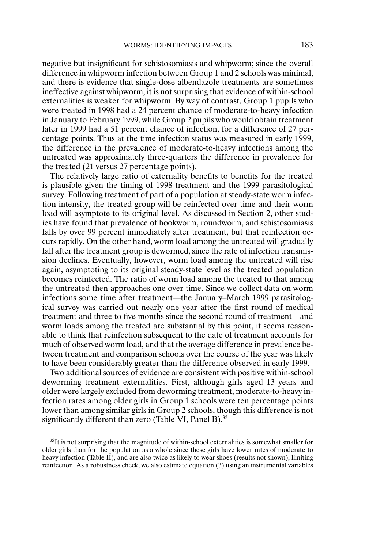negative but insignificant for schistosomiasis and whipworm; since the overall difference in whipworm infection between Group 1 and 2 schools was minimal, and there is evidence that single-dose albendazole treatments are sometimes ineffective against whipworm, it is not surprising that evidence of within-school externalities is weaker for whipworm. By way of contrast, Group 1 pupils who were treated in 1998 had a 24 percent chance of moderate-to-heavy infection in January to February 1999, while Group 2 pupils who would obtain treatment later in 1999 had a 51 percent chance of infection, for a difference of 27 percentage points. Thus at the time infection status was measured in early 1999, the difference in the prevalence of moderate-to-heavy infections among the untreated was approximately three-quarters the difference in prevalence for the treated (21 versus 27 percentage points).

The relatively large ratio of externality benefits to benefits for the treated is plausible given the timing of 1998 treatment and the 1999 parasitological survey. Following treatment of part of a population at steady-state worm infection intensity, the treated group will be reinfected over time and their worm load will asymptote to its original level. As discussed in Section 2, other studies have found that prevalence of hookworm, roundworm, and schistosomiasis falls by over 99 percent immediately after treatment, but that reinfection occurs rapidly. On the other hand, worm load among the untreated will gradually fall after the treatment group is dewormed, since the rate of infection transmission declines. Eventually, however, worm load among the untreated will rise again, asymptoting to its original steady-state level as the treated population becomes reinfected. The ratio of worm load among the treated to that among the untreated then approaches one over time. Since we collect data on worm infections some time after treatment—the January–March 1999 parasitological survey was carried out nearly one year after the first round of medical treatment and three to five months since the second round of treatment—and worm loads among the treated are substantial by this point, it seems reasonable to think that reinfection subsequent to the date of treatment accounts for much of observed worm load, and that the average difference in prevalence between treatment and comparison schools over the course of the year was likely to have been considerably greater than the difference observed in early 1999.

Two additional sources of evidence are consistent with positive within-school deworming treatment externalities. First, although girls aged 13 years and older were largely excluded from deworming treatment, moderate-to-heavy infection rates among older girls in Group 1 schools were ten percentage points lower than among similar girls in Group 2 schools, though this difference is not significantly different than zero (Table VI, Panel B). $^{35}$ 

<sup>35</sup>It is not surprising that the magnitude of within-school externalities is somewhat smaller for older girls than for the population as a whole since these girls have lower rates of moderate to heavy infection (Table II), and are also twice as likely to wear shoes (results not shown), limiting reinfection. As a robustness check, we also estimate equation (3) using an instrumental variables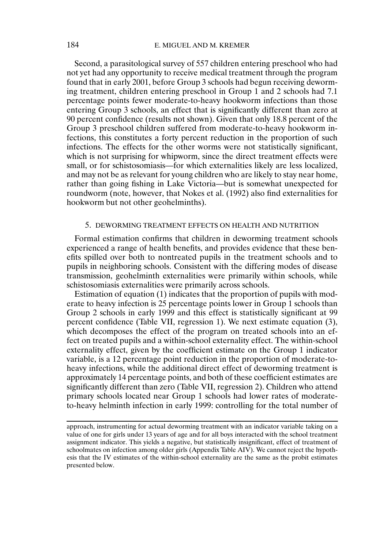Second, a parasitological survey of 557 children entering preschool who had not yet had any opportunity to receive medical treatment through the program found that in early 2001, before Group 3 schools had begun receiving deworming treatment, children entering preschool in Group 1 and 2 schools had 7.1 percentage points fewer moderate-to-heavy hookworm infections than those entering Group 3 schools, an effect that is significantly different than zero at 90 percent confidence (results not shown). Given that only 18.8 percent of the Group 3 preschool children suffered from moderate-to-heavy hookworm infections, this constitutes a forty percent reduction in the proportion of such infections. The effects for the other worms were not statistically significant, which is not surprising for whipworm, since the direct treatment effects were small, or for schistosomiasis—for which externalities likely are less localized, and may not be as relevant for young children who are likely to stay near home, rather than going fishing in Lake Victoria—but is somewhat unexpected for roundworm (note, however, that Nokes et al. (1992) also find externalities for hookworm but not other geohelminths).

## 5. DEWORMING TREATMENT EFFECTS ON HEALTH AND NUTRITION

Formal estimation confirms that children in deworming treatment schools experienced a range of health benefits, and provides evidence that these benefits spilled over both to nontreated pupils in the treatment schools and to pupils in neighboring schools. Consistent with the differing modes of disease transmission, geohelminth externalities were primarily within schools, while schistosomiasis externalities were primarily across schools.

Estimation of equation (1) indicates that the proportion of pupils with moderate to heavy infection is  $25$  percentage points lower in Group 1 schools than Group 2 schools in early 1999 and this effect is statistically significant at 99 percent confidence (Table VII, regression 1). We next estimate equation (3), which decomposes the effect of the program on treated schools into an effect on treated pupils and a within-school externality effect. The within-school externality effect, given by the coefficient estimate on the Group 1 indicator variable, is a 12 percentage point reduction in the proportion of moderate-toheavy infections, while the additional direct effect of deworming treatment is approximately 14 percentage points, and both of these coefficient estimates are significantly different than zero (Table VII, regression 2). Children who attend primary schools located near Group 1 schools had lower rates of moderateto-heavy helminth infection in early 1999: controlling for the total number of

approach, instrumenting for actual deworming treatment with an indicator variable taking on a value of one for girls under 13 years of age and for all boys interacted with the school treatment assignment indicator. This yields a negative, but statistically insignificant, effect of treatment of schoolmates on infection among older girls (Appendix Table AIV). We cannot reject the hypothesis that the IV estimates of the within-school externality are the same as the probit estimates presented below.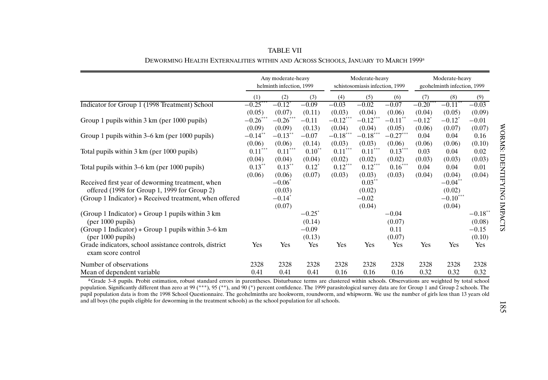|                                                                              | Any moderate-heavy<br>helminth infection, 1999 |                   | Moderate-heavy<br>schistosomiasis infection, 1999 |            |                        | Moderate-heavy<br>geohelminth infection, 1999 |                 |                        |            |
|------------------------------------------------------------------------------|------------------------------------------------|-------------------|---------------------------------------------------|------------|------------------------|-----------------------------------------------|-----------------|------------------------|------------|
|                                                                              | (1)                                            | (2)               | (3)                                               | (4)        | (5)                    | (6)                                           | (7)             | (8)                    | (9)        |
| Indicator for Group 1 (1998 Treatment) School                                | $-0.25^{\circ}$                                | $-0.12$           | $-0.09$                                           | $-0.03$    | $-0.02$                | $-0.07$                                       | $-0.20^{\circ}$ | $-0.11$                | $-0.03$    |
|                                                                              | (0.05)                                         | (0.07)            | (0.11)                                            | (0.03)     | (0.04)                 | (0.06)                                        | (0.04)          | (0.05)                 | (0.09)     |
| Group 1 pupils within 3 km (per 1000 pupils)                                 | $-0.26$ **                                     | $-0.26$ **        | $-0.11$                                           | $-0.12$ ** | $-0.12***$             | $-0.11$ **                                    | $-0.12^*$       | $-0.12^*$              | $-0.01$    |
|                                                                              | (0.09)                                         | (0.09)            | (0.13)                                            | (0.04)     | (0.04)                 | (0.05)                                        | (0.06)          | (0.07)                 | (0.07)     |
| Group 1 pupils within 3–6 km (per 1000 pupils)                               | $-0.14***$                                     | $-0.13***$        | $-0.07$                                           | $-0.18***$ | $-0.18^{\ast\ast\ast}$ | $-0.27***$                                    | 0.04            | 0.04                   | 0.16       |
|                                                                              | (0.06)                                         | (0.06)            | (0.14)                                            | (0.03)     | (0.03)                 | (0.06)                                        | (0.06)          | (0.06)                 | (0.10)     |
| Total pupils within 3 km (per 1000 pupils)                                   | $0.11***$                                      | $0.11***$         | $0.10***$                                         | $0.11***$  | $0.11***$              | $0.13***$                                     | 0.03            | 0.04                   | 0.02       |
|                                                                              | (0.04)                                         | (0.04)            | (0.04)                                            | (0.02)     | (0.02)                 | (0.02)                                        | (0.03)          | (0.03)                 | (0.03)     |
| Total pupils within 3–6 km (per 1000 pupils)                                 | $0.13***$                                      | $0.13***$         | $0.12*$                                           | $0.12***$  | $0.12***$              | $0.16***$                                     | 0.04            | 0.04                   | 0.01       |
|                                                                              | (0.06)                                         | (0.06)            | (0.07)                                            | (0.03)     | (0.03)                 | (0.03)                                        | (0.04)          | (0.04)                 | (0.04)     |
| Received first year of deworming treatment, when                             |                                                | $-0.06*$          |                                                   |            | $0.03***$              |                                               |                 | $-0.04$ **             |            |
| offered (1998 for Group 1, 1999 for Group 2)                                 |                                                | (0.03)            |                                                   |            | (0.02)                 |                                               |                 | (0.02)                 |            |
| (Group 1 Indicator) * Received treatment, when offered                       |                                                | $-0.14^{\degree}$ |                                                   |            | $-0.02$                |                                               |                 | $-0.10^{\ast\ast\ast}$ |            |
|                                                                              |                                                | (0.07)            |                                                   |            | (0.04)                 |                                               |                 | (0.04)                 |            |
| (Group 1 Indicator) $*$ Group 1 pupils within 3 km                           |                                                |                   | $-0.25^*$                                         |            |                        | $-0.04$                                       |                 |                        | $-0.18***$ |
| $(per 1000$ pupils)                                                          |                                                |                   | (0.14)                                            |            |                        | (0.07)                                        |                 |                        | (0.08)     |
| (Group 1 Indicator) $*$ Group 1 pupils within 3–6 km                         |                                                |                   | $-0.09$                                           |            |                        | 0.11                                          |                 |                        | $-0.15$    |
| $(per 1000$ pupils)                                                          |                                                |                   | (0.13)                                            |            |                        | (0.07)                                        |                 |                        | (0.10)     |
| Grade indicators, school assistance controls, district<br>exam score control | Yes                                            | Yes               | Yes                                               | Yes        | Yes                    | Yes                                           | Yes             | Yes                    | Yes        |
| Number of observations                                                       | 2328                                           | 2328              | 2328                                              | 2328       | 2328                   | 2328                                          | 2328            | 2328                   | 2328       |
| Mean of dependent variable.                                                  | 0.41                                           | 0.41              | 0.41                                              | 0.16       | 0.16                   | 0.16                                          | 0.32            | 0.32                   | 0.32       |

TABLE VIIDEWORMING HEALTH EXTERNALITIES WITHIN AND ACROSS SCHOOLS, JANUARY TO MARCH 1999ª

<sup>a</sup>Grade 3-8 pupils. Probit estimation, robust standard errors in parentheses. Disturbance terms are clustered within schools. Observations are weighted by total school population. Significantly different than zero at 99 (\*\*\*), 95 (\*\*), and 90 (\*) percent confidence. The 1999 parasitological survey data are for Group 1 and Group 2 schools. The pupil population data is from the 1998 School Questionnaire. The geohelminths are hookworm, roundworm, and whipworm. We use the number of girls less than 13 years old and all boys (the pupils eligible for deworming in the treatment schools) as the school population for all schools.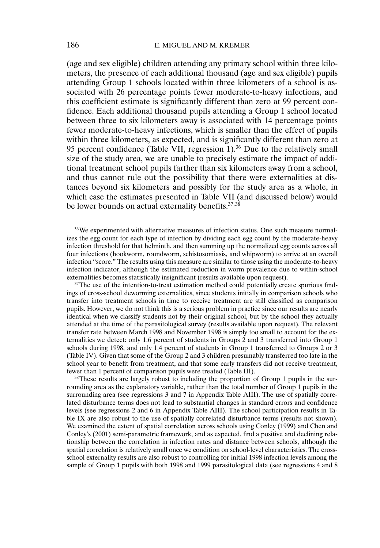(age and sex eligible) children attending any primary school within three kilometers, the presence of each additional thousand (age and sex eligible) pupils attending Group 1 schools located within three kilometers of a school is associated with 26 percentage points fewer moderate-to-heavy infections, and this coefficient estimate is significantly different than zero at 99 percent confidence. Each additional thousand pupils attending a Group 1 school located between three to six kilometers away is associated with 14 percentage points fewer moderate-to-heavy infections, which is smaller than the effect of pupils within three kilometers, as expected, and is significantly different than zero at 95 percent confidence (Table VII, regression  $1$ ).<sup>36</sup> Due to the relatively small size of the study area, we are unable to precisely estimate the impact of additional treatment school pupils farther than six kilometers away from a school, and thus cannot rule out the possibility that there were externalities at distances beyond six kilometers and possibly for the study area as a whole, in which case the estimates presented in Table VII (and discussed below) would be lower bounds on actual externality benefits. $37,38$ 

36We experimented with alternative measures of infection status. One such measure normalizes the egg count for each type of infection by dividing each egg count by the moderate-heavy infection threshold for that helminth, and then summing up the normalized egg counts across all four infections (hookworm, roundworm, schistosomiasis, and whipworm) to arrive at an overall infection "score." The results using this measure are similar to those using the moderate-to-heavy infection indicator, although the estimated reduction in worm prevalence due to within-school externalities becomes statistically insignificant (results available upon request).

 $37$ The use of the intention-to-treat estimation method could potentially create spurious findings of cross-school deworming externalities, since students initially in comparison schools who transfer into treatment schools in time to receive treatment are still classified as comparison pupils. However, we do not think this is a serious problem in practice since our results are nearly identical when we classify students not by their original school, but by the school they actually attended at the time of the parasitological survey (results available upon request). The relevant transfer rate between March 1998 and November 1998 is simply too small to account for the externalities we detect: only 1.6 percent of students in Groups 2 and 3 transferred into Group 1 schools during 1998, and only 1.4 percent of students in Group 1 transferred to Groups 2 or 3 (Table IV). Given that some of the Group 2 and 3 children presumably transferred too late in the school year to benefit from treatment, and that some early transfers did not receive treatment, fewer than 1 percent of comparison pupils were treated (Table III).

<sup>38</sup>These results are largely robust to including the proportion of Group 1 pupils in the surrounding area as the explanatory variable, rather than the total number of Group 1 pupils in the surrounding area (see regressions 3 and 7 in Appendix Table AIII). The use of spatially correlated disturbance terms does not lead to substantial changes in standard errors and confidence levels (see regressions 2 and 6 in Appendix Table AIII). The school participation results in Table IX are also robust to the use of spatially correlated disturbance terms (results not shown). We examined the extent of spatial correlation across schools using Conley (1999) and Chen and Conley's (2001) semi-parametric framework, and as expected, find a positive and declining relationship between the correlation in infection rates and distance between schools, although the spatial correlation is relatively small once we condition on school-level characteristics. The crossschool externality results are also robust to controlling for initial 1998 infection levels among the sample of Group 1 pupils with both 1998 and 1999 parasitological data (see regressions 4 and 8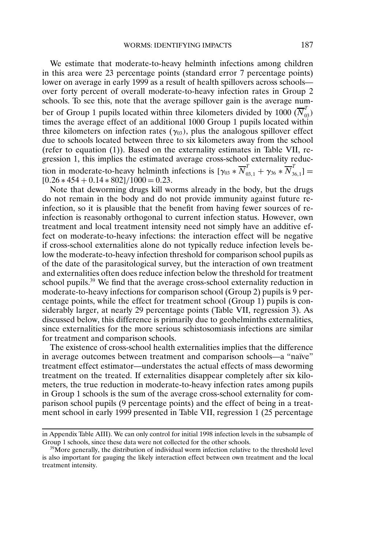We estimate that moderate-to-heavy helminth infections among children in this area were 23 percentage points (standard error 7 percentage points) lower on average in early 1999 as a result of health spillovers across schools over forty percent of overall moderate-to-heavy infection rates in Group 2 schools. To see this, note that the average spillover gain is the average number of Group 1 pupils located within three kilometers divided by 1000  $(\overline{N}_{03}^T)$ times the average effect of an additional 1000 Group 1 pupils located within three kilometers on infection rates ( $\gamma_{03}$ ), plus the analogous spillover effect due to schools located between three to six kilometers away from the school (refer to equation (1)). Based on the externality estimates in Table VII, regression 1, this implies the estimated average cross-school externality reduction in moderate-to-heavy helminth infections is  $[\gamma_{03} * \overline{N}_{03,1}^T + \gamma_{36} * \overline{N}_{36,1}^T] =$  $[0.26 * 454 + 0.14 * 802]/1000 = 0.23.$ 

Note that deworming drugs kill worms already in the body, but the drugs do not remain in the body and do not provide immunity against future reinfection, so it is plausible that the benefit from having fewer sources of reinfection is reasonably orthogonal to current infection status. However, own treatment and local treatment intensity need not simply have an additive effect on moderate-to-heavy infections: the interaction effect will be negative if cross-school externalities alone do not typically reduce infection levels below the moderate-to-heavy infection threshold for comparison school pupils as of the date of the parasitological survey, but the interaction of own treatment and externalities often does reduce infection below the threshold for treatment school pupils.<sup>39</sup> We find that the average cross-school externality reduction in moderate-to-heavy infections for comparison school (Group 2) pupils is 9 percentage points, while the effect for treatment school (Group 1) pupils is considerably larger, at nearly 29 percentage points (Table VII, regression 3). As discussed below, this difference is primarily due to geohelminths externalities, since externalities for the more serious schistosomiasis infections are similar for treatment and comparison schools.

The existence of cross-school health externalities implies that the difference in average outcomes between treatment and comparison schools—a "naïve" treatment effect estimator—understates the actual effects of mass deworming treatment on the treated. If externalities disappear completely after six kilometers, the true reduction in moderate-to-heavy infection rates among pupils in Group 1 schools is the sum of the average cross-school externality for comparison school pupils (9 percentage points) and the effect of being in a treatment school in early 1999 presented in Table VII, regression 1 (25 percentage

in Appendix Table AIII). We can only control for initial 1998 infection levels in the subsample of Group 1 schools, since these data were not collected for the other schools.

<sup>&</sup>lt;sup>39</sup>More generally, the distribution of individual worm infection relative to the threshold level is also important for gauging the likely interaction effect between own treatment and the local treatment intensity.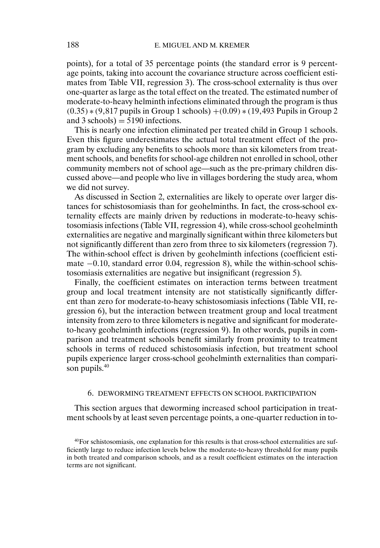points), for a total of 35 percentage points (the standard error is 9 percentage points, taking into account the covariance structure across coefficient estimates from Table VII, regression 3). The cross-school externality is thus over one-quarter as large as the total effect on the treated. The estimated number of moderate-to-heavy helminth infections eliminated through the program is thus  $(0.35) * (9,817)$  pupils in Group 1 schools) +(0.09)  $*(19,493)$  Pupils in Group 2 and 3 schools)  $=$  5190 infections.

This is nearly one infection eliminated per treated child in Group 1 schools. Even this figure underestimates the actual total treatment effect of the program by excluding any benefits to schools more than six kilometers from treatment schools, and benefits for school-age children not enrolled in school, other community members not of school age—such as the pre-primary children discussed above—and people who live in villages bordering the study area, whom we did not survey.

As discussed in Section 2, externalities are likely to operate over larger distances for schistosomiasis than for geohelminths. In fact, the cross-school externality effects are mainly driven by reductions in moderate-to-heavy schistosomiasis infections (Table VII, regression 4), while cross-school geohelminth externalities are negative and marginally significant within three kilometers but not significantly different than zero from three to six kilometers (regression 7). The within-school effect is driven by geohelminth infections (coefficient estimate −0.10, standard error 0.04, regression 8), while the within-school schistosomiasis externalities are negative but insignificant (regression 5).

Finally, the coefficient estimates on interaction terms between treatment group and local treatment intensity are not statistically significantly different than zero for moderate-to-heavy schistosomiasis infections (Table VII, regression 6), but the interaction between treatment group and local treatment intensity from zero to three kilometers is negative and significant for moderateto-heavy geohelminth infections (regression 9). In other words, pupils in comparison and treatment schools benefit similarly from proximity to treatment schools in terms of reduced schistosomiasis infection, but treatment school pupils experience larger cross-school geohelminth externalities than comparison pupils.<sup>40</sup>

#### 6. DEWORMING TREATMENT EFFECTS ON SCHOOL PARTICIPATION

This section argues that deworming increased school participation in treatment schools by at least seven percentage points, a one-quarter reduction in to-

<sup>40</sup>For schistosomiasis, one explanation for this results is that cross-school externalities are sufficiently large to reduce infection levels below the moderate-to-heavy threshold for many pupils in both treated and comparison schools, and as a result coefficient estimates on the interaction terms are not significant.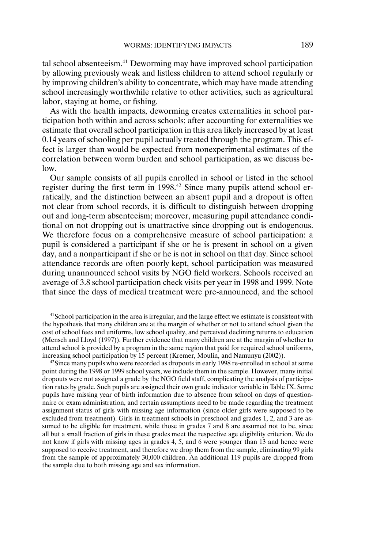tal school absenteeism.41 Deworming may have improved school participation by allowing previously weak and listless children to attend school regularly or by improving children's ability to concentrate, which may have made attending school increasingly worthwhile relative to other activities, such as agricultural labor, staying at home, or fishing.

As with the health impacts, deworming creates externalities in school participation both within and across schools; after accounting for externalities we estimate that overall school participation in this area likely increased by at least 0.14 years of schooling per pupil actually treated through the program. This effect is larger than would be expected from nonexperimental estimates of the correlation between worm burden and school participation, as we discuss below.

Our sample consists of all pupils enrolled in school or listed in the school register during the first term in 1998.<sup>42</sup> Since many pupils attend school erratically, and the distinction between an absent pupil and a dropout is often not clear from school records, it is difficult to distinguish between dropping out and long-term absenteeism; moreover, measuring pupil attendance conditional on not dropping out is unattractive since dropping out is endogenous. We therefore focus on a comprehensive measure of school participation: a pupil is considered a participant if she or he is present in school on a given day, and a nonparticipant if she or he is not in school on that day. Since school attendance records are often poorly kept, school participation was measured during unannounced school visits by NGO field workers. Schools received an average of 3.8 school participation check visits per year in 1998 and 1999. Note that since the days of medical treatment were pre-announced, and the school

<sup>41</sup> School participation in the area is irregular, and the large effect we estimate is consistent with the hypothesis that many children are at the margin of whether or not to attend school given the cost of school fees and uniforms, low school quality, and perceived declining returns to education (Mensch and Lloyd (1997)). Further evidence that many children are at the margin of whether to attend school is provided by a program in the same region that paid for required school uniforms, increasing school participation by 15 percent (Kremer, Moulin, and Namunyu (2002)).

<sup>42</sup>Since many pupils who were recorded as dropouts in early 1998 re-enrolled in school at some point during the 1998 or 1999 school years, we include them in the sample. However, many initial dropouts were not assigned a grade by the NGO field staff, complicating the analysis of participation rates by grade. Such pupils are assigned their own grade indicator variable in Table IX. Some pupils have missing year of birth information due to absence from school on days of questionnaire or exam administration, and certain assumptions need to be made regarding the treatment assignment status of girls with missing age information (since older girls were supposed to be excluded from treatment). Girls in treatment schools in preschool and grades 1, 2, and 3 are assumed to be eligible for treatment, while those in grades 7 and 8 are assumed not to be, since all but a small fraction of girls in these grades meet the respective age eligibility criterion. We do not know if girls with missing ages in grades 4, 5, and 6 were younger than 13 and hence were supposed to receive treatment, and therefore we drop them from the sample, eliminating 99 girls from the sample of approximately 30,000 children. An additional 119 pupils are dropped from the sample due to both missing age and sex information.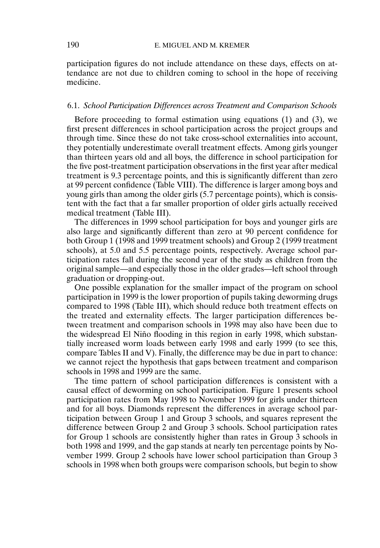participation figures do not include attendance on these days, effects on attendance are not due to children coming to school in the hope of receiving medicine.

## 6.1. *School Participation Differences across Treatment and Comparison Schools*

Before proceeding to formal estimation using equations (1) and (3), we first present differences in school participation across the project groups and through time. Since these do not take cross-school externalities into account, they potentially underestimate overall treatment effects. Among girls younger than thirteen years old and all boys, the difference in school participation for the five post-treatment participation observations in the first year after medical treatment is 9.3 percentage points, and this is significantly different than zero at 99 percent confidence (Table VIII). The difference is larger among boys and young girls than among the older girls (5.7 percentage points), which is consistent with the fact that a far smaller proportion of older girls actually received medical treatment (Table III).

The differences in 1999 school participation for boys and younger girls are also large and significantly different than zero at 90 percent confidence for both Group 1 (1998 and 1999 treatment schools) and Group 2 (1999 treatment schools), at 5.0 and 5.5 percentage points, respectively. Average school participation rates fall during the second year of the study as children from the original sample—and especially those in the older grades—left school through graduation or dropping-out.

One possible explanation for the smaller impact of the program on school participation in 1999 is the lower proportion of pupils taking deworming drugs compared to 1998 (Table III), which should reduce both treatment effects on the treated and externality effects. The larger participation differences between treatment and comparison schools in 1998 may also have been due to the widespread El Niño flooding in this region in early 1998, which substantially increased worm loads between early 1998 and early 1999 (to see this, compare Tables II and V). Finally, the difference may be due in part to chance: we cannot reject the hypothesis that gaps between treatment and comparison schools in 1998 and 1999 are the same.

The time pattern of school participation differences is consistent with a causal effect of deworming on school participation. Figure 1 presents school participation rates from May 1998 to November 1999 for girls under thirteen and for all boys. Diamonds represent the differences in average school participation between Group 1 and Group 3 schools, and squares represent the difference between Group 2 and Group 3 schools. School participation rates for Group 1 schools are consistently higher than rates in Group 3 schools in both 1998 and 1999, and the gap stands at nearly ten percentage points by November 1999. Group 2 schools have lower school participation than Group 3 schools in 1998 when both groups were comparison schools, but begin to show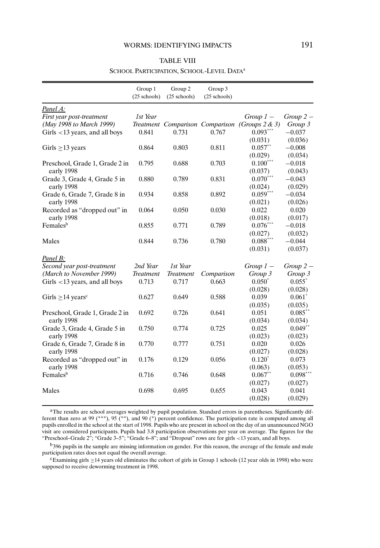## WORMS: IDENTIFYING IMPACTS 191

## TABLE VIII

### SCHOOL PARTICIPATION, SCHOOL-LEVEL DATA<sup>a</sup>

|                                    | Group 1<br>$(25$ schools) | Group 2<br>$(25$ schools) | Group 3<br>$(25$ schools) |                                                   |             |
|------------------------------------|---------------------------|---------------------------|---------------------------|---------------------------------------------------|-------------|
|                                    |                           |                           |                           |                                                   |             |
| Panel A:                           |                           |                           |                           |                                                   |             |
| First year post-treatment          | 1st Year                  |                           |                           | $Group 1-$                                        | $Group\ 2-$ |
| (May 1998 to March 1999)           |                           |                           |                           | Treatment Comparison Comparison (Groups $2 & 3$ ) | Group 3     |
| Girls $<$ 13 years, and all boys   | 0.841                     | 0.731                     | 0.767                     | $0.093***$                                        | $-0.037$    |
|                                    |                           |                           |                           | (0.031)                                           | (0.036)     |
| Girls $\geq$ 13 years              | 0.864                     | 0.803                     | 0.811                     | $0.057**$                                         | $-0.008$    |
|                                    |                           |                           |                           | (0.029)                                           | (0.034)     |
| Preschool, Grade 1, Grade 2 in     | 0.795                     | 0.688                     | 0.703                     | $0.100***$                                        | $-0.018$    |
| early 1998                         |                           |                           |                           | (0.037)                                           | (0.043)     |
| Grade 3, Grade 4, Grade 5 in       | 0.880                     | 0.789                     | 0.831                     | $0.070***$                                        | $-0.043$    |
| early 1998                         |                           |                           |                           | (0.024)                                           | (0.029)     |
| Grade 6, Grade 7, Grade 8 in       | 0.934                     | 0.858                     | 0.892                     | $0.059***$                                        | $-0.034$    |
| early 1998                         |                           |                           |                           | (0.021)                                           | (0.026)     |
| Recorded as "dropped out" in       | 0.064                     | 0.050                     | 0.030                     | 0.022                                             | 0.020       |
| early 1998                         |                           |                           |                           | (0.018)                                           | (0.017)     |
| Females <sup>b</sup>               | 0.855                     | 0.771                     | 0.789                     | $0.076***$                                        | $-0.018$    |
|                                    |                           |                           |                           | (0.027)                                           | (0.032)     |
| Males                              | 0.844                     | 0.736                     | 0.780                     | $0.088***$                                        | $-0.044$    |
|                                    |                           |                           |                           | (0.031)                                           | (0.037)     |
| Panel B:                           |                           |                           |                           |                                                   |             |
| Second year post-treatment         | 2nd Year                  | 1st Year                  |                           | $Group 1-$                                        | $Group\ 2-$ |
| (March to November 1999)           | <b>Treatment</b>          | <b>Treatment</b>          | Comparison                | Group 3                                           | Group 3     |
| Girls $<$ 13 years, and all boys   | 0.713                     | 0.717                     | 0.663                     | $0.050*$                                          | $0.055*$    |
|                                    |                           |                           |                           | (0.028)                                           | (0.028)     |
| Girls $\geq$ 14 years <sup>c</sup> | 0.627                     | 0.649                     | 0.588                     | 0.039                                             | $0.061*$    |
|                                    |                           |                           |                           | (0.035)                                           | (0.035)     |
| Preschool, Grade 1, Grade 2 in     | 0.692                     | 0.726                     | 0.641                     | 0.051                                             | $0.085^*$   |
| early 1998                         |                           |                           |                           | (0.034)                                           | (0.034)     |
| Grade 3, Grade 4, Grade 5 in       | 0.750                     | 0.774                     | 0.725                     | 0.025                                             | $0.049**$   |
| early 1998                         |                           |                           |                           | (0.023)                                           | (0.023)     |
| Grade 6, Grade 7, Grade 8 in       | 0.770                     | 0.777                     | 0.751                     | 0.020                                             | 0.026       |
| early 1998                         |                           |                           |                           | (0.027)                                           | (0.028)     |
| Recorded as "dropped out" in       | 0.176                     | 0.129                     | 0.056                     | $0.120*$                                          | 0.073       |
| early 1998                         |                           |                           |                           | (0.063)                                           | (0.053)     |
| Females <sup>b</sup>               | 0.716                     | 0.746                     | 0.648                     | $0.067**$                                         | $0.098***$  |
|                                    |                           |                           |                           | (0.027)                                           | (0.027)     |
| Males                              | 0.698                     | 0.695                     | 0.655                     | 0.043                                             | 0.041       |
|                                    |                           |                           |                           | (0.028)                                           | (0.029)     |
|                                    |                           |                           |                           |                                                   |             |

aThe results are school averages weighted by pupil population. Standard errors in parentheses. Significantly different than zero at 99 (\*\*\*), 95 (\*\*), and 90 (\*) percent confidence. The participation rate is computed among all pupils enrolled in the school at the start of 1998. Pupils who are present in school on the day of an unannounced NGO visit are considered participants. Pupils had 3.8 participation observations per year on average. The figures for the "Preschool–Grade  $2^{\degree}$ ; "Grade 3–5"; "Grade 6–8"; and "Dropout" rows are for girls <13 years, and all boys.

<sup>b</sup>396 pupils in the sample are missing information on gender. For this reason, the average of the female and male participation rates does not equal the overall average.

 $c_{\text{Examining girls}} \geq 14$  years old eliminates the cohort of girls in Group 1 schools (12 year olds in 1998) who were supposed to receive deworming treatment in 1998.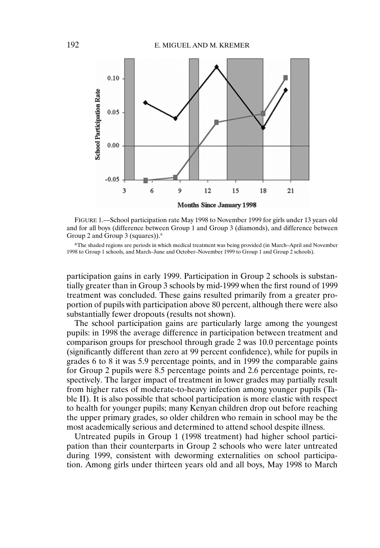

FIGURE 1.—School participation rate May 1998 to November 1999 for girls under 13 years old and for all boys (difference between Group 1 and Group 3 (diamonds), and difference between Group 2 and Group 3 (squares)). $^{\rm a}$ 

aThe shaded regions are periods in which medical treatment was being provided (in March–April and November 1998 to Group 1 schools, and March–June and October–November 1999 to Group 1 and Group 2 schools).

participation gains in early 1999. Participation in Group 2 schools is substantially greater than in Group 3 schools by mid-1999 when the first round of 1999 treatment was concluded. These gains resulted primarily from a greater proportion of pupils with participation above 80 percent, although there were also substantially fewer dropouts (results not shown).

The school participation gains are particularly large among the youngest pupils: in 1998 the average difference in participation between treatment and comparison groups for preschool through grade 2 was 10.0 percentage points (significantly different than zero at 99 percent confidence), while for pupils in grades 6 to 8 it was 5.9 percentage points, and in 1999 the comparable gains for Group 2 pupils were 8.5 percentage points and 2.6 percentage points, respectively. The larger impact of treatment in lower grades may partially result from higher rates of moderate-to-heavy infection among younger pupils (Table II). It is also possible that school participation is more elastic with respect to health for younger pupils; many Kenyan children drop out before reaching the upper primary grades, so older children who remain in school may be the most academically serious and determined to attend school despite illness.

Untreated pupils in Group 1 (1998 treatment) had higher school participation than their counterparts in Group 2 schools who were later untreated during 1999, consistent with deworming externalities on school participation. Among girls under thirteen years old and all boys, May 1998 to March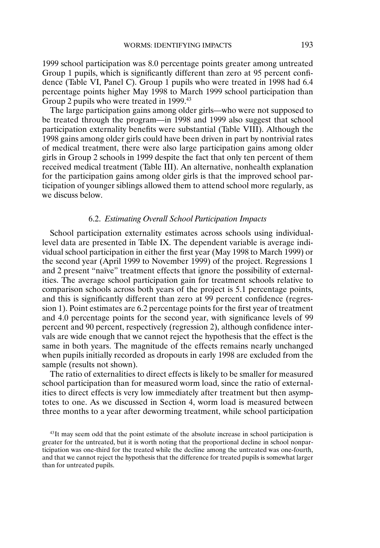1999 school participation was 8.0 percentage points greater among untreated Group 1 pupils, which is significantly different than zero at 95 percent confidence (Table VI, Panel C). Group 1 pupils who were treated in 1998 had 6.4 percentage points higher May 1998 to March 1999 school participation than Group 2 pupils who were treated in 1999.<sup>43</sup>

The large participation gains among older girls—who were not supposed to be treated through the program—in 1998 and 1999 also suggest that school participation externality benefits were substantial (Table VIII). Although the 1998 gains among older girls could have been driven in part by nontrivial rates of medical treatment, there were also large participation gains among older girls in Group 2 schools in 1999 despite the fact that only ten percent of them received medical treatment (Table III). An alternative, nonhealth explanation for the participation gains among older girls is that the improved school participation of younger siblings allowed them to attend school more regularly, as we discuss below.

# 6.2. *Estimating Overall School Participation Impacts*

School participation externality estimates across schools using individuallevel data are presented in Table IX. The dependent variable is average individual school participation in either the first year (May 1998 to March 1999) or the second year (April 1999 to November 1999) of the project. Regressions 1 and 2 present "naïve" treatment effects that ignore the possibility of externalities. The average school participation gain for treatment schools relative to comparison schools across both years of the project is 5.1 percentage points, and this is significantly different than zero at 99 percent confidence (regression 1). Point estimates are 6.2 percentage points for the first year of treatment and 4.0 percentage points for the second year, with significance levels of 99 percent and 90 percent, respectively (regression 2), although confidence intervals are wide enough that we cannot reject the hypothesis that the effect is the same in both years. The magnitude of the effects remains nearly unchanged when pupils initially recorded as dropouts in early 1998 are excluded from the sample (results not shown).

The ratio of externalities to direct effects is likely to be smaller for measured school participation than for measured worm load, since the ratio of externalities to direct effects is very low immediately after treatment but then asymptotes to one. As we discussed in Section 4, worm load is measured between three months to a year after deworming treatment, while school participation

<sup>43</sup>It may seem odd that the point estimate of the absolute increase in school participation is greater for the untreated, but it is worth noting that the proportional decline in school nonparticipation was one-third for the treated while the decline among the untreated was one-fourth, and that we cannot reject the hypothesis that the difference for treated pupils is somewhat larger than for untreated pupils.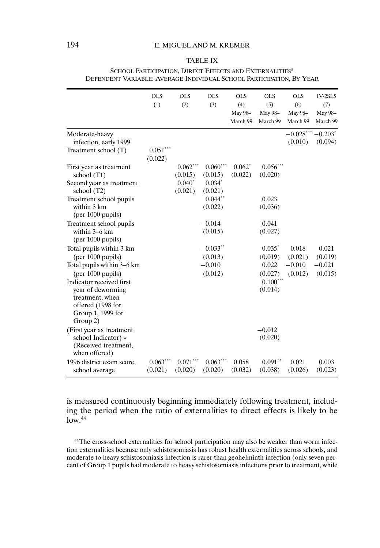#### TABLE IX

| SCHOOL PARTICIPATION. DIRECT EFFECTS AND EXTERNALITIES <sup>a</sup>  |  |
|----------------------------------------------------------------------|--|
| DEPENDENT VARIABLE: AVERAGE INDIVIDUAL SCHOOL PARTICIPATION, BY YEAR |  |

|                                               | <b>OLS</b> | <b>OLS</b> | <b>OLS</b> | <b>OLS</b> | <b>OLS</b> | <b>OLS</b>             | <b>IV-2SLS</b>                   |
|-----------------------------------------------|------------|------------|------------|------------|------------|------------------------|----------------------------------|
|                                               | (1)        | (2)        | (3)        | (4)        | (5)        | (6)                    | (7)                              |
|                                               |            |            |            | May 98-    | May 98-    | May 98-                | May 98-                          |
|                                               |            |            |            | March 99   | March 99   | March 99               | March 99                         |
| Moderate-heavy                                |            |            |            |            |            | $-0.028***$<br>(0.010) | $-0.203$ <sup>*</sup><br>(0.094) |
| infection, early 1999<br>Treatment school (T) | $0.051***$ |            |            |            |            |                        |                                  |
|                                               | (0.022)    |            |            |            |            |                        |                                  |
| First year as treatment                       |            | $0.062***$ | $0.060***$ | $0.062^*$  | $0.056*$   |                        |                                  |
| school (T1)                                   |            | (0.015)    | (0.015)    | (0.022)    | (0.020)    |                        |                                  |
| Second year as treatment                      |            | $0.040*$   | $0.034*$   |            |            |                        |                                  |
| school (T2)                                   |            | (0.021)    | (0.021)    |            |            |                        |                                  |
| Treatment school pupils<br>within 3 km        |            |            | $0.044***$ |            | 0.023      |                        |                                  |
| $(per 1000$ pupils)                           |            |            | (0.022)    |            | (0.036)    |                        |                                  |
| Treatment school pupils                       |            |            | $-0.014$   |            | $-0.041$   |                        |                                  |
| within 3-6 km<br>(per 1000 pupils)            |            |            | (0.015)    |            | (0.027)    |                        |                                  |
| Total pupils within 3 km                      |            |            | $-0.033**$ |            | $-0.035^*$ | 0.018                  | 0.021                            |
| $(per 1000$ pupils)                           |            |            | (0.013)    |            | (0.019)    | (0.021)                | (0.019)                          |
| Total pupils within 3-6 km                    |            |            | $-0.010$   |            | 0.022      | $-0.010$               | $-0.021$                         |
| $(per 1000$ pupils)                           |            |            | (0.012)    |            | (0.027)    | (0.012)                | (0.015)                          |
| Indicator received first                      |            |            |            |            | $0.100***$ |                        |                                  |
| year of deworming                             |            |            |            |            | (0.014)    |                        |                                  |
| treatment, when                               |            |            |            |            |            |                        |                                  |
| offered (1998 for                             |            |            |            |            |            |                        |                                  |
| Group 1, 1999 for                             |            |            |            |            |            |                        |                                  |
| Group 2)                                      |            |            |            |            |            |                        |                                  |
| (First year as treatment)                     |            |            |            |            | $-0.012$   |                        |                                  |
| school Indicator) *                           |            |            |            |            | (0.020)    |                        |                                  |
| (Received treatment,                          |            |            |            |            |            |                        |                                  |
| when offered)                                 |            |            |            |            |            |                        |                                  |
| 1996 district exam score,                     | $0.063***$ | $0.071***$ | $0.063***$ | 0.058      | $0.091***$ | 0.021                  | 0.003                            |
| school average                                | (0.021)    | (0.020)    | (0.020)    | (0.032)    | (0.038)    | (0.026)                | (0.023)                          |

is measured continuously beginning immediately following treatment, including the period when the ratio of externalities to direct effects is likely to be  $\text{low.}^{44}$ 

<sup>44</sup>The cross-school externalities for school participation may also be weaker than worm infection externalities because only schistosomiasis has robust health externalities across schools, and moderate to heavy schistosomiasis infection is rarer than geohelminth infection (only seven percent of Group 1 pupils had moderate to heavy schistosomiasis infections prior to treatment, while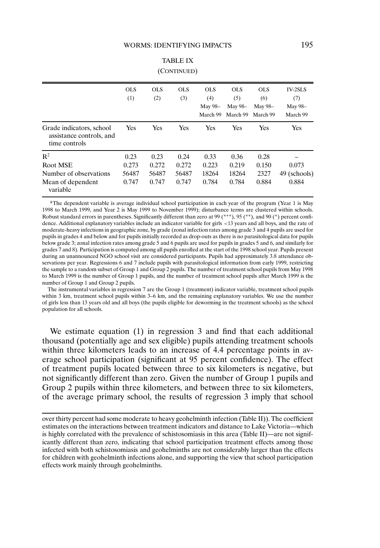| TABLE IX    |  |
|-------------|--|
| (CONTINUED) |  |

|                                                                       | <b>OLS</b><br>(1) | OL S<br>(2) | OLS.<br>(3) | OLS.<br>(4)<br>May 98-<br>March 99 | OL S<br>(5)<br>May 98-<br>March 99 | <b>OLS</b><br>(6)<br>May 98-<br>March 99 | <b>IV-2SLS</b><br>(7)<br>May 98-<br>March 99 |
|-----------------------------------------------------------------------|-------------------|-------------|-------------|------------------------------------|------------------------------------|------------------------------------------|----------------------------------------------|
| Grade indicators, school<br>assistance controls, and<br>time controls | Yes               | Yes         | Yes         | Yes                                | Yes                                | Yes                                      | Yes                                          |
| $\mathbb{R}^2$                                                        | 0.23              | 0.23        | 0.24        | 0.33                               | 0.36                               | 0.28                                     |                                              |
| Root MSE                                                              | 0.273             | 0.272       | 0.272       | 0.223                              | 0.219                              | 0.150                                    | 0.073                                        |
| Number of observations                                                | 56487             | 56487       | 56487       | 18264                              | 18264                              | 2327                                     | 49 (schools)                                 |
| Mean of dependent<br>variable                                         | 0.747             | 0.747       | 0.747       | 0.784                              | 0.784                              | 0.884                                    | 0.884                                        |

aThe dependent variable is average individual school participation in each year of the program (Year 1 is May 1998 to March 1999, and Year 2 is May 1999 to November 1999); disturbance terms are clustered within schools. Robust standard errors in parentheses. Significantly different than zero at 99 (\*\*\*), 95 (\*\*), and 90 (\*) percent confidence. Additional explanatory variables include an indicator variable for girls <13 years and all boys, and the rate of moderate-heavy infections in geographic zone, by grade (zonal infection rates among grade 3 and 4 pupils are used for pupils in grades 4 and below and for pupils initially recorded as drop-outs as there is no parasitological data for pupils below grade 3; zonal infection rates among grade 5 and 6 pupils are used for pupils in grades 5 and 6, and similarly for grades 7 and 8). Participation is computed among all pupils enrolled at the start of the 1998 school year. Pupils present during an unannounced NGO school visit are considered participants. Pupils had approximately 3.8 attendance observations per year. Regressions 6 and 7 include pupils with parasitological information from early 1999, restricting the sample to a random subset of Group 1 and Group 2 pupils. The number of treatment school pupils from May 1998 to March 1999 is the number of Group 1 pupils, and the number of treatment school pupils after March 1999 is the number of Group 1 and Group 2 pupils.

The instrumental variables in regression 7 are the Group 1 (treatment) indicator variable, treatment school pupils within 3 km, treatment school pupils within 3–6 km, and the remaining explanatory variables. We use the number of girls less than 13 years old and all boys (the pupils eligible for deworming in the treatment schools) as the school population for all schools.

We estimate equation (1) in regression 3 and find that each additional thousand (potentially age and sex eligible) pupils attending treatment schools within three kilometers leads to an increase of 4.4 percentage points in average school participation (significant at 95 percent confidence). The effect of treatment pupils located between three to six kilometers is negative, but not significantly different than zero. Given the number of Group 1 pupils and Group 2 pupils within three kilometers, and between three to six kilometers, of the average primary school, the results of regression 3 imply that school

over thirty percent had some moderate to heavy geohelminth infection (Table II)). The coefficient estimates on the interactions between treatment indicators and distance to Lake Victoria—which is highly correlated with the prevalence of schistosomiasis in this area (Table II)—are not significantly different than zero, indicating that school participation treatment effects among those infected with both schistosomiasis and geohelminths are not considerably larger than the effects for children with geohelminth infections alone, and supporting the view that school participation effects work mainly through geohelminths.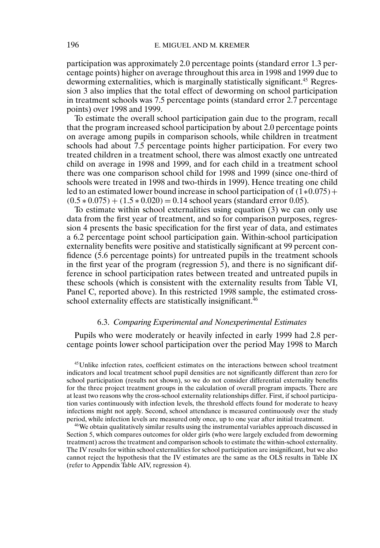participation was approximately 2.0 percentage points (standard error 1.3 percentage points) higher on average throughout this area in 1998 and 1999 due to deworming externalities, which is marginally statistically significant.<sup>45</sup> Regression 3 also implies that the total effect of deworming on school participation in treatment schools was 7.5 percentage points (standard error 2.7 percentage points) over 1998 and 1999.

To estimate the overall school participation gain due to the program, recall that the program increased school participation by about 2.0 percentage points on average among pupils in comparison schools, while children in treatment schools had about 7.5 percentage points higher participation. For every two treated children in a treatment school, there was almost exactly one untreated child on average in 1998 and 1999, and for each child in a treatment school there was one comparison school child for 1998 and 1999 (since one-third of schools were treated in 1998 and two-thirds in 1999). Hence treating one child led to an estimated lower bound increase in school participation of  $(1*0.075)$  +  $(0.5 * 0.075) + (1.5 * 0.020) = 0.14$  school years (standard error 0.05).

To estimate within school externalities using equation (3) we can only use data from the first year of treatment, and so for comparison purposes, regression 4 presents the basic specification for the first year of data, and estimates a 6.2 percentage point school participation gain. Within-school participation externality benefits were positive and statistically significant at 99 percent confidence (5.6 percentage points) for untreated pupils in the treatment schools in the first year of the program (regression 5), and there is no significant difference in school participation rates between treated and untreated pupils in these schools (which is consistent with the externality results from Table VI, Panel C, reported above). In this restricted 1998 sample, the estimated crossschool externality effects are statistically insignificant.<sup>46</sup>

# 6.3. *Comparing Experimental and Nonexperimental Estimates*

Pupils who were moderately or heavily infected in early 1999 had 2.8 percentage points lower school participation over the period May 1998 to March

45Unlike infection rates, coefficient estimates on the interactions between school treatment indicators and local treatment school pupil densities are not significantly different than zero for school participation (results not shown), so we do not consider differential externality benefits for the three project treatment groups in the calculation of overall program impacts. There are at least two reasons why the cross-school externality relationships differ. First, if school participation varies continuously with infection levels, the threshold effects found for moderate to heavy infections might not apply. Second, school attendance is measured continuously over the study period, while infection levels are measured only once, up to one year after initial treatment.

46We obtain qualitatively similar results using the instrumental variables approach discussed in Section 5, which compares outcomes for older girls (who were largely excluded from deworming treatment) across the treatment and comparison schools to estimate the within-school externality. The IV results for within school externalities for school participation are insignificant, but we also cannot reject the hypothesis that the IV estimates are the same as the OLS results in Table IX (refer to Appendix Table AIV, regression 4).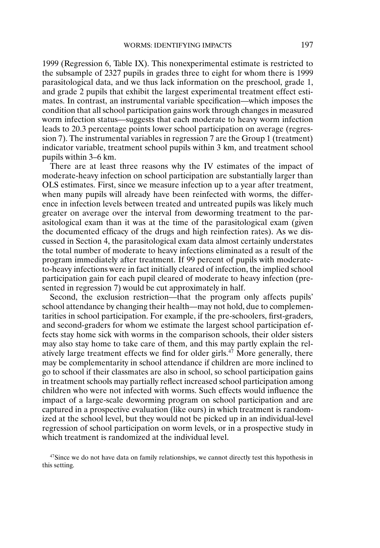1999 (Regression 6, Table IX). This nonexperimental estimate is restricted to the subsample of 2327 pupils in grades three to eight for whom there is 1999 parasitological data, and we thus lack information on the preschool, grade 1, and grade 2 pupils that exhibit the largest experimental treatment effect estimates. In contrast, an instrumental variable specification—which imposes the condition that all school participation gains work through changes in measured worm infection status—suggests that each moderate to heavy worm infection leads to 20.3 percentage points lower school participation on average (regression 7). The instrumental variables in regression 7 are the Group 1 (treatment) indicator variable, treatment school pupils within 3 km, and treatment school pupils within 3–6 km.

There are at least three reasons why the IV estimates of the impact of moderate-heavy infection on school participation are substantially larger than OLS estimates. First, since we measure infection up to a year after treatment, when many pupils will already have been reinfected with worms, the difference in infection levels between treated and untreated pupils was likely much greater on average over the interval from deworming treatment to the parasitological exam than it was at the time of the parasitological exam (given the documented efficacy of the drugs and high reinfection rates). As we discussed in Section 4, the parasitological exam data almost certainly understates the total number of moderate to heavy infections eliminated as a result of the program immediately after treatment. If 99 percent of pupils with moderateto-heavy infections were in fact initially cleared of infection, the implied school participation gain for each pupil cleared of moderate to heavy infection (presented in regression 7) would be cut approximately in half.

Second, the exclusion restriction—that the program only affects pupils' school attendance by changing their health—may not hold, due to complementarities in school participation. For example, if the pre-schoolers, first-graders, and second-graders for whom we estimate the largest school participation effects stay home sick with worms in the comparison schools, their older sisters may also stay home to take care of them, and this may partly explain the relatively large treatment effects we find for older girls.<sup>47</sup> More generally, there may be complementarity in school attendance if children are more inclined to go to school if their classmates are also in school, so school participation gains in treatment schools may partially reflect increased school participation among children who were not infected with worms. Such effects would influence the impact of a large-scale deworming program on school participation and are captured in a prospective evaluation (like ours) in which treatment is randomized at the school level, but they would not be picked up in an individual-level regression of school participation on worm levels, or in a prospective study in which treatment is randomized at the individual level.

<sup>&</sup>lt;sup>47</sup>Since we do not have data on family relationships, we cannot directly test this hypothesis in this setting.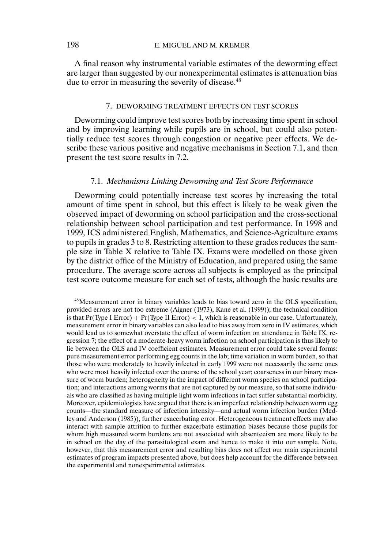# 198 E. MIGUEL AND M. KREMER

A final reason why instrumental variable estimates of the deworming effect are larger than suggested by our nonexperimental estimates is attenuation bias due to error in measuring the severity of disease.<sup>48</sup>

#### 7. DEWORMING TREATMENT EFFECTS ON TEST SCORES

Deworming could improve test scores both by increasing time spent in school and by improving learning while pupils are in school, but could also potentially reduce test scores through congestion or negative peer effects. We describe these various positive and negative mechanisms in Section 7.1, and then present the test score results in 7.2.

# 7.1. *Mechanisms Linking Deworming and Test Score Performance*

Deworming could potentially increase test scores by increasing the total amount of time spent in school, but this effect is likely to be weak given the observed impact of deworming on school participation and the cross-sectional relationship between school participation and test performance. In 1998 and 1999, ICS administered English, Mathematics, and Science-Agriculture exams to pupils in grades 3 to 8. Restricting attention to these grades reduces the sample size in Table X relative to Table IX. Exams were modelled on those given by the district office of the Ministry of Education, and prepared using the same procedure. The average score across all subjects is employed as the principal test score outcome measure for each set of tests, although the basic results are

<sup>48</sup>Measurement error in binary variables leads to bias toward zero in the OLS specification, provided errors are not too extreme (Aigner (1973), Kane et al. (1999)); the technical condition is that  $Pr(Type I Error) + Pr(Type II Error) < 1$ , which is reasonable in our case. Unfortunately, measurement error in binary variables can also lead to bias away from zero in IV estimates, which would lead us to somewhat overstate the effect of worm infection on attendance in Table IX, regression 7; the effect of a moderate-heavy worm infection on school participation is thus likely to lie between the OLS and IV coefficient estimates. Measurement error could take several forms: pure measurement error performing egg counts in the lab; time variation in worm burden, so that those who were moderately to heavily infected in early 1999 were not necessarily the same ones who were most heavily infected over the course of the school year; coarseness in our binary measure of worm burden; heterogeneity in the impact of different worm species on school participation; and interactions among worms that are not captured by our measure, so that some individuals who are classified as having multiple light worm infections in fact suffer substantial morbidity. Moreover, epidemiologists have argued that there is an imperfect relationship between worm egg counts—the standard measure of infection intensity—and actual worm infection burden (Medley and Anderson (1985)), further exacerbating error. Heterogeneous treatment effects may also interact with sample attrition to further exacerbate estimation biases because those pupils for whom high measured worm burdens are not associated with absenteeism are more likely to be in school on the day of the parasitological exam and hence to make it into our sample. Note, however, that this measurement error and resulting bias does not affect our main experimental estimates of program impacts presented above, but does help account for the difference between the experimental and nonexperimental estimates.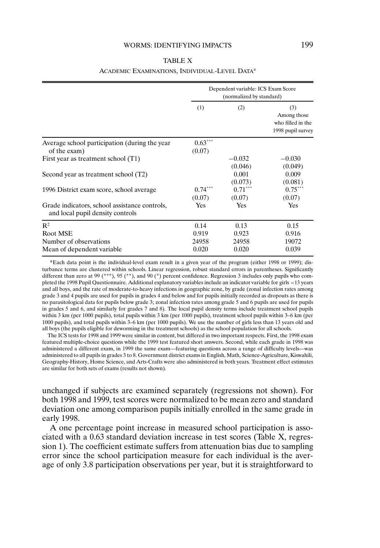#### TABLE X

#### ACADEMIC EXAMINATIONS, INDIVIDUAL-LEVEL DATA<sup>a</sup>

|                                                                                     |                                 | Dependent variable: ICS Exam Score<br>(normalized by standard) |                                                              |  |  |  |
|-------------------------------------------------------------------------------------|---------------------------------|----------------------------------------------------------------|--------------------------------------------------------------|--|--|--|
|                                                                                     | (1)                             | (2)                                                            | (3)<br>Among those<br>who filled in the<br>1998 pupil survey |  |  |  |
| Average school participation (during the year<br>of the exam)                       | $0.63***$<br>(0.07)             |                                                                |                                                              |  |  |  |
| First year as treatment school (T1)                                                 |                                 | $-0.032$<br>(0.046)                                            | $-0.030$<br>(0.049)                                          |  |  |  |
| Second year as treatment school (T2)                                                |                                 | 0.001<br>(0.073)                                               | 0.009<br>(0.081)                                             |  |  |  |
| 1996 District exam score, school average                                            | $0.74***$<br>(0.07)             | $0.71***$<br>(0.07)                                            | $0.75***$<br>(0.07)                                          |  |  |  |
| Grade indicators, school assistance controls,<br>and local pupil density controls   | Yes                             | <b>Yes</b>                                                     | Yes                                                          |  |  |  |
| $\mathbb{R}^2$<br>Root MSE<br>Number of observations<br>Mean of dependent variable. | 0.14<br>0.919<br>24958<br>0.020 | 0.13<br>0.923<br>24958<br>0.020                                | 0.15<br>0.916<br>19072<br>0.039                              |  |  |  |

<sup>a</sup>Each data point is the individual-level exam result in a given year of the program (either 1998 or 1999); disturbance terms are clustered within schools. Linear regression, robust standard errors in parentheses. Significantly different than zero at 99 (\*\*\*), 95 (\*\*), and 90 (\*) percent confidence. Regression 3 includes only pupils who completed the 1998 Pupil Questionnaire. Additional explanatory variables include an indicator variable for girls <13 years and all boys, and the rate of moderate-to-heavy infections in geographic zone, by grade (zonal infection rates among grade 3 and 4 pupils are used for pupils in grades 4 and below and for pupils initially recorded as dropouts as there is no parasitological data for pupils below grade 3; zonal infection rates among grade 5 and 6 pupils are used for pupils in grades 5 and 6, and similarly for grades 7 and 8). The local pupil density terms include treatment school pupils within 3 km (per 1000 pupils), total pupils within 3 km (per 1000 pupils), treatment school pupils within 3–6 km (per 1000 pupils), and total pupils within 3–6 km (per 1000 pupils). We use the number of girls less than 13 years old and all boys (the pupils eligible for deworming in the treatment schools) as the school population for all schools.

The ICS tests for 1998 and 1999 were similar in content, but differed in two important respects. First, the 1998 exam featured multiple-choice questions while the 1999 test featured short answers. Second, while each grade in 1998 was administered a different exam, in 1999 the same exam—featuring questions across a range of difficulty levels—was administered to all pupils in grades 3 to 8. Government district exams in English, Math, Science-Agriculture, Kiswahili, Geography-History, Home Science, and Arts-Crafts were also administered in both years. Treatment effect estimates are similar for both sets of exams (results not shown).

unchanged if subjects are examined separately (regressions not shown). For both 1998 and 1999, test scores were normalized to be mean zero and standard deviation one among comparison pupils initially enrolled in the same grade in early 1998.

A one percentage point increase in measured school participation is associated with a 0.63 standard deviation increase in test scores (Table X, regression 1). The coefficient estimate suffers from attenuation bias due to sampling error since the school participation measure for each individual is the average of only 3.8 participation observations per year, but it is straightforward to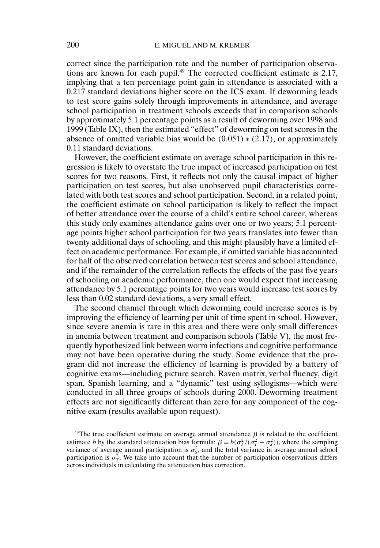correct since the participation rate and the number of participation observations are known for each pupil.49 The corrected coefficient estimate is 2.17, implying that a ten percentage point gain in attendance is associated with a 0.217 standard deviations higher score on the ICS exam. If deworming leads to test score gains solely through improvements in attendance, and average school participation in treatment schools exceeds that in comparison schools by approximately 5.1 percentage points as a result of deworming over 1998 and 1999 (Table IX), then the estimated "effect" of deworming on test scores in the absence of omitted variable bias would be  $(0.051) * (2.17)$ , or approximately 0.11 standard deviations.

However, the coefficient estimate on average school participation in this regression is likely to overstate the true impact of increased participation on test scores for two reasons. First, it reflects not only the causal impact of higher participation on test scores, but also unobserved pupil characteristics correlated with both test scores and school participation. Second, in a related point, the coefficient estimate on school participation is likely to reflect the impact of better attendance over the course of a child's entire school career, whereas this study only examines attendance gains over one or two years; 5.1 percentage points higher school participation for two years translates into fewer than twenty additional days of schooling, and this might plausibly have a limited effect on academic performance. For example, if omitted variable bias accounted for half of the observed correlation between test scores and school attendance, and if the remainder of the correlation reflects the effects of the past five years of schooling on academic performance, then one would expect that increasing attendance by 5.1 percentage points for two years would increase test scores by less than 0.02 standard deviations, a very small effect.

The second channel through which deworming could increase scores is by improving the efficiency of learning per unit of time spent in school. However, since severe anemia is rare in this area and there were only small differences in anemia between treatment and comparison schools (Table V), the most frequently hypothesized link between worm infections and cognitive performance may not have been operative during the study. Some evidence that the program did not increase the efficiency of learning is provided by a battery of cognitive exams—including picture search, Raven matrix, verbal fluency, digit span, Spanish learning, and a "dynamic" test using syllogisms—which were conducted in all three groups of schools during 2000. Deworming treatment effects are not significantly different than zero for any component of the cognitive exam (results available upon request).

<sup>49</sup>The true coefficient estimate on average annual attendance  $\beta$  is related to the coefficient estimate b by the standard attenuation bias formula:  $\beta = b(\sigma_T^2/(\sigma_T^2 - \sigma_S^2))$ , where the sampling variance of average annual participation is  $\sigma_s^2$ , and the total variance in average annual school participation is  $\sigma_T^2$ . We take into account that the number of participation observations differs across individuals in calculating the attenuation bias correction.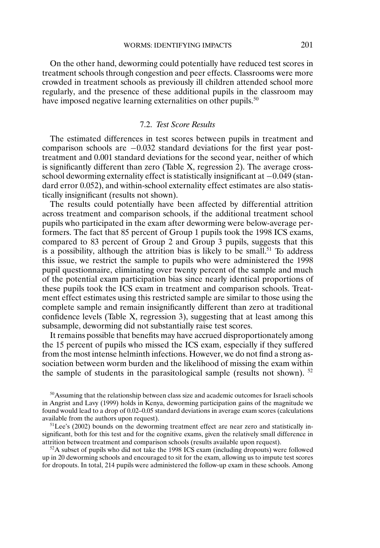On the other hand, deworming could potentially have reduced test scores in treatment schools through congestion and peer effects. Classrooms were more crowded in treatment schools as previously ill children attended school more regularly, and the presence of these additional pupils in the classroom may have imposed negative learning externalities on other pupils.<sup>50</sup>

# 7.2. *Test Score Results*

The estimated differences in test scores between pupils in treatment and comparison schools are −0.032 standard deviations for the first year posttreatment and 0.001 standard deviations for the second year, neither of which is significantly different than zero (Table X, regression 2). The average crossschool deworming externality effect is statistically insignificant at −0.049 (standard error 0.052), and within-school externality effect estimates are also statistically insignificant (results not shown).

The results could potentially have been affected by differential attrition across treatment and comparison schools, if the additional treatment school pupils who participated in the exam after deworming were below-average performers. The fact that 85 percent of Group 1 pupils took the 1998 ICS exams, compared to 83 percent of Group 2 and Group 3 pupils, suggests that this is a possibility, although the attrition bias is likely to be small.<sup>51</sup> To address this issue, we restrict the sample to pupils who were administered the 1998 pupil questionnaire, eliminating over twenty percent of the sample and much of the potential exam participation bias since nearly identical proportions of these pupils took the ICS exam in treatment and comparison schools. Treatment effect estimates using this restricted sample are similar to those using the complete sample and remain insignificantly different than zero at traditional confidence levels (Table X, regression 3), suggesting that at least among this subsample, deworming did not substantially raise test scores.

It remains possible that benefits may have accrued disproportionately among the 15 percent of pupils who missed the ICS exam, especially if they suffered from the most intense helminth infections. However, we do not find a strong association between worm burden and the likelihood of missing the exam within the sample of students in the parasitological sample (results not shown).  $52$ 

50Assuming that the relationship between class size and academic outcomes for Israeli schools in Angrist and Lavy (1999) holds in Kenya, deworming participation gains of the magnitude we found would lead to a drop of 0.02–0.05 standard deviations in average exam scores (calculations available from the authors upon request).

 $51$  Lee's (2002) bounds on the deworming treatment effect are near zero and statistically insignificant, both for this test and for the cognitive exams, given the relatively small difference in attrition between treatment and comparison schools (results available upon request).

 $52A$  subset of pupils who did not take the 1998 ICS exam (including dropouts) were followed up in 20 deworming schools and encouraged to sit for the exam, allowing us to impute test scores for dropouts. In total, 214 pupils were administered the follow-up exam in these schools. Among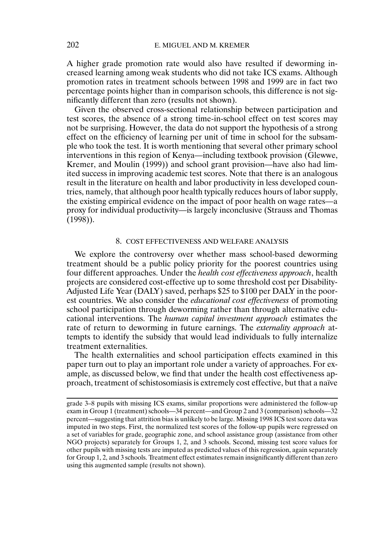A higher grade promotion rate would also have resulted if deworming increased learning among weak students who did not take ICS exams. Although promotion rates in treatment schools between 1998 and 1999 are in fact two percentage points higher than in comparison schools, this difference is not significantly different than zero (results not shown).

Given the observed cross-sectional relationship between participation and test scores, the absence of a strong time-in-school effect on test scores may not be surprising. However, the data do not support the hypothesis of a strong effect on the efficiency of learning per unit of time in school for the subsample who took the test. It is worth mentioning that several other primary school interventions in this region of Kenya—including textbook provision (Glewwe, Kremer, and Moulin (1999)) and school grant provision—have also had limited success in improving academic test scores. Note that there is an analogous result in the literature on health and labor productivity in less developed countries, namely, that although poor health typically reduces hours of labor supply, the existing empirical evidence on the impact of poor health on wage rates—a proxy for individual productivity—is largely inconclusive (Strauss and Thomas (1998)).

## 8. COST EFFECTIVENESS AND WELFARE ANALYSIS

We explore the controversy over whether mass school-based deworming treatment should be a public policy priority for the poorest countries using four different approaches. Under the *health cost effectiveness approach*, health projects are considered cost-effective up to some threshold cost per Disability-Adjusted Life Year (DALY) saved, perhaps \$25 to \$100 per DALY in the poorest countries. We also consider the *educational cost effectiveness* of promoting school participation through deworming rather than through alternative educational interventions. The *human capital investment approach* estimates the rate of return to deworming in future earnings. The *externality approach* attempts to identify the subsidy that would lead individuals to fully internalize treatment externalities.

The health externalities and school participation effects examined in this paper turn out to play an important role under a variety of approaches. For example, as discussed below, we find that under the health cost effectiveness approach, treatment of schistosomiasis is extremely cost effective, but that a naïve

grade 3–8 pupils with missing ICS exams, similar proportions were administered the follow-up exam in Group 1 (treatment) schools—34 percent—and Group 2 and 3 (comparison) schools—32 percent—suggesting that attrition bias is unlikely to be large. Missing 1998 ICS test score data was imputed in two steps. First, the normalized test scores of the follow-up pupils were regressed on a set of variables for grade, geographic zone, and school assistance group (assistance from other NGO projects) separately for Groups 1, 2, and 3 schools. Second, missing test score values for other pupils with missing tests are imputed as predicted values of this regression, again separately for Group 1, 2, and 3 schools. Treatment effect estimates remain insignificantly different than zero using this augmented sample (results not shown).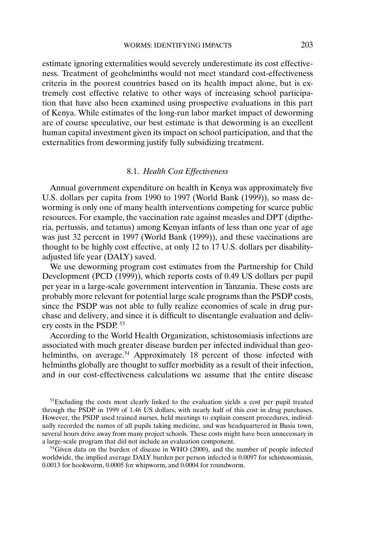estimate ignoring externalities would severely underestimate its cost effectiveness. Treatment of geohelminths would not meet standard cost-effectiveness criteria in the poorest countries based on its health impact alone, but is extremely cost effective relative to other ways of increasing school participation that have also been examined using prospective evaluations in this part of Kenya. While estimates of the long-run labor market impact of deworming are of course speculative, our best estimate is that deworming is an excellent human capital investment given its impact on school participation, and that the externalities from deworming justify fully subsidizing treatment.

# 8.1. *Health Cost Effectiveness*

Annual government expenditure on health in Kenya was approximately five U.S. dollars per capita from 1990 to 1997 (World Bank (1999)), so mass deworming is only one of many health interventions competing for scarce public resources. For example, the vaccination rate against measles and DPT (diptheria, pertussis, and tetanus) among Kenyan infants of less than one year of age was just 32 percent in 1997 (World Bank (1999)), and these vaccinations are thought to be highly cost effective, at only 12 to 17 U.S. dollars per disabilityadjusted life year (DALY) saved.

We use deworming program cost estimates from the Partnership for Child Development (PCD (1999)), which reports costs of 0.49 US dollars per pupil per year in a large-scale government intervention in Tanzania. These costs are probably more relevant for potential large scale programs than the PSDP costs, since the PSDP was not able to fully realize economies of scale in drug purchase and delivery, and since it is difficult to disentangle evaluation and delivery costs in the PSDP. <sup>53</sup>

According to the World Health Organization, schistosomiasis infections are associated with much greater disease burden per infected individual than geohelminths, on average.<sup>54</sup> Approximately 18 percent of those infected with helminths globally are thought to suffer morbidity as a result of their infection, and in our cost-effectiveness calculations we assume that the entire disease

<sup>53</sup>Excluding the costs most clearly linked to the evaluation yields a cost per pupil treated through the PSDP in 1999 of 1.46 US dollars, with nearly half of this cost in drug purchases. However, the PSDP used trained nurses, held meetings to explain consent procedures, individually recorded the names of all pupils taking medicine, and was headquartered in Busia town, several hours drive away from many project schools. These costs might have been unnecessary in a large-scale program that did not include an evaluation component.

<sup>54</sup>Given data on the burden of disease in WHO (2000), and the number of people infected worldwide, the implied average DALY burden per person infected is 0.0097 for schistosomiasis, 0.0013 for hookworm, 0.0005 for whipworm, and 0.0004 for roundworm.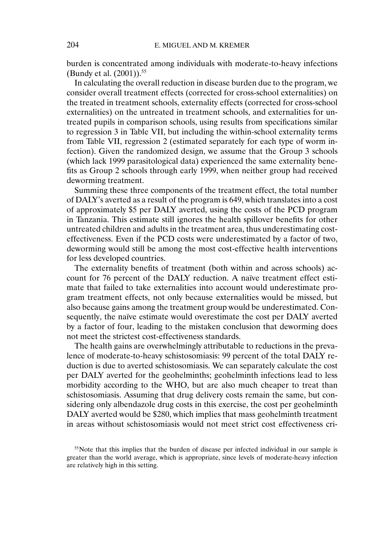burden is concentrated among individuals with moderate-to-heavy infections (Bundy et al. (2001)).55

In calculating the overall reduction in disease burden due to the program, we consider overall treatment effects (corrected for cross-school externalities) on the treated in treatment schools, externality effects (corrected for cross-school externalities) on the untreated in treatment schools, and externalities for untreated pupils in comparison schools, using results from specifications similar to regression 3 in Table VII, but including the within-school externality terms from Table VII, regression 2 (estimated separately for each type of worm infection). Given the randomized design, we assume that the Group 3 schools (which lack 1999 parasitological data) experienced the same externality benefits as Group 2 schools through early 1999, when neither group had received deworming treatment.

Summing these three components of the treatment effect, the total number of DALY's averted as a result of the program is 649, which translates into a cost of approximately \$5 per DALY averted, using the costs of the PCD program in Tanzania. This estimate still ignores the health spillover benefits for other untreated children and adults in the treatment area, thus underestimating costeffectiveness. Even if the PCD costs were underestimated by a factor of two, deworming would still be among the most cost-effective health interventions for less developed countries.

The externality benefits of treatment (both within and across schools) account for 76 percent of the DALY reduction. A naïve treatment effect estimate that failed to take externalities into account would underestimate program treatment effects, not only because externalities would be missed, but also because gains among the treatment group would be underestimated. Consequently, the naïve estimate would overestimate the cost per DALY averted by a factor of four, leading to the mistaken conclusion that deworming does not meet the strictest cost-effectiveness standards.

The health gains are overwhelmingly attributable to reductions in the prevalence of moderate-to-heavy schistosomiasis: 99 percent of the total DALY reduction is due to averted schistosomiasis. We can separately calculate the cost per DALY averted for the geohelminths; geohelminth infections lead to less morbidity according to the WHO, but are also much cheaper to treat than schistosomiasis. Assuming that drug delivery costs remain the same, but considering only albendazole drug costs in this exercise, the cost per geohelminth DALY averted would be \$280, which implies that mass geohelminth treatment in areas without schistosomiasis would not meet strict cost effectiveness cri-

<sup>&</sup>lt;sup>55</sup>Note that this implies that the burden of disease per infected individual in our sample is greater than the world average, which is appropriate, since levels of moderate-heavy infection are relatively high in this setting.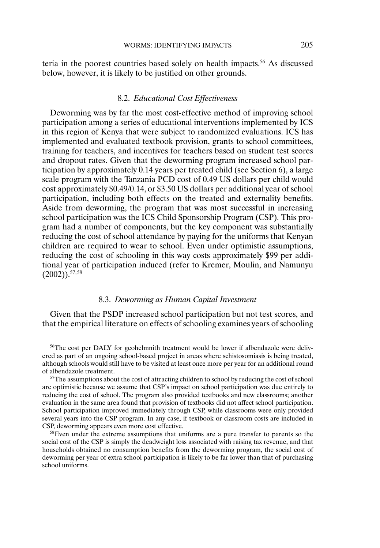teria in the poorest countries based solely on health impacts.56 As discussed below, however, it is likely to be justified on other grounds.

# 8.2. *Educational Cost Effectiveness*

Deworming was by far the most cost-effective method of improving school participation among a series of educational interventions implemented by ICS in this region of Kenya that were subject to randomized evaluations. ICS has implemented and evaluated textbook provision, grants to school committees, training for teachers, and incentives for teachers based on student test scores and dropout rates. Given that the deworming program increased school participation by approximately 0.14 years per treated child (see Section 6), a large scale program with the Tanzania PCD cost of 0.49 US dollars per child would cost approximately \$0.49/0.14, or \$3.50 US dollars per additional year of school participation, including both effects on the treated and externality benefits. Aside from deworming, the program that was most successful in increasing school participation was the ICS Child Sponsorship Program (CSP). This program had a number of components, but the key component was substantially reducing the cost of school attendance by paying for the uniforms that Kenyan children are required to wear to school. Even under optimistic assumptions, reducing the cost of schooling in this way costs approximately \$99 per additional year of participation induced (refer to Kremer, Moulin, and Namunyu  $(2002)$ <sup>57,58</sup>

# 8.3. *Deworming as Human Capital Investment*

Given that the PSDP increased school participation but not test scores, and that the empirical literature on effects of schooling examines years of schooling

<sup>56</sup>The cost per DALY for geohelmnith treatment would be lower if albendazole were delivered as part of an ongoing school-based project in areas where schistosomiasis is being treated, although schools would still have to be visited at least once more per year for an additional round of albendazole treatment.

<sup>57</sup>The assumptions about the cost of attracting children to school by reducing the cost of school are optimistic because we assume that CSP's impact on school participation was due entirely to reducing the cost of school. The program also provided textbooks and new classrooms; another evaluation in the same area found that provision of textbooks did not affect school participation. School participation improved immediately through CSP, while classrooms were only provided several years into the CSP program. In any case, if textbook or classroom costs are included in CSP, deworming appears even more cost effective.

<sup>58</sup>Even under the extreme assumptions that uniforms are a pure transfer to parents so the social cost of the CSP is simply the deadweight loss associated with raising tax revenue, and that households obtained no consumption benefits from the deworming program, the social cost of deworming per year of extra school participation is likely to be far lower than that of purchasing school uniforms.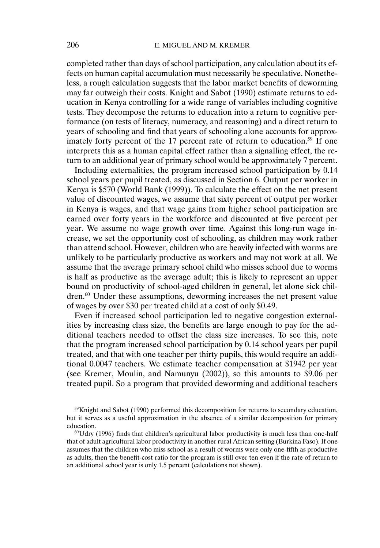completed rather than days of school participation, any calculation about its effects on human capital accumulation must necessarily be speculative. Nonetheless, a rough calculation suggests that the labor market benefits of deworming may far outweigh their costs. Knight and Sabot (1990) estimate returns to education in Kenya controlling for a wide range of variables including cognitive tests. They decompose the returns to education into a return to cognitive performance (on tests of literacy, numeracy, and reasoning) and a direct return to years of schooling and find that years of schooling alone accounts for approximately forty percent of the 17 percent rate of return to education.<sup>59</sup> If one interprets this as a human capital effect rather than a signalling effect, the return to an additional year of primary school would be approximately 7 percent.

Including externalities, the program increased school participation by 0.14 school years per pupil treated, as discussed in Section 6. Output per worker in Kenya is \$570 (World Bank (1999)). To calculate the effect on the net present value of discounted wages, we assume that sixty percent of output per worker in Kenya is wages, and that wage gains from higher school participation are earned over forty years in the workforce and discounted at five percent per year. We assume no wage growth over time. Against this long-run wage increase, we set the opportunity cost of schooling, as children may work rather than attend school. However, children who are heavily infected with worms are unlikely to be particularly productive as workers and may not work at all. We assume that the average primary school child who misses school due to worms is half as productive as the average adult; this is likely to represent an upper bound on productivity of school-aged children in general, let alone sick children.60 Under these assumptions, deworming increases the net present value of wages by over \$30 per treated child at a cost of only \$0.49.

Even if increased school participation led to negative congestion externalities by increasing class size, the benefits are large enough to pay for the additional teachers needed to offset the class size increases. To see this, note that the program increased school participation by 0.14 school years per pupil treated, and that with one teacher per thirty pupils, this would require an additional 0.0047 teachers. We estimate teacher compensation at \$1942 per year (see Kremer, Moulin, and Namunyu (2002)), so this amounts to \$9.06 per treated pupil. So a program that provided deworming and additional teachers

 $59$ Knight and Sabot (1990) performed this decomposition for returns to secondary education, but it serves as a useful approximation in the absence of a similar decomposition for primary education.

 $60$ Udry (1996) finds that children's agricultural labor productivity is much less than one-half that of adult agricultural labor productivity in another rural African setting (Burkina Faso). If one assumes that the children who miss school as a result of worms were only one-fifth as productive as adults, then the benefit-cost ratio for the program is still over ten even if the rate of return to an additional school year is only 1.5 percent (calculations not shown).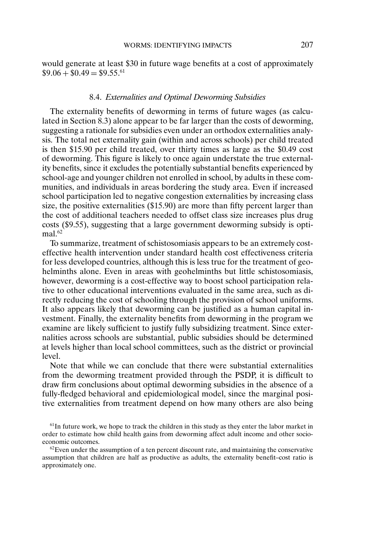would generate at least \$30 in future wage benefits at a cost of approximately  $$9.06 + $0.49 = $9.55$ <sup>61</sup>

### 8.4. *Externalities and Optimal Deworming Subsidies*

The externality benefits of deworming in terms of future wages (as calculated in Section 8.3) alone appear to be far larger than the costs of deworming, suggesting a rationale for subsidies even under an orthodox externalities analysis. The total net externality gain (within and across schools) per child treated is then \$15.90 per child treated, over thirty times as large as the \$0.49 cost of deworming. This figure is likely to once again understate the true externality benefits, since it excludes the potentially substantial benefits experienced by school-age and younger children not enrolled in school, by adults in these communities, and individuals in areas bordering the study area. Even if increased school participation led to negative congestion externalities by increasing class size, the positive externalities (\$15.90) are more than fifty percent larger than the cost of additional teachers needed to offset class size increases plus drug costs (\$9.55), suggesting that a large government deworming subsidy is optimal $.62$ 

To summarize, treatment of schistosomiasis appears to be an extremely costeffective health intervention under standard health cost effectiveness criteria for less developed countries, although this is less true for the treatment of geohelminths alone. Even in areas with geohelminths but little schistosomiasis, however, deworming is a cost-effective way to boost school participation relative to other educational interventions evaluated in the same area, such as directly reducing the cost of schooling through the provision of school uniforms. It also appears likely that deworming can be justified as a human capital investment. Finally, the externality benefits from deworming in the program we examine are likely sufficient to justify fully subsidizing treatment. Since externalities across schools are substantial, public subsidies should be determined at levels higher than local school committees, such as the district or provincial level.

Note that while we can conclude that there were substantial externalities from the deworming treatment provided through the PSDP, it is difficult to draw firm conclusions about optimal deworming subsidies in the absence of a fully-fledged behavioral and epidemiological model, since the marginal positive externalities from treatment depend on how many others are also being

 $62$  Even under the assumption of a ten percent discount rate, and maintaining the conservative assumption that children are half as productive as adults, the externality benefit–cost ratio is approximately one.

 $<sup>61</sup>$ In future work, we hope to track the children in this study as they enter the labor market in</sup> order to estimate how child health gains from deworming affect adult income and other socioeconomic outcomes.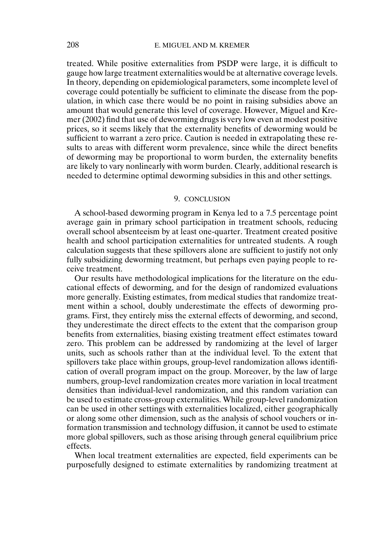treated. While positive externalities from PSDP were large, it is difficult to gauge how large treatment externalities would be at alternative coverage levels. In theory, depending on epidemiological parameters, some incomplete level of coverage could potentially be sufficient to eliminate the disease from the population, in which case there would be no point in raising subsidies above an amount that would generate this level of coverage. However, Miguel and Kremer (2002) find that use of deworming drugs is very low even at modest positive prices, so it seems likely that the externality benefits of deworming would be sufficient to warrant a zero price. Caution is needed in extrapolating these results to areas with different worm prevalence, since while the direct benefits of deworming may be proportional to worm burden, the externality benefits are likely to vary nonlinearly with worm burden. Clearly, additional research is needed to determine optimal deworming subsidies in this and other settings.

# 9. CONCLUSION

A school-based deworming program in Kenya led to a 7.5 percentage point average gain in primary school participation in treatment schools, reducing overall school absenteeism by at least one-quarter. Treatment created positive health and school participation externalities for untreated students. A rough calculation suggests that these spillovers alone are sufficient to justify not only fully subsidizing deworming treatment, but perhaps even paying people to receive treatment.

Our results have methodological implications for the literature on the educational effects of deworming, and for the design of randomized evaluations more generally. Existing estimates, from medical studies that randomize treatment within a school, doubly underestimate the effects of deworming programs. First, they entirely miss the external effects of deworming, and second, they underestimate the direct effects to the extent that the comparison group benefits from externalities, biasing existing treatment effect estimates toward zero. This problem can be addressed by randomizing at the level of larger units, such as schools rather than at the individual level. To the extent that spillovers take place within groups, group-level randomization allows identification of overall program impact on the group. Moreover, by the law of large numbers, group-level randomization creates more variation in local treatment densities than individual-level randomization, and this random variation can be used to estimate cross-group externalities. While group-level randomization can be used in other settings with externalities localized, either geographically or along some other dimension, such as the analysis of school vouchers or information transmission and technology diffusion, it cannot be used to estimate more global spillovers, such as those arising through general equilibrium price effects.

When local treatment externalities are expected, field experiments can be purposefully designed to estimate externalities by randomizing treatment at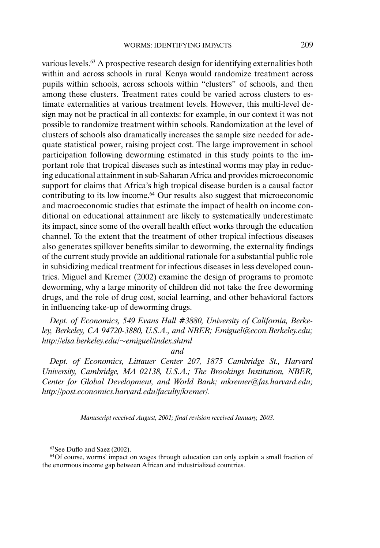various levels.<sup>63</sup> A prospective research design for identifying externalities both within and across schools in rural Kenya would randomize treatment across pupils within schools, across schools within "clusters" of schools, and then among these clusters. Treatment rates could be varied across clusters to estimate externalities at various treatment levels. However, this multi-level design may not be practical in all contexts: for example, in our context it was not possible to randomize treatment within schools. Randomization at the level of clusters of schools also dramatically increases the sample size needed for adequate statistical power, raising project cost. The large improvement in school participation following deworming estimated in this study points to the important role that tropical diseases such as intestinal worms may play in reducing educational attainment in sub-Saharan Africa and provides microeconomic support for claims that Africa's high tropical disease burden is a causal factor contributing to its low income.64 Our results also suggest that microeconomic and macroeconomic studies that estimate the impact of health on income conditional on educational attainment are likely to systematically underestimate its impact, since some of the overall health effect works through the education channel. To the extent that the treatment of other tropical infectious diseases also generates spillover benefits similar to deworming, the externality findings of the current study provide an additional rationale for a substantial public role in subsidizing medical treatment for infectious diseases in less developed countries. Miguel and Kremer (2002) examine the design of programs to promote deworming, why a large minority of children did not take the free deworming drugs, and the role of drug cost, social learning, and other behavioral factors in influencing take-up of deworming drugs.

*Dept. of Economics, 549 Evans Hall #3880, University of California, Berkeley, Berkeley, CA 94720-3880, U.S.A., and NBER; Emiguel@econ.Berkeley.edu; http://elsa.berkeley.edu/*∼*emiguel/index.shtml*

*and*

*Dept. of Economics, Littauer Center 207, 1875 Cambridge St., Harvard University, Cambridge, MA 02138, U.S.A.; The Brookings Institution, NBER, Center for Global Development, and World Bank; mkremer@fas.harvard.edu; http://post.economics.harvard.edu/faculty/kremer/.*

*Manuscript received August, 2001; final revision received January, 2003.*

64Of course, worms' impact on wages through education can only explain a small fraction of the enormous income gap between African and industrialized countries.

<sup>63</sup>See Duflo and Saez (2002).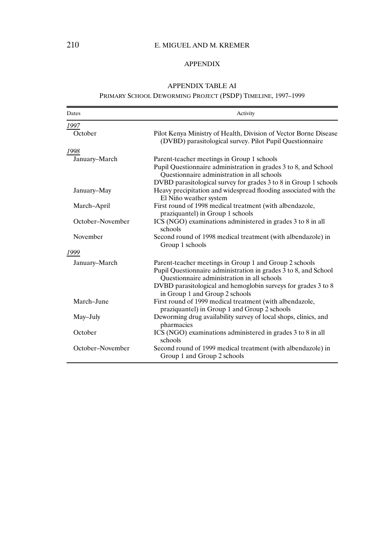# 210 E. MIGUEL AND M. KREMER

# APPENDIX

# APPENDIX TABLE AI

# PRIMARY SCHOOL DEWORMING PROJECT (PSDP) TIMELINE, 1997–1999

| Dates            | Activity                                                                                                                                                                                                                                                                    |
|------------------|-----------------------------------------------------------------------------------------------------------------------------------------------------------------------------------------------------------------------------------------------------------------------------|
| 1997             |                                                                                                                                                                                                                                                                             |
| October          | Pilot Kenya Ministry of Health, Division of Vector Borne Disease<br>(DVBD) parasitological survey. Pilot Pupil Questionnaire                                                                                                                                                |
| 1998             |                                                                                                                                                                                                                                                                             |
| January-March    | Parent-teacher meetings in Group 1 schools<br>Pupil Questionnaire administration in grades 3 to 8, and School<br>Questionnaire administration in all schools<br>DVBD parasitological survey for grades 3 to 8 in Group 1 schools                                            |
| January-May      | Heavy precipitation and widespread flooding associated with the<br>El Niño weather system                                                                                                                                                                                   |
| March-April      | First round of 1998 medical treatment (with albendazole,<br>praziquantel) in Group 1 schools                                                                                                                                                                                |
| October-November | ICS (NGO) examinations administered in grades 3 to 8 in all<br>schools                                                                                                                                                                                                      |
| November         | Second round of 1998 medical treatment (with albendazole) in<br>Group 1 schools                                                                                                                                                                                             |
| 1999             |                                                                                                                                                                                                                                                                             |
| January–March    | Parent-teacher meetings in Group 1 and Group 2 schools<br>Pupil Questionnaire administration in grades 3 to 8, and School<br>Questionnaire administration in all schools<br>DVBD parasitological and hemoglobin surveys for grades 3 to 8<br>in Group 1 and Group 2 schools |
| March-June       | First round of 1999 medical treatment (with albendazole,<br>praziquantel) in Group 1 and Group 2 schools                                                                                                                                                                    |
| May-July         | Deworming drug availability survey of local shops, clinics, and<br>pharmacies                                                                                                                                                                                               |
| October          | ICS (NGO) examinations administered in grades 3 to 8 in all<br>schools                                                                                                                                                                                                      |
| October-November | Second round of 1999 medical treatment (with albendazole) in<br>Group 1 and Group 2 schools                                                                                                                                                                                 |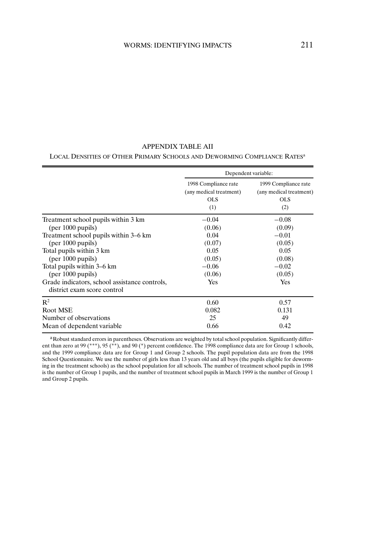## APPENDIX TABLE AII

### LOCAL DENSITIES OF OTHER PRIMARY SCHOOLS AND DEWORMING COMPLIANCE RATES<sup>a</sup>

|                                                                              | Dependent variable:                                                  |                                                                |  |  |
|------------------------------------------------------------------------------|----------------------------------------------------------------------|----------------------------------------------------------------|--|--|
|                                                                              | 1998 Compliance rate<br>(any medical treatment)<br><b>OLS</b><br>(1) | 1999 Compliance rate<br>(any medical treatment)<br>OL S<br>(2) |  |  |
| Treatment school pupils within 3 km<br>$(per 1000$ pupils)                   | $-0.04$<br>(0.06)                                                    | $-0.08$<br>(0.09)                                              |  |  |
| Treatment school pupils within 3–6 km<br>$(per 1000$ pupils)                 | 0.04<br>(0.07)                                                       | $-0.01$<br>(0.05)                                              |  |  |
| Total pupils within 3 km<br>$(per 1000$ pupils)                              | 0.05<br>(0.05)                                                       | 0.05<br>(0.08)                                                 |  |  |
| Total pupils within 3–6 km<br>$(per 1000$ pupils)                            | $-0.06$<br>(0.06)                                                    | $-0.02$<br>(0.05)                                              |  |  |
| Grade indicators, school assistance controls,<br>district exam score control | Yes                                                                  | Yes                                                            |  |  |
| $\mathbb{R}^2$                                                               | 0.60                                                                 | 0.57                                                           |  |  |
| Root MSE                                                                     | 0.082                                                                | 0.131                                                          |  |  |
| Number of observations                                                       | 25                                                                   | 49                                                             |  |  |
| Mean of dependent variable                                                   | 0.66                                                                 | 0.42                                                           |  |  |

aRobust standard errors in parentheses. Observations are weighted by total school population. Significantly different than zero at 99 (\*\*\*), 95 (\*\*), and 90 (\*) percent confidence. The 1998 compliance data are for Group 1 schools, and the 1999 compliance data are for Group 1 and Group 2 schools. The pupil population data are from the 1998 School Questionnaire. We use the number of girls less than 13 years old and all boys (the pupils eligible for deworming in the treatment schools) as the school population for all schools. The number of treatment school pupils in 1998 is the number of Group 1 pupils, and the number of treatment school pupils in March 1999 is the number of Group 1 and Group 2 pupils.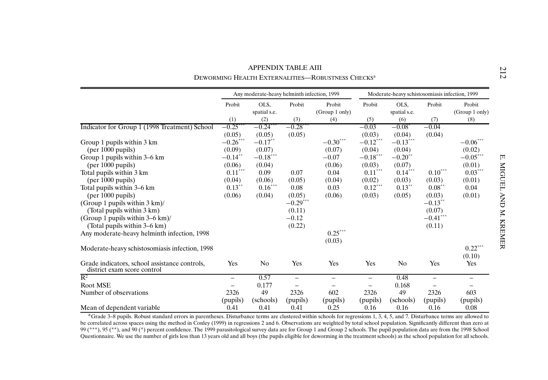|                                                                              |                                             | APPENDIX TABLE AIII   |                   |                                                               |                          |                      |                          |                          |
|------------------------------------------------------------------------------|---------------------------------------------|-----------------------|-------------------|---------------------------------------------------------------|--------------------------|----------------------|--------------------------|--------------------------|
|                                                                              |                                             |                       |                   | DEWORMING HEALTH EXTERNALITIES-ROBUSTNESS CHECKS <sup>a</sup> |                          |                      |                          |                          |
|                                                                              | Any moderate-heavy helminth infection, 1999 |                       |                   | Moderate-heavy schistosomiasis infection, 1999                |                          |                      |                          |                          |
|                                                                              | Probit                                      | OLS.<br>spatial s.e.  | Probit            | Probit<br>(Group 1 only)                                      | Probit                   | OLS.<br>spatial s.e. | Probit                   | Probit<br>(Group 1 only) |
|                                                                              | (1)                                         | (2)                   | (3)               | (4)                                                           | (5)                      | (6)                  | (7)                      | (8)                      |
| Indicator for Group 1 (1998 Treatment) School                                | $-0.25$<br>(0.05)                           | $-0.24$<br>(0.05)     | $-0.28$<br>(0.05) |                                                               | $-0.03$<br>(0.03)        | $-0.08$<br>(0.04)    | $-0.04$<br>(0.04)        |                          |
| Group 1 pupils within 3 km                                                   | $-0.26***$                                  | $-0.17***$            |                   | $-0.30^{\ast\ast\ast}$                                        | $-0.12***$               | $-0.13***$           |                          | $-0.06^{\ast\ast\ast}$   |
| $(per 1000$ pupils)                                                          | (0.09)                                      | (0.07)                |                   | (0.07)                                                        | (0.04)                   | (0.04)               |                          | (0.02)                   |
| Group 1 pupils within 3–6 km                                                 | $-0.14***$                                  | $-0.18***$            |                   | $-0.07$                                                       | $-0.18***$               | $-0.20$ **           |                          | $-0.05***$               |
| (per 1000 pupils)                                                            | (0.06)                                      | (0.04)                |                   | (0.06)                                                        | (0.03)                   | (0.07)               |                          | (0.01)                   |
| Total pupils within 3 km                                                     | $0.11^{\ast\ast\ast}$                       | 0.09                  | 0.07              | 0.04                                                          | $0.11^{\ast\ast\ast}$    | $0.14***$            | $0.10^{\ast\ast\ast}$    | $0.03***$                |
| (per 1000 pupils)                                                            | (0.04)                                      | (0.06)                | (0.05)            | (0.04)                                                        | (0.02)                   | (0.03)               | (0.03)                   | (0.01)                   |
| Total pupils within 3-6 km                                                   | $0.13***$                                   | $0.16^{\ast\ast\ast}$ | 0.08              | 0.03                                                          | $0.12***$                | $0.13***$            | $0.08***$                | 0.04                     |
| (per 1000 pupils)                                                            | (0.06)                                      | (0.04)                | (0.05)            | (0.06)                                                        | (0.03)                   | (0.05)               | (0.03)                   | (0.01)                   |
| (Group 1 pupils within $3 \text{ km}$ )/                                     |                                             |                       | $-0.29***$        |                                                               |                          |                      | $-0.13***$               |                          |
| (Total pupils within 3 km)                                                   |                                             |                       | (0.11)            |                                                               |                          |                      | (0.07)                   |                          |
| (Group 1 pupils within $3-6 \text{ km}$ )/                                   |                                             |                       | $-0.12$           |                                                               |                          |                      | $-0.41***$               |                          |
| (Total pupils within 3–6 km)                                                 |                                             |                       | (0.22)            |                                                               |                          |                      | (0.11)                   |                          |
| Any moderate-heavy helminth infection, 1998                                  |                                             |                       |                   | $0.25***$                                                     |                          |                      |                          |                          |
|                                                                              |                                             |                       |                   | (0.03)                                                        |                          |                      |                          |                          |
| Moderate-heavy schistosomiasis infection, 1998                               |                                             |                       |                   |                                                               |                          |                      |                          | $0.22***$                |
|                                                                              |                                             |                       |                   |                                                               |                          |                      |                          | (0.10)                   |
| Grade indicators, school assistance controls,<br>district exam score control | Yes                                         | N <sub>0</sub>        | Yes               | Yes                                                           | Yes                      | N <sub>0</sub>       | Yes                      | Yes                      |
| $\mathbb{R}^2$                                                               | $\overline{\phantom{m}}$                    | 0.57                  | $\qquad \qquad -$ | $\overline{\phantom{m}}$                                      | $\overline{\phantom{0}}$ | 0.48                 | $\overline{\phantom{m}}$ | $\overline{\phantom{0}}$ |
| Root MSE                                                                     |                                             | 0.177                 |                   |                                                               |                          | 0.168                |                          |                          |
| Number of observations                                                       | 2326                                        | 49                    | 2326              | 602                                                           | 2326                     | 49                   | 2326                     | 603                      |
|                                                                              | (pupils)                                    | (schools)             | (pupils)          | (pupils)                                                      | (pupils)                 | (schools)            | (pupils)                 | (pupils)                 |
| Mean of dependent variable.                                                  | 0.41                                        | 0.41                  | 0.41              | 0.25                                                          | 0.16                     | 0.16                 | 0.16                     | 0.08                     |

<sup>a</sup>Grade 3–8 pupils. Robust standard errors in parentheses. Disturbance terms are clustered within schools for regressions 1, 3, 4, 5, and 7. Disturbance terms are allowed to be correlated across spaces using the method in Conley (1999) in regressions 2 and 6. Observations are weighted by total school population. Significantly different than zero at 99 (\*\*\*), 95 (\*\*), and 90 (\*) percen<sup>t</sup> confidence. The 1999 parasitological survey data are for Group 1 and Group 2 schools. The pupil population data are from the 1998 School Questionnaire. We use the number of girls less than 13 years old and all boys (the pupils eligible for deworming in the treatment schools) as the school population for all schools.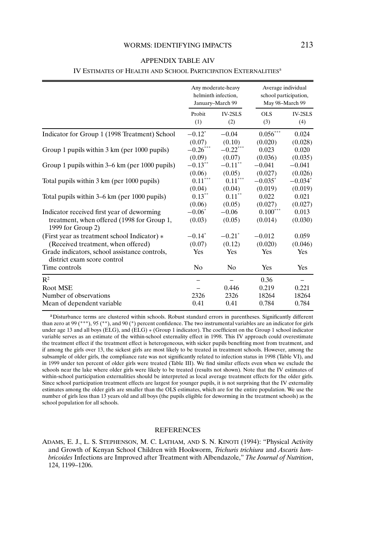#### APPENDIX TABLE AIV

#### IV ESTIMATES OF HEALTH AND SCHOOL PARTICIPATION EXTERNALITIES<sup>a</sup>

|                                                                                                               | Any moderate-heavy<br>helminth infection,<br>January-March 99 |                      |                        | Average individual<br>school participation,<br>May 98-March 99 |  |
|---------------------------------------------------------------------------------------------------------------|---------------------------------------------------------------|----------------------|------------------------|----------------------------------------------------------------|--|
|                                                                                                               | Probit                                                        | <b>IV-2SLS</b>       | <b>OLS</b>             | <b>IV-2SLS</b>                                                 |  |
|                                                                                                               | (1)                                                           | (2)                  | (3)                    | (4)                                                            |  |
| Indicator for Group 1 (1998 Treatment) School                                                                 | $-0.12$ <sup>*</sup>                                          | $-0.04$              | $0.056^{\ast\ast\ast}$ | 0.024                                                          |  |
| Group 1 pupils within 3 km (per 1000 pupils)                                                                  | (0.07)                                                        | (0.10)               | (0.020)                | (0.028)                                                        |  |
|                                                                                                               | $-0.26^*$                                                     | $-0.22$ ***          | 0.023                  | 0.020                                                          |  |
|                                                                                                               | (0.09)                                                        | (0.07)               | (0.036)                | (0.035)                                                        |  |
| Group 1 pupils within 3–6 km (per 1000 pupils)                                                                | $-0.13***$                                                    | $-0.11***$           | $-0.041$               | $-0.041$                                                       |  |
|                                                                                                               | (0.06)                                                        | (0.05)               | (0.027)                | (0.026)                                                        |  |
| Total pupils within 3 km (per 1000 pupils)                                                                    | $0.11***$                                                     | $0.11***$            | $-0.035^*$             | $-0.034^*$                                                     |  |
|                                                                                                               | (0.04)                                                        | (0.04)               | (0.019)                | (0.019)                                                        |  |
| Total pupils within 3-6 km (per 1000 pupils)                                                                  | $0.13***$                                                     | $0.11***$            | 0.022                  | 0.021                                                          |  |
|                                                                                                               | (0.06)                                                        | (0.05)               | (0.027)                | (0.027)                                                        |  |
| Indicator received first year of deworming<br>treatment, when offered (1998 for Group 1,<br>1999 for Group 2) | $-0.06^*$<br>(0.03)                                           | $-0.06$<br>(0.05)    | $0.100***$<br>(0.014)  | 0.013<br>(0.030)                                               |  |
| (First year as treatment school Indicator) *                                                                  | $-0.14^*$                                                     | $-0.21$ <sup>*</sup> | $-0.012$               | 0.059                                                          |  |
| (Received treatment, when offered)                                                                            | (0.07)                                                        | (0.12)               | (0.020)                | (0.046)                                                        |  |
| Grade indicators, school assistance controls,<br>district exam score control                                  | Yes                                                           | Yes                  | Yes                    | Yes                                                            |  |
| Time controls                                                                                                 | N <sub>0</sub>                                                | N <sub>0</sub>       | Yes                    | Yes                                                            |  |
| $\mathbb{R}^2$                                                                                                |                                                               |                      | 0.36                   |                                                                |  |
| Root MSE                                                                                                      |                                                               | 0.446                | 0.219                  | 0.221                                                          |  |
| Number of observations                                                                                        | 2326                                                          | 2326                 | 18264                  | 18264                                                          |  |
| Mean of dependent variable.                                                                                   | 0.41                                                          | 0.41                 | 0.784                  | 0.784                                                          |  |

aDisturbance terms are clustered within schools. Robust standard errors in parentheses. Significantly different than zero at 99 (\*\*\*), 95 (\*\*), and 90 (\*) percent confidence. The two instrumental variables are an indicator for girls under age 13 and all boys (ELG), and (ELG)  $*$  (Group 1 indicator). The coefficient on the Group 1 school indicator variable serves as an estimate of the within-school externality effect in 1998. This IV approach could overestimate the treatment effect if the treatment effect is heterogeneous, with sicker pupils benefiting most from treatment, and if among the girls over 13, the sickest girls are most likely to be treated in treatment schools. However, among the subsample of older girls, the compliance rate was not significantly related to infection status in 1998 (Table VI), and in 1999 under ten percent of older girls were treated (Table III). We find similar effects even when we exclude the schools near the lake where older girls were likely to be treated (results not shown). Note that the IV estimates of within-school participation externalities should be interpreted as local average treatment effects for the older girls. Since school participation treatment effects are largest for younger pupils, it is not surprising that the IV externality estimates among the older girls are smaller than the OLS estimates, which are for the entire population. We use the number of girls less than 13 years old and all boys (the pupils eligible for deworming in the treatment schools) as the school population for all schools.

#### REFERENCES

ADAMS, E. J., L. S. STEPHENSON, M. C. LATHAM, AND S. N. KINOTI (1994): "Physical Activity and Growth of Kenyan School Children with Hookworm, *Trichuris trichiura* and *Ascaris lumbricoides* Infections are Improved after Treatment with Albendazole," *The Journal of Nutrition*, 124, 1199–1206.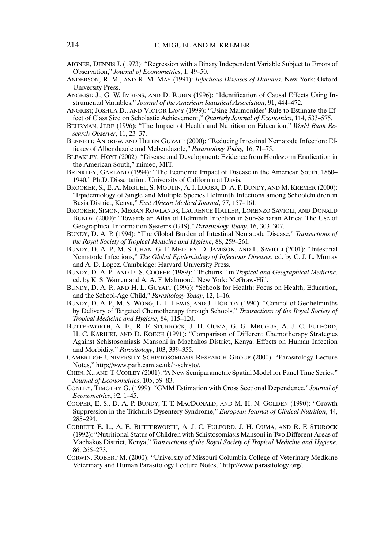- AIGNER, DENNIS J. (1973): "Regression with a Binary Independent Variable Subject to Errors of Observation," *Journal of Econometrics*, 1, 49–50.
- ANDERSON, R. M., AND R. M. MAY (1991): *Infectious Diseases of Humans*. New York: Oxford University Press.
- ANGRIST, J., G. W. IMBENS, AND D. RUBIN (1996): "Identification of Causal Effects Using Instrumental Variables," *Journal of the American Statistical Association*, 91, 444–472.
- ANGRIST, JOSHUA D., AND VICTOR LAVY (1999): "Using Maimonides' Rule to Estimate the Effect of Class Size on Scholastic Achievement," *Quarterly Journal of Economics*, 114, 533–575.
- BEHRMAN, JERE (1996): "The Impact of Health and Nutrition on Education," *World Bank Research Observer*, 11, 23–37.
- BENNETT, ANDREW, AND HELEN GUYATT (2000): "Reducing Intestinal Nematode Infection: Efficacy of Albendazole and Mebendazole," *Parasitology Today,* 16, 71–75.
- BLEAKLEY, HOYT (2002): "Disease and Development: Evidence from Hookworm Eradication in the American South," mimeo, MIT.
- BRINKLEY, GARLAND (1994): "The Economic Impact of Disease in the American South, 1860– 1940," Ph.D. Dissertation, University of California at Davis.
- BROOKER, S., E. A. MIGUEL, S. MOULIN, A. I. LUOBA, D. A. P. BUNDY, AND M. KREMER (2000): "Epidemiology of Single and Multiple Species Helminth Infections among Schoolchildren in Busia District, Kenya," *East African Medical Journal*, 77, 157–161.
- BROOKER, SIMON, MEGAN ROWLANDS, LAURENCE HALLER, LORENZO SAVIOLI, AND DONALD BUNDY (2000): "Towards an Atlas of Helminth Infection in Sub-Saharan Africa: The Use of Geographical Information Systems (GIS)," *Parasitology Today*, 16, 303–307.
- BUNDY, D. A. P. (1994): "The Global Burden of Intestinal Nematode Disease," *Transactions of the Royal Society of Tropical Medicine and Hygiene*, 88, 259–261.
- BUNDY, D. A. P., M. S. CHAN, G. F. MEDLEY, D. JAMISON, AND L. SAVIOLI (2001): "Intestinal Nematode Infections," *The Global Epidemiology of Infectious Diseases*, ed. by C. J. L. Murray and A. D. Lopez. Cambridge: Harvard University Press.
- BUNDY, D. A. P., AND E. S. COOPER (1989): "Trichuris," in *Tropical and Geographical Medicine*, ed. by K. S. Warren and A. A. F. Mahmoud. New York: McGraw-Hill.
- BUNDY, D. A. P., AND H. L. GUYATT (1996): "Schools for Health: Focus on Health, Education, and the School-Age Child," *Parasitology Today*, 12, 1–16.
- BUNDY, D. A. P., M. S. WONG, L. L. LEWIS, AND J. HORTON (1990): "Control of Geohelminths by Delivery of Targeted Chemotherapy through Schools," *Transactions of the Royal Society of Tropical Medicine and Hygiene*, 84, 115–120.
- BUTTERWORTH, A. E., R. F. STURROCK, J. H. OUMA, G. G. MBUGUA, A. J. C. FULFORD, H. C. KARIUKI, AND D. KOECH (1991): "Comparison of Different Chemotherapy Strategies Against Schistosomiasis Mansoni in Machakos District, Kenya: Effects on Human Infection and Morbidity," *Parasitology*, 103, 339–355.
- CAMBRIDGE UNIVERSITY SCHISTOSOMIASIS RESEARCH GROUP (2000): "Parasitology Lecture Notes," http://www.path.cam.ac.uk/∼schisto/.
- CHEN, X., AND T. CONLEY (2001): "A New Semiparametric Spatial Model for Panel Time Series," *Journal of Econometrics*, 105, 59–83.
- CONLEY, TIMOTHY G. (1999): "GMM Estimation with Cross Sectional Dependence," *Journal of Econometrics*, 92, 1–45.
- COOPER, E. S., D. A. P. BUNDY, T. T. MACDONALD, AND M. H. N. GOLDEN (1990): "Growth Suppression in the Trichuris Dysentery Syndrome," *European Journal of Clinical Nutrition*, 44, 285–291.
- CORBETT, E. L., A. E. BUTTERWORTH, A. J. C. FULFORD, J. H. OUMA, AND R. F. STUROCK (1992): "Nutritional Status of Children with Schistosomiasis Mansoni in Two Different Areas of Machakos District, Kenya," *Transactions of the Royal Society of Tropical Medicine and Hygiene*, 86, 266–273.
- CORWIN, ROBERT M. (2000): "University of Missouri-Columbia College of Veterinary Medicine Veterinary and Human Parasitology Lecture Notes," http://www.parasitology.org/.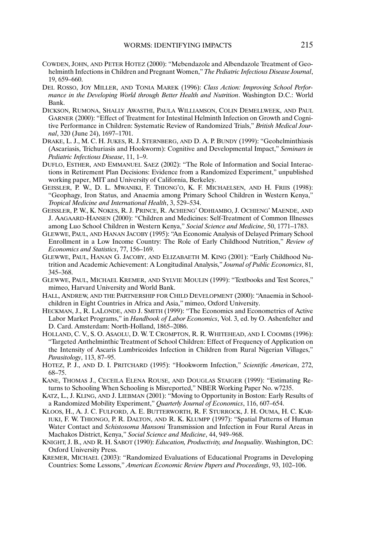- COWDEN, JOHN, AND PETER HOTEZ (2000): "Mebendazole and Albendazole Treatment of Geohelminth Infections in Children and Pregnant Women," *The Pediatric Infectious Disease Journal*, 19, 659–660.
- DEL ROSSO, JOY MILLER, AND TONIA MAREK (1996): *Class Action: Improving School Performance in the Developing World through Better Health and Nutrition*. Washington D.C.: World Bank.
- DICKSON, RUMONA, SHALLY AWASTHI, PAULA WILLIAMSON, COLIN DEMELLWEEK, AND PAUL GARNER (2000): "Effect of Treatment for Intestinal Helminth Infection on Growth and Cognitive Performance in Children: Systematic Review of Randomized Trials," *British Medical Journal*, 320 (June 24), 1697–1701.
- DRAKE, L. J., M. C. H. JUKES, R. J. STERNBERG, AND D. A. P. BUNDY (1999): "Geohelminthiasis (Ascariasis, Trichuriasis and Hookworm): Cognitive and Developmental Impact," *Seminars in Pediatric Infectious Disease*, 11, 1–9.
- DUFLO, ESTHER, AND EMMANUEL SAEZ (2002): "The Role of Information and Social Interactions in Retirement Plan Decisions: Evidence from a Randomized Experiment," unpublished working paper, MIT and University of California, Berkeley.
- GEISSLER, P. W., D. L. MWANIKI, F. THIONG'O, K. F. MICHAELSEN, AND H. FRIIS (1998): "Geophagy, Iron Status, and Anaemia among Primary School Children in Western Kenya," *Tropical Medicine and International Health*, 3, 529–534.
- GEISSLER, P. W., K. NOKES, R. J. PRINCE, R. ACHIENG' ODHIAMBO, J. OCHIENG' MAENDE, AND J. AAGAARD-HANSEN (2000): "Children and Medicines: Self-Treatment of Common Illnesses among Luo School Children in Western Kenya," *Social Science and Medicine*, 50, 1771–1783.
- GLEWWE, PAUL, AND HANAN JACOBY (1995): "An Economic Analysis of Delayed Primary School Enrollment in a Low Income Country: The Role of Early Childhood Nutrition," *Review of Economics and Statistics*, 77, 156–169.
- GLEWWE, PAUL, HANAN G. JACOBY, AND ELIZABAETH M. KING (2001): "Early Childhood Nutrition and Academic Achievement: A Longitudinal Analysis," *Journal of Public Economics*, 81, 345–368.
- GLEWWE, PAUL, MICHAEL KREMER, AND SYLVIE MOULIN (1999): "Textbooks and Test Scores," mimeo, Harvard University and World Bank.
- HALL, ANDREW, AND THE PARTNERSHIP FOR CHILD DEVELOPMENT (2000): "Anaemia in Schoolchildren in Eight Countries in Africa and Asia," mimeo, Oxford University.
- HECKMAN, J., R. LALONDE, AND J. SMITH (1999): "The Economics and Econometrics of Active Labor Market Programs," in *Handbook of Labor Economics*, Vol. 3, ed. by O. Ashenfelter and D. Card. Amsterdam: North-Holland, 1865–2086.
- HOLLAND, C. V., S. O. ASAOLU, D. W. T. CROMPTON, R. R. WHITEHEAD, AND I. COOMBS (1996): "Targeted Anthelminthic Treatment of School Children: Effect of Frequency of Application on the Intensity of Ascaris Lumbricoides Infection in Children from Rural Nigerian Villages," *Parasitology*, 113, 87–95.
- HOTEZ, P. J., AND D. I. PRITCHARD (1995): "Hookworm Infection," *Scientific American*, 272, 68–75.
- KANE, THOMAS J., CECEILA ELENA ROUSE, AND DOUGLAS STAIGER (1999): "Estimating Returns to Schooling When Schooling is Misreported," NBER Working Paper No. w7235.
- KATZ, L., J. KLING, AND J. LIEBMAN (2001): "Moving to Opportunity in Boston: Early Results of a Randomized Mobility Experiment," *Quarterly Journal of Economics*, 116, 607–654.
- KLOOS, H., A. J. C. FULFORD, A. E. BUTTERWORTH, R. F. STURROCK, J. H. OUMA, H. C. KAR-IUKI, F. W. THIONGO, P. R. DALTON, AND R. K. KLUMPP (1997): "Spatial Patterns of Human Water Contact and *Schistosoma Mansoni* Transmission and Infection in Four Rural Areas in Machakos District, Kenya," *Social Science and Medicine*, 44, 949–968.
- KNIGHT, J. B., AND R. H. SABOT (1990): *Education, Productivity, and Inequality*. Washington, DC: Oxford University Press.
- KREMER, MICHAEL (2003): "Randomized Evaluations of Educational Programs in Developing Countries: Some Lessons," *American Economic Review Papers and Proceedings*, 93, 102–106.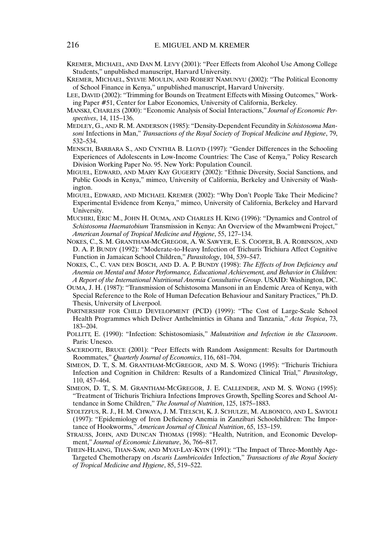- KREMER, MICHAEL, AND DAN M. LEVY (2001): "Peer Effects from Alcohol Use Among College Students," unpublished manuscript, Harvard University.
- KREMER, MICHAEL, SYLVIE MOULIN, AND ROBERT NAMUNYU (2002): "The Political Economy of School Finance in Kenya," unpublished manuscript, Harvard University.
- LEE, DAVID (2002): "Trimming for Bounds on Treatment Effects with Missing Outcomes," Working Paper #51, Center for Labor Economics, University of California, Berkeley.
- MANSKI, CHARLES (2000): "Economic Analysis of Social Interactions," *Journal of Economic Perspectives*, 14, 115–136.
- MEDLEY, G., AND R. M. ANDERSON (1985): "Density-Dependent Fecundity in *Schistosoma Mansoni* Infections in Man," *Transactions of the Royal Society of Tropical Medicine and Hygiene*, 79, 532–534.
- MENSCH, BARBARA S., AND CYNTHIA B. LLOYD (1997): "Gender Differences in the Schooling Experiences of Adolescents in Low-Income Countries: The Case of Kenya," Policy Research Division Working Paper No. 95. New York: Population Council.
- MIGUEL, EDWARD, AND MARY KAY GUGERTY (2002): "Ethnic Diversity, Social Sanctions, and Public Goods in Kenya," mimeo, University of California, Berkeley and University of Washington.
- MIGUEL, EDWARD, AND MICHAEL KREMER (2002): "Why Don't People Take Their Medicine? Experimental Evidence from Kenya," mimeo, University of California, Berkeley and Harvard University.
- MUCHIRI, ERIC M., JOHN H. OUMA, AND CHARLES H. KING (1996): "Dynamics and Control of *Schistosoma Haematobium* Transmission in Kenya: An Overview of the Mwambweni Project," *American Journal of Tropical Medicine and Hygiene*, 55, 127–134.
- NOKES, C., S. M. GRANTHAM-MCGREGOR, A. W. SAWYER, E. S. COOPER, B. A. ROBINSON, AND D. A. P. BUNDY (1992): "Moderate-to-Heavy Infection of Trichuris Trichiura Affect Cognitive Function in Jamaican School Children," *Parasitology*, 104, 539–547.
- NOKES, C., C. VAN DEN BOSCH, AND D. A. P. BUNDY (1998): *The Effects of Iron Deficiency and Anemia on Mental and Motor Performance, Educational Achievement, and Behavior in Children: A Report of the International Nutritional Anemia Consultative Group*. USAID: Washington, DC.
- OUMA, J. H. (1987): "Transmission of Schistosoma Mansoni in an Endemic Area of Kenya, with Special Reference to the Role of Human Defecation Behaviour and Sanitary Practices," Ph.D. Thesis, University of Liverpool.
- PARTNERSHIP FOR CHILD DEVELOPMENT (PCD) (1999): "The Cost of Large-Scale School Health Programmes which Deliver Anthelmintics in Ghana and Tanzania," *Acta Tropica*, 73, 183–204.
- POLLITT, E. (1990): "Infection: Schistosomiasis," *Malnutrition and Infection in the Classroom*. Paris: Unesco.
- SACERDOTE, BRUCE (2001): "Peer Effects with Random Assignment: Results for Dartmouth Roommates," *Quarterly Journal of Economics*, 116, 681–704.
- SIMEON, D. T., S. M. GRANTHAM-MCGREGOR, AND M. S. WONG (1995): "Trichuris Trichiura Infection and Cognition in Children: Results of a Randomized Clinical Trial," *Parasitology*, 110, 457–464.
- SIMEON, D. T., S. M. GRANTHAM-MCGREGOR, J. E. CALLENDER, AND M. S. WONG (1995): "Treatment of Trichuris Trichiura Infections Improves Growth, Spelling Scores and School Attendance in Some Children," *The Journal of Nutrition*, 125, 1875–1883.
- STOLTZFUS, R. J., H. M. CHWAYA, J. M. TIELSCH, K. J. SCHULZE, M. ALBONICO, AND L. SAVIOLI (1997): "Epidemiology of Iron Deficiency Anemia in Zanzibari Schoolchildren: The Importance of Hookworms," *American Journal of Clinical Nutrition*, 65, 153–159.
- STRAUSS, JOHN, AND DUNCAN THOMAS (1998): "Health, Nutrition, and Economic Development," *Journal of Economic Literature*, 36, 766–817.
- THEIN-HLAING, THAN-SAW, AND MYAT-LAY-KYIN (1991): "The Impact of Three-Monthly Age-Targeted Chemotherapy on *Ascaris Lumbricoides* Infection," *Transactions of the Royal Society of Tropical Medicine and Hygiene*, 85, 519–522.